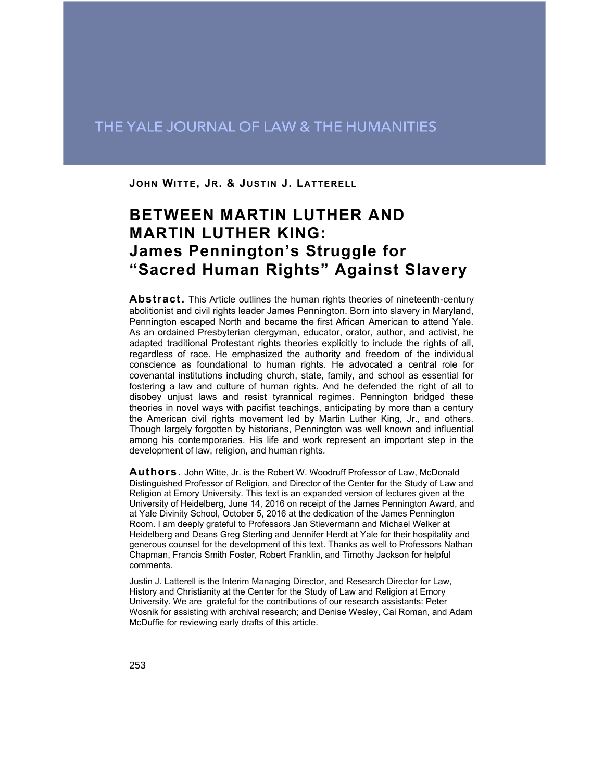## THE YALE JOURNAL OF LAW & THE HUMANITIES

**JOHN WITTE, JR. & JUSTIN J. LATTERELL**

# **BETWEEN MARTIN LUTHER AND MARTIN LUTHER KING: James Pennington's Struggle for "Sacred Human Rights" Against Slavery**

**Abstract.** This Article outlines the human rights theories of nineteenth-century abolitionist and civil rights leader James Pennington. Born into slavery in Maryland, Pennington escaped North and became the first African American to attend Yale. As an ordained Presbyterian clergyman, educator, orator, author, and activist, he adapted traditional Protestant rights theories explicitly to include the rights of all, regardless of race. He emphasized the authority and freedom of the individual conscience as foundational to human rights. He advocated a central role for covenantal institutions including church, state, family, and school as essential for fostering a law and culture of human rights. And he defended the right of all to disobey unjust laws and resist tyrannical regimes. Pennington bridged these theories in novel ways with pacifist teachings, anticipating by more than a century the American civil rights movement led by Martin Luther King, Jr., and others. Though largely forgotten by historians, Pennington was well known and influential among his contemporaries. His life and work represent an important step in the development of law, religion, and human rights.

**Authors**. John Witte, Jr. is the Robert W. Woodruff Professor of Law, McDonald Distinguished Professor of Religion, and Director of the Center for the Study of Law and Religion at Emory University. This text is an expanded version of lectures given at the University of Heidelberg, June 14, 2016 on receipt of the James Pennington Award, and at Yale Divinity School, October 5, 2016 at the dedication of the James Pennington Room. I am deeply grateful to Professors Jan Stievermann and Michael Welker at Heidelberg and Deans Greg Sterling and Jennifer Herdt at Yale for their hospitality and generous counsel for the development of this text. Thanks as well to Professors Nathan Chapman, Francis Smith Foster, Robert Franklin, and Timothy Jackson for helpful comments.

Justin J. Latterell is the Interim Managing Director, and Research Director for Law, History and Christianity at the Center for the Study of Law and Religion at Emory University. We are grateful for the contributions of our research assistants: Peter Wosnik for assisting with archival research; and Denise Wesley, Cai Roman, and Adam McDuffie for reviewing early drafts of this article.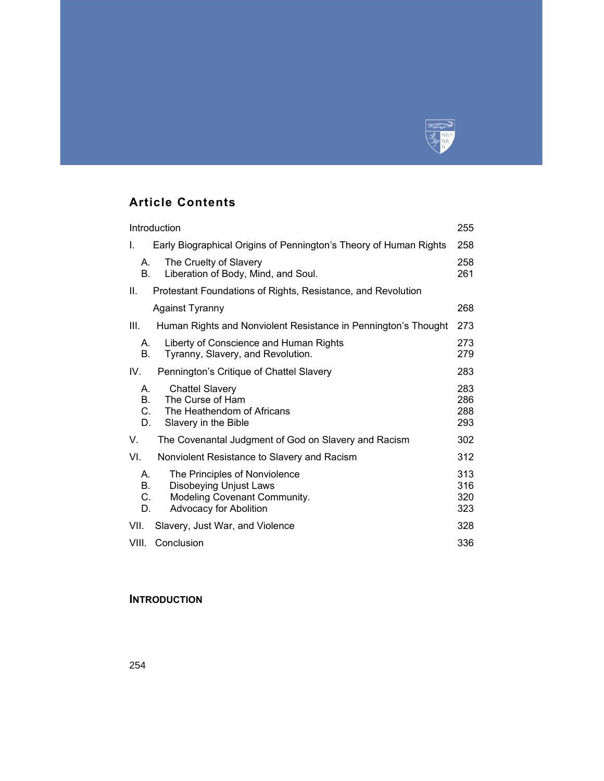

## **Article Contents**

| Introduction                     |                                                                                                                          | 255                      |
|----------------------------------|--------------------------------------------------------------------------------------------------------------------------|--------------------------|
| Τ.                               | Early Biographical Origins of Pennington's Theory of Human Rights                                                        | 258                      |
| А.<br><b>B.</b>                  | The Cruelty of Slavery<br>Liberation of Body, Mind, and Soul.                                                            | 258<br>261               |
| Ш.                               | Protestant Foundations of Rights, Resistance, and Revolution                                                             |                          |
|                                  | <b>Against Tyranny</b>                                                                                                   | 268                      |
| III.                             | Human Rights and Nonviolent Resistance in Pennington's Thought                                                           | 273                      |
| А.<br><b>B.</b>                  | Liberty of Conscience and Human Rights<br>Tyranny, Slavery, and Revolution.                                              | 273<br>279               |
| IV.                              | Pennington's Critique of Chattel Slavery                                                                                 | 283                      |
| А.<br>$\mathbf{B}$ .<br>C.<br>D. | <b>Chattel Slavery</b><br>The Curse of Ham<br>The Heathendom of Africans<br>Slavery in the Bible                         | 283<br>286<br>288<br>293 |
| V.                               | The Covenantal Judgment of God on Slavery and Racism                                                                     | 302                      |
| VI.                              | Nonviolent Resistance to Slavery and Racism                                                                              | 312                      |
| А.<br><b>B.</b><br>C.<br>D.      | The Principles of Nonviolence<br><b>Disobeying Unjust Laws</b><br>Modeling Covenant Community.<br>Advocacy for Abolition | 313<br>316<br>320<br>323 |
| VII.                             | Slavery, Just War, and Violence                                                                                          | 328                      |
| VIII.                            | Conclusion                                                                                                               | 336                      |

## **INTRODUCTION**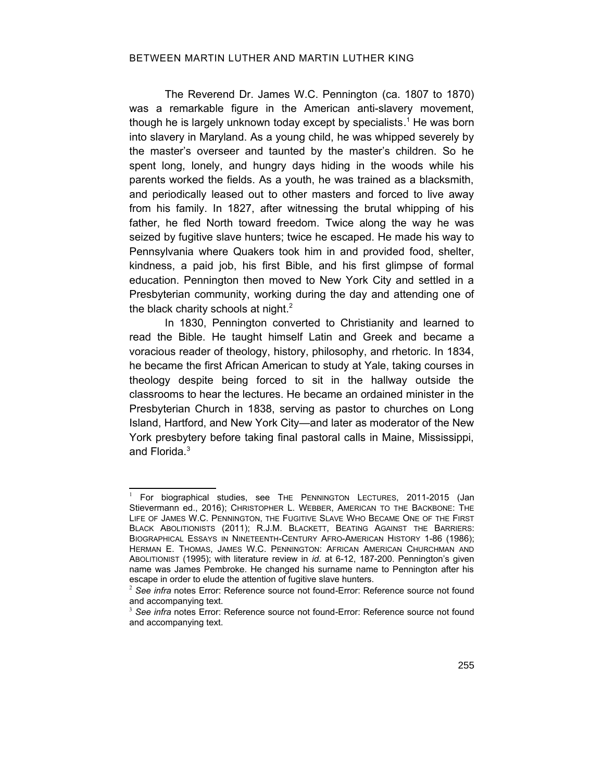### BETWEEN MARTIN LUTHER AND MARTIN LUTHER KING

The Reverend Dr. James W.C. Pennington (ca. 1807 to 1870) was a remarkable figure in the American anti-slavery movement, though he is largely unknown today except by specialists. [1](#page-2-4) He was born into slavery in Maryland. As a young child, he was whipped severely by the master's overseer and taunted by the master's children. So he spent long, lonely, and hungry days hiding in the woods while his parents worked the fields. As a youth, he was trained as a blacksmith, and periodically leased out to other masters and forced to live away from his family. In 1827, after witnessing the brutal whipping of his father, he fled North toward freedom. Twice along the way he was seized by fugitive slave hunters; twice he escaped. He made his way to Pennsylvania where Quakers took him in and provided food, shelter, kindness, a paid job, his first Bible, and his first glimpse of formal education. Pennington then moved to New York City and settled in a Presbyterian community, working during the day and attending one of the black charity schools at night.<sup>[2](#page-2-5)</sup>

In 1830, Pennington converted to Christianity and learned to read the Bible. He taught himself Latin and Greek and became a voracious reader of theology, history, philosophy, and rhetoric. In 1834, he became the first African American to study at Yale, taking courses in theology despite being forced to sit in the hallway outside the classrooms to hear the lectures. He became an ordained minister in the Presbyterian Church in 1838, serving as pastor to churches on Long Island, Hartford, and New York City—and later as moderator of the New York presbytery before taking final pastoral calls in Maine, Mississippi, and Florida.[3](#page-2-6)

<span id="page-2-4"></span> $1$  For biographical studies, see THE PENNINGTON LECTURES, 2011-2015 (Jan Stievermann ed., 2016); CHRISTOPHER L. WEBBER, AMERICAN TO THE BACKBONE: THE LIFE OF JAMES W.C. PENNINGTON, THE FUGITIVE SLAVE WHO BECAME ONE OF THE FIRST BLACK ABOLITIONISTS (2011); R.J.M. BLACKETT, BEATING AGAINST THE BARRIERS: BIOGRAPHICAL ESSAYS IN NINETEENTH-CENTURY AFRO-AMERICAN HISTORY 1-86 (1986); HERMAN E. THOMAS, JAMES W.C. PENNINGTON: AFRICAN AMERICAN CHURCHMAN AND ABOLITIONIST (1995); with literature review in *id.* at 6-12, 187-200. Pennington's given name was James Pembroke. He changed his surname name to Pennington after his escape in order to elude the attention of fugitive slave hunters.

<span id="page-2-5"></span><span id="page-2-3"></span><span id="page-2-0"></span><sup>2</sup> *See infra* notes [Error: Reference source not found-](#page-2-0)[Error: Reference source not found](#page-2-3) and accompanying text.

<span id="page-2-6"></span><span id="page-2-2"></span><span id="page-2-1"></span><sup>3</sup> *See infra* notes [Error: Reference source not found-](#page-2-2)[Error: Reference source not found](#page-2-1) and accompanying text.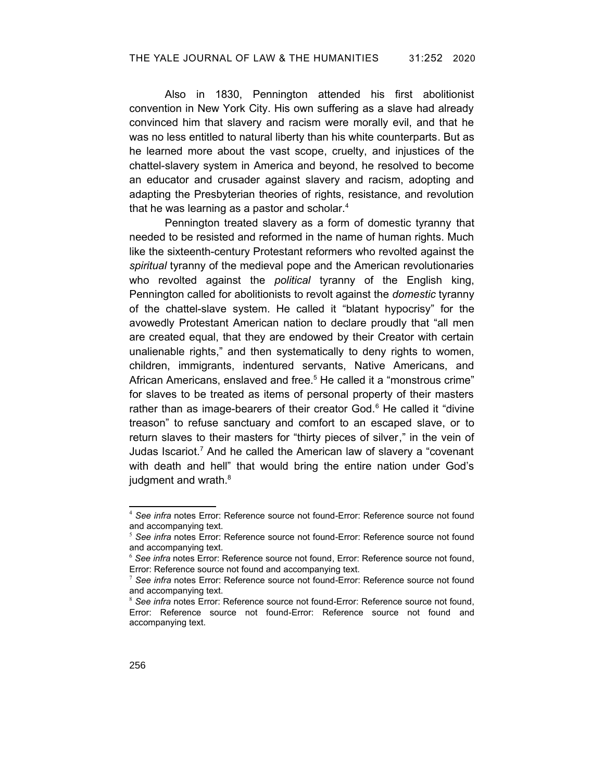Also in 1830, Pennington attended his first abolitionist convention in New York City. His own suffering as a slave had already convinced him that slavery and racism were morally evil, and that he was no less entitled to natural liberty than his white counterparts. But as he learned more about the vast scope, cruelty, and injustices of the chattel-slavery system in America and beyond, he resolved to become an educator and crusader against slavery and racism, adopting and adapting the Presbyterian theories of rights, resistance, and revolution that he was learning as a pastor and scholar. [4](#page-3-13)

Pennington treated slavery as a form of domestic tyranny that needed to be resisted and reformed in the name of human rights. Much like the sixteenth-century Protestant reformers who revolted against the *spiritual* tyranny of the medieval pope and the American revolutionaries who revolted against the *political* tyranny of the English king, Pennington called for abolitionists to revolt against the *domestic* tyranny of the chattel-slave system. He called it "blatant hypocrisy" for the avowedly Protestant American nation to declare proudly that "all men are created equal, that they are endowed by their Creator with certain unalienable rights," and then systematically to deny rights to women, children, immigrants, indentured servants, Native Americans, and African Americans, enslaved and free.<sup>[5](#page-3-14)</sup> He called it a "monstrous crime" for slaves to be treated as items of personal property of their masters rather than as image-bearers of their creator God.<sup>[6](#page-3-15)</sup> He called it "divine treason" to refuse sanctuary and comfort to an escaped slave, or to return slaves to their masters for "thirty pieces of silver," in the vein of Judas Iscariot.<sup>[7](#page-3-16)</sup> And he called the American law of slavery a "covenant with death and hell" that would bring the entire nation under God's judgment and wrath.<sup>[8](#page-3-17)</sup>

<span id="page-3-13"></span><span id="page-3-12"></span><span id="page-3-11"></span><span id="page-3-9"></span><sup>4</sup> *See infra* notes [Error: Reference source not found-](#page-3-12)[Error: Reference source not found](#page-3-11) and accompanying text.

<span id="page-3-14"></span><span id="page-3-10"></span><sup>5</sup> *See infra* notes [Error: Reference source not found-](#page-3-10)[Error: Reference source not found](#page-3-9) and accompanying text.

<span id="page-3-15"></span><span id="page-3-8"></span><span id="page-3-7"></span><span id="page-3-6"></span><sup>6</sup> *See infra* notes [Error: Reference source not found,](#page-3-8) [Error: Reference source not found](#page-3-7), [Error: Reference source not found](#page-3-6) and accompanying text.

<span id="page-3-16"></span><span id="page-3-5"></span><span id="page-3-4"></span><sup>7</sup> *See infra* notes [Error: Reference source not found-](#page-3-5)[Error: Reference source not found](#page-3-4) and accompanying text.

<span id="page-3-17"></span><span id="page-3-3"></span><span id="page-3-2"></span><span id="page-3-1"></span><span id="page-3-0"></span><sup>8</sup> *See infra* notes [Error: Reference source not found](#page-3-3)[-Error: Reference source not found,](#page-3-2) [Error: Reference source not found-](#page-3-1)[Error: Reference source not found](#page-3-0) and accompanying text.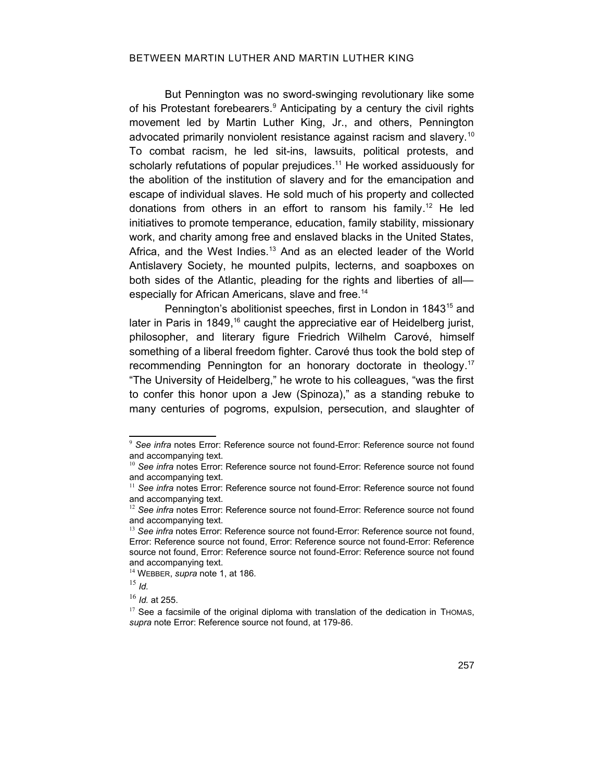### BETWEEN MARTIN LUTHER AND MARTIN LUTHER KING

But Pennington was no sword-swinging revolutionary like some of his Protestant forebearers.<sup>[9](#page-4-16)</sup> Anticipating by a century the civil rights movement led by Martin Luther King, Jr., and others, Pennington advocated primarily nonviolent resistance against racism and slavery.<sup>[10](#page-4-17)</sup> To combat racism, he led sit-ins, lawsuits, political protests, and scholarly refutations of popular prejudices.<sup>[11](#page-4-18)</sup> He worked assiduously for the abolition of the institution of slavery and for the emancipation and escape of individual slaves. He sold much of his property and collected donations from others in an effort to ransom his family. [12](#page-4-19) He led initiatives to promote temperance, education, family stability, missionary work, and charity among free and enslaved blacks in the United States, Africa, and the West Indies.<sup>[13](#page-4-20)</sup> And as an elected leader of the World Antislavery Society, he mounted pulpits, lecterns, and soapboxes on both sides of the Atlantic, pleading for the rights and liberties of all— especially for African Americans, slave and free.<sup>[14](#page-4-21)</sup>

Pennington's abolitionist speeches, first in London in 1843<sup>[15](#page-4-22)</sup> and later in Paris in 1849,<sup>[16](#page-4-23)</sup> caught the appreciative ear of Heidelberg jurist, philosopher, and literary figure Friedrich Wilhelm Carové, himself something of a liberal freedom fighter. Carové thus took the bold step of recommending Pennington for an honorary doctorate in theology. [17](#page-4-24) "The University of Heidelberg," he wrote to his colleagues, "was the first to confer this honor upon a Jew (Spinoza)," as a standing rebuke to many centuries of pogroms, expulsion, persecution, and slaughter of

<span id="page-4-16"></span><span id="page-4-15"></span><span id="page-4-14"></span><sup>&</sup>lt;sup>9</sup> See infra notes [Error: Reference source not found-](#page-4-15)[Error: Reference source not found](#page-4-14) and accompanying text.

<span id="page-4-17"></span><span id="page-4-13"></span><span id="page-4-12"></span><sup>&</sup>lt;sup>10</sup> See infra notes [Error: Reference source not found-](#page-4-13)[Error: Reference source not found](#page-4-12) and accompanying text.

<span id="page-4-18"></span><span id="page-4-11"></span><span id="page-4-10"></span><sup>&</sup>lt;sup>11</sup> See infra notes [Error: Reference source not found-](#page-4-11)[Error: Reference source not found](#page-4-10) and accompanying text.

<span id="page-4-19"></span><span id="page-4-9"></span><span id="page-4-8"></span><sup>&</sup>lt;sup>12</sup> See infra notes [Error: Reference source not found-](#page-4-9)[Error: Reference source not found](#page-4-8) and accompanying text.

<span id="page-4-20"></span><span id="page-4-7"></span><span id="page-4-6"></span><span id="page-4-5"></span><span id="page-4-4"></span><sup>&</sup>lt;sup>13</sup> See infra notes [Error: Reference source not found](#page-4-7)[-Error: Reference source not found,](#page-4-6) [Error: Reference source not found](#page-4-5), [Error: Reference source not found](#page-4-4)[-Error: Reference](#page-4-3) [source not found,](#page-4-3) [Error: Reference source not found](#page-4-2)-[Error: Reference source not found](#page-4-1) and accompanying text.

<span id="page-4-21"></span><span id="page-4-3"></span><span id="page-4-2"></span><span id="page-4-1"></span><sup>14</sup> WEBBER, *supra* note 1, at 186*.*

<span id="page-4-22"></span> $^{15}$  *Id.* 

<span id="page-4-23"></span><sup>16</sup> *Id.* at 255.

<span id="page-4-24"></span><span id="page-4-0"></span> $17$  See a facsimile of the original diploma with translation of the dedication in THOMAS, *supra* note [Error: Reference source not found](#page-4-0), at 179-86.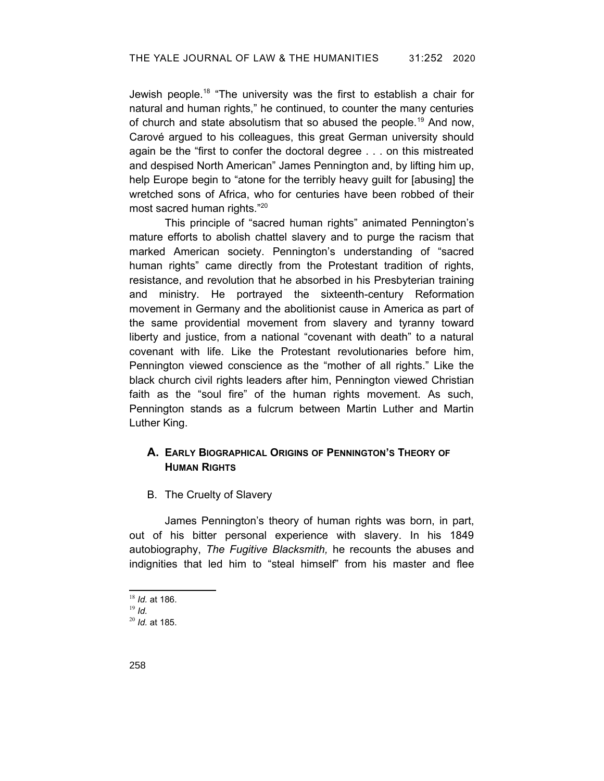Jewish people.[18](#page-5-0) "The university was the first to establish a chair for natural and human rights," he continued, to counter the many centuries of church and state absolutism that so abused the people.[19](#page-5-1) And now, Carové argued to his colleagues, this great German university should again be the "first to confer the doctoral degree . . . on this mistreated and despised North American" James Pennington and, by lifting him up, help Europe begin to "atone for the terribly heavy guilt for [abusing] the wretched sons of Africa, who for centuries have been robbed of their most sacred human rights."[20](#page-5-2)

This principle of "sacred human rights" animated Pennington's mature efforts to abolish chattel slavery and to purge the racism that marked American society. Pennington's understanding of "sacred human rights" came directly from the Protestant tradition of rights, resistance, and revolution that he absorbed in his Presbyterian training and ministry. He portrayed the sixteenth-century Reformation movement in Germany and the abolitionist cause in America as part of the same providential movement from slavery and tyranny toward liberty and justice, from a national "covenant with death" to a natural covenant with life. Like the Protestant revolutionaries before him, Pennington viewed conscience as the "mother of all rights." Like the black church civil rights leaders after him, Pennington viewed Christian faith as the "soul fire" of the human rights movement. As such, Pennington stands as a fulcrum between Martin Luther and Martin Luther King.

## **A. EARLY BIOGRAPHICAL ORIGINS OF PENNINGTON'S THEORY OF HUMAN RIGHTS**

B. The Cruelty of Slavery

James Pennington's theory of human rights was born, in part, out of his bitter personal experience with slavery. In his 1849 autobiography, *The Fugitive Blacksmith,* he recounts the abuses and indignities that led him to "steal himself" from his master and flee

<span id="page-5-0"></span><sup>18</sup> *Id.* at 186.

<span id="page-5-1"></span><sup>19</sup> *Id.*

<span id="page-5-2"></span><sup>20</sup> *Id.* at 185.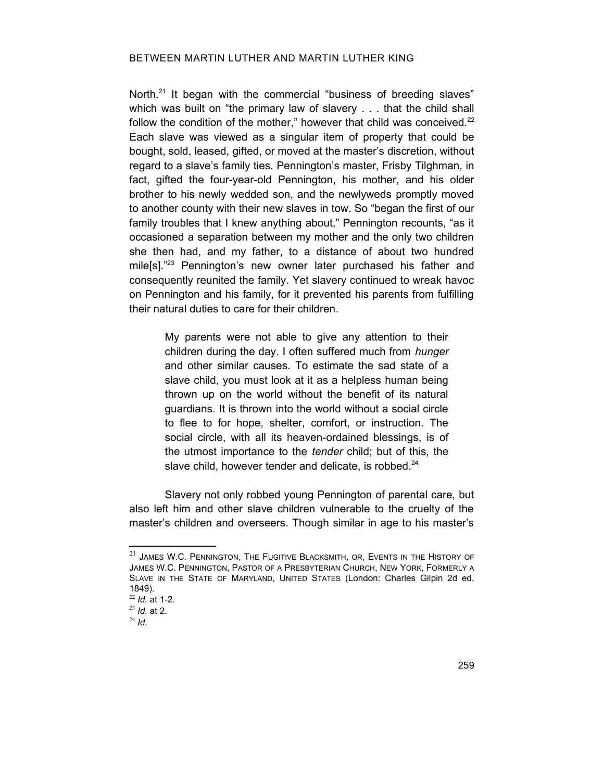### BETWEEN MARTIN LUTHER AND MARTIN LUTHER KING

North.<sup>[21](#page-6-0)</sup> It began with the commercial "business of breeding slaves" which was built on "the primary law of slavery . . . that the child shall follow the condition of the mother," however that child was conceived. $22$ Each slave was viewed as a singular item of property that could be bought, sold, leased, gifted, or moved at the master's discretion, without regard to a slave's family ties. Pennington's master, Frisby Tilghman, in fact, gifted the four-year-old Pennington, his mother, and his older brother to his newly wedded son, and the newlyweds promptly moved to another county with their new slaves in tow. So "began the first of our family troubles that I knew anything about," Pennington recounts, "as it occasioned a separation between my mother and the only two children she then had, and my father, to a distance of about two hundred mile[s]."<sup>[23](#page-6-2)</sup> Pennington's new owner later purchased his father and consequently reunited the family. Yet slavery continued to wreak havoc on Pennington and his family, for it prevented his parents from fulfilling their natural duties to care for their children.

> My parents were not able to give any attention to their children during the day. I often suffered much from *hunger* and other similar causes. To estimate the sad state of a slave child, you must look at it as a helpless human being thrown up on the world without the benefit of its natural guardians. It is thrown into the world without a social circle to flee to for hope, shelter, comfort, or instruction. The social circle, with all its heaven-ordained blessings, is of the utmost importance to the *tender* child; but of this, the slave child, however tender and delicate, is robbed.<sup>[24](#page-6-3)</sup>

Slavery not only robbed young Pennington of parental care, but also left him and other slave children vulnerable to the cruelty of the master's children and overseers. Though similar in age to his master's

<span id="page-6-0"></span> $21$  James W.C. Pennington, The Fugitive Blacksmith, or, Events in the History of JAMES W.C. PENNINGTON, PASTOR OF A PRESBYTERIAN CHURCH, NEW YORK, FORMERLY A SLAVE IN THE STATE OF MARYLAND, UNITED STATES (London: Charles Gilpin 2d ed. 1849).

<span id="page-6-1"></span><sup>22</sup> *Id.* at 1-2.

<span id="page-6-2"></span><sup>23</sup> *Id.* at 2.

<span id="page-6-3"></span><sup>24</sup> *Id.*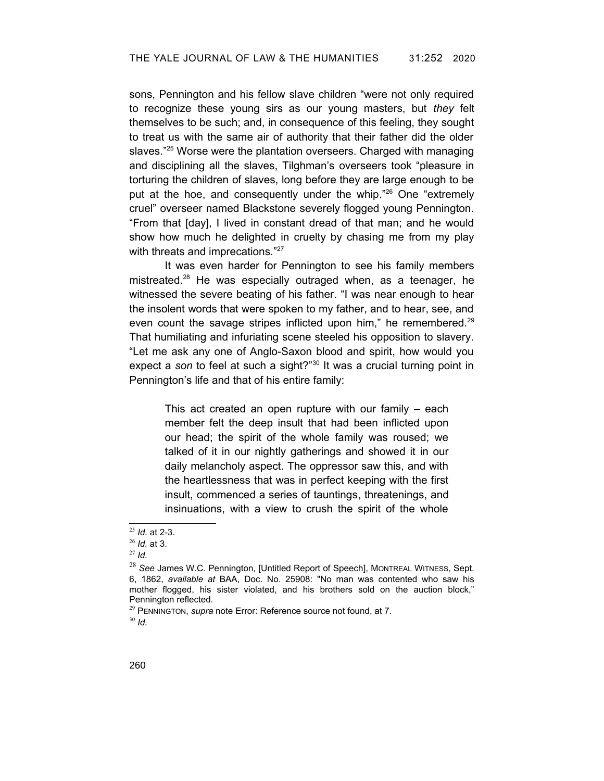sons, Pennington and his fellow slave children "were not only required to recognize these young sirs as our young masters, but *they* felt themselves to be such; and, in consequence of this feeling, they sought to treat us with the same air of authority that their father did the older slaves."<sup>[25](#page-7-1)</sup> Worse were the plantation overseers. Charged with managing and disciplining all the slaves, Tilghman's overseers took "pleasure in torturing the children of slaves, long before they are large enough to be put at the hoe, and consequently under the whip."[26](#page-7-2) One "extremely cruel" overseer named Blackstone severely flogged young Pennington. "From that [day], I lived in constant dread of that man; and he would show how much he delighted in cruelty by chasing me from my play with threats and imprecations."<sup>[27](#page-7-3)</sup>

It was even harder for Pennington to see his family members mistreated.[28](#page-7-4) He was especially outraged when, as a teenager, he witnessed the severe beating of his father. "I was near enough to hear the insolent words that were spoken to my father, and to hear, see, and even count the savage stripes inflicted upon him," he remembered.<sup>[29](#page-7-5)</sup> That humiliating and infuriating scene steeled his opposition to slavery. "Let me ask any one of Anglo-Saxon blood and spirit, how would you expect a *son* to feel at such a sight?"[30](#page-7-6) It was a crucial turning point in Pennington's life and that of his entire family:

> This act created an open rupture with our family – each member felt the deep insult that had been inflicted upon our head; the spirit of the whole family was roused; we talked of it in our nightly gatherings and showed it in our daily melancholy aspect. The oppressor saw this, and with the heartlessness that was in perfect keeping with the first insult, commenced a series of tauntings, threatenings, and insinuations, with a view to crush the spirit of the whole

<span id="page-7-6"></span><sup>30</sup> *Id.*

<span id="page-7-1"></span><sup>25</sup> *Id.* at 2-3.

<span id="page-7-2"></span><sup>26</sup> *Id.* at 3.

<span id="page-7-3"></span><sup>27</sup> *Id.*

<span id="page-7-4"></span><sup>28</sup> *See* James W.C. Pennington, [Untitled Report of Speech], MONTREAL WITNESS, Sept. 6, 1862, *available at* BAA, Doc. No. 25908: "No man was contented who saw his mother flogged, his sister violated, and his brothers sold on the auction block," Pennington reflected.

<span id="page-7-5"></span><span id="page-7-0"></span><sup>29</sup> PENNINGTON, *supra* note [Error: Reference source not found,](#page-7-0) at 7.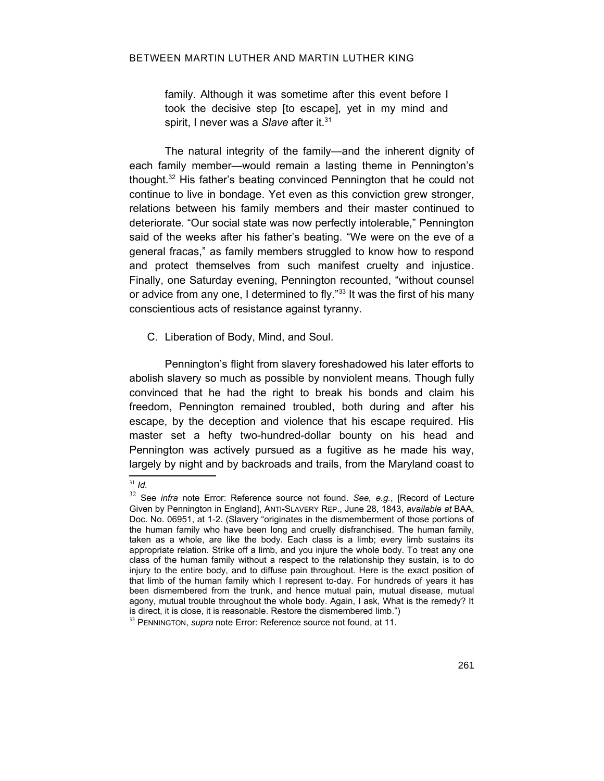family. Although it was sometime after this event before I took the decisive step [to escape], yet in my mind and spirit, I never was a *Slave* after it.<sup>[31](#page-8-2)</sup>

The natural integrity of the family—and the inherent dignity of each family member—would remain a lasting theme in Pennington's thought.[32](#page-8-3) His father's beating convinced Pennington that he could not continue to live in bondage. Yet even as this conviction grew stronger, relations between his family members and their master continued to deteriorate. "Our social state was now perfectly intolerable," Pennington said of the weeks after his father's beating. "We were on the eve of a general fracas," as family members struggled to know how to respond and protect themselves from such manifest cruelty and injustice. Finally, one Saturday evening, Pennington recounted, "without counsel or advice from any one, I determined to fly."<sup>[33](#page-8-4)</sup> It was the first of his many conscientious acts of resistance against tyranny.

C. Liberation of Body, Mind, and Soul.

Pennington's flight from slavery foreshadowed his later efforts to abolish slavery so much as possible by nonviolent means. Though fully convinced that he had the right to break his bonds and claim his freedom, Pennington remained troubled, both during and after his escape, by the deception and violence that his escape required. His master set a hefty two-hundred-dollar bounty on his head and Pennington was actively pursued as a fugitive as he made his way, largely by night and by backroads and trails, from the Maryland coast to

<span id="page-8-2"></span><span id="page-8-1"></span><sup>31</sup> *Id.*

<span id="page-8-3"></span><sup>32</sup> See *infra* note [Error: Reference source not found](#page-8-1). *See, e.g.*, [Record of Lecture Given by Pennington in England], ANTI-SLAVERY REP., June 28, 1843, *available at* BAA, Doc. No. 06951, at 1-2. (Slavery "originates in the dismemberment of those portions of the human family who have been long and cruelly disfranchised. The human family, taken as a whole, are like the body. Each class is a limb; every limb sustains its appropriate relation. Strike off a limb, and you injure the whole body. To treat any one class of the human family without a respect to the relationship they sustain, is to do injury to the entire body, and to diffuse pain throughout. Here is the exact position of that limb of the human family which I represent to-day. For hundreds of years it has been dismembered from the trunk, and hence mutual pain, mutual disease, mutual agony, mutual trouble throughout the whole body. Again, I ask, What is the remedy? It is direct, it is close, it is reasonable. Restore the dismembered limb.")

<span id="page-8-4"></span><span id="page-8-0"></span><sup>33</sup> PENNINGTON, *supra* note [Error: Reference source not found,](#page-8-0) at 11.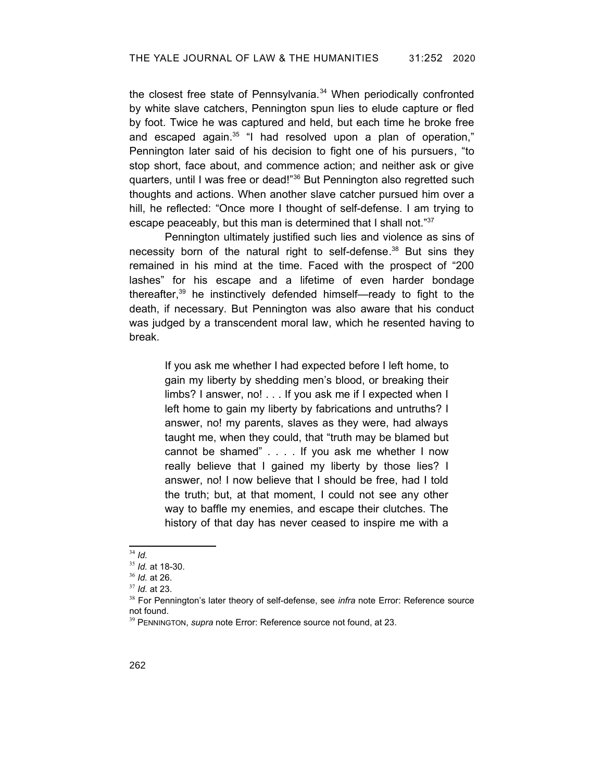the closest free state of Pennsylvania.<sup>[34](#page-9-2)</sup> When periodically confronted by white slave catchers, Pennington spun lies to elude capture or fled by foot. Twice he was captured and held, but each time he broke free and escaped again. [35](#page-9-3) "I had resolved upon a plan of operation," Pennington later said of his decision to fight one of his pursuers, "to stop short, face about, and commence action; and neither ask or give quarters, until I was free or dead!"[36](#page-9-4) But Pennington also regretted such thoughts and actions. When another slave catcher pursued him over a hill, he reflected: "Once more I thought of self-defense. I am trying to escape peaceably, but this man is determined that I shall not."[37](#page-9-5)

Pennington ultimately justified such lies and violence as sins of necessity born of the natural right to self-defense.<sup>[38](#page-9-6)</sup> But sins they remained in his mind at the time. Faced with the prospect of "200 lashes" for his escape and a lifetime of even harder bondage thereafter, [39](#page-9-7) he instinctively defended himself—ready to fight to the death, if necessary. But Pennington was also aware that his conduct was judged by a transcendent moral law, which he resented having to break.

If you ask me whether I had expected before I left home, to gain my liberty by shedding men's blood, or breaking their limbs? I answer, no! . . . If you ask me if I expected when I left home to gain my liberty by fabrications and untruths? I answer, no! my parents, slaves as they were, had always taught me, when they could, that "truth may be blamed but cannot be shamed" . . . . If you ask me whether I now really believe that I gained my liberty by those lies? I answer, no! I now believe that I should be free, had I told the truth; but, at that moment, I could not see any other way to baffle my enemies, and escape their clutches. The history of that day has never ceased to inspire me with a

<span id="page-9-5"></span><sup>37</sup> *Id.* at 23.

<span id="page-9-2"></span><sup>34</sup> *Id.*

<span id="page-9-3"></span><sup>35</sup> *Id.* at 18-30.

<span id="page-9-4"></span><sup>36</sup> *Id.* at 26.

<span id="page-9-6"></span><sup>38</sup> For Pennington's later theory of self-defense, see *infra* note [Error: Reference source](#page-9-1) [not found.](#page-9-1)

<span id="page-9-7"></span><span id="page-9-1"></span><span id="page-9-0"></span><sup>39</sup> PENNINGTON, *supra* note [Error: Reference source not found,](#page-9-0) at 23.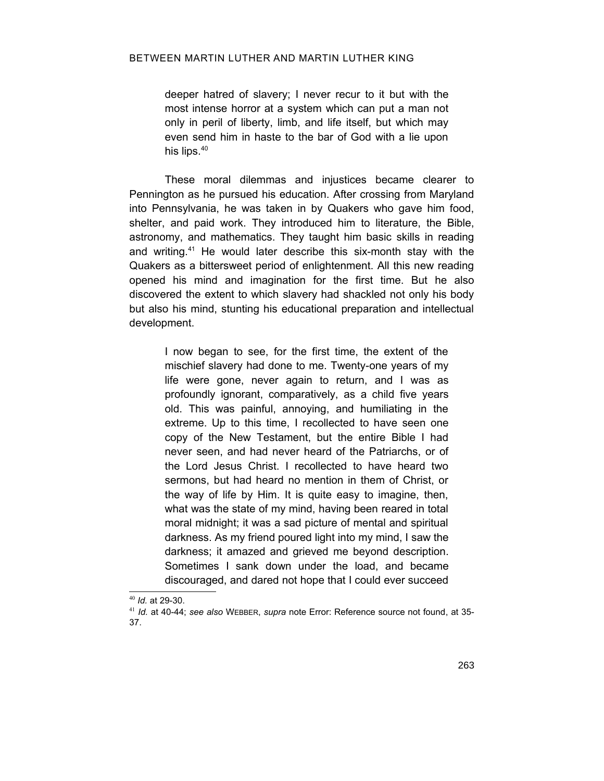deeper hatred of slavery; I never recur to it but with the most intense horror at a system which can put a man not only in peril of liberty, limb, and life itself, but which may even send him in haste to the bar of God with a lie upon his lips.<sup>[40](#page-10-1)</sup>

These moral dilemmas and injustices became clearer to Pennington as he pursued his education. After crossing from Maryland into Pennsylvania, he was taken in by Quakers who gave him food, shelter, and paid work. They introduced him to literature, the Bible, astronomy, and mathematics. They taught him basic skills in reading and writing.<sup>[41](#page-10-2)</sup> He would later describe this six-month stay with the Quakers as a bittersweet period of enlightenment. All this new reading opened his mind and imagination for the first time. But he also discovered the extent to which slavery had shackled not only his body but also his mind, stunting his educational preparation and intellectual development.

I now began to see, for the first time, the extent of the mischief slavery had done to me. Twenty-one years of my life were gone, never again to return, and I was as profoundly ignorant, comparatively, as a child five years old. This was painful, annoying, and humiliating in the extreme. Up to this time, I recollected to have seen one copy of the New Testament, but the entire Bible I had never seen, and had never heard of the Patriarchs, or of the Lord Jesus Christ. I recollected to have heard two sermons, but had heard no mention in them of Christ, or the way of life by Him. It is quite easy to imagine, then, what was the state of my mind, having been reared in total moral midnight; it was a sad picture of mental and spiritual darkness. As my friend poured light into my mind, I saw the darkness; it amazed and grieved me beyond description. Sometimes I sank down under the load, and became discouraged, and dared not hope that I could ever succeed

<span id="page-10-1"></span><span id="page-10-0"></span><sup>40</sup> *Id.* at 29-30.

<span id="page-10-2"></span><sup>41</sup> *Id.* at 40-44; *see also* WEBBER, *supra* note [Error: Reference source not found,](#page-10-0) at 35- 37.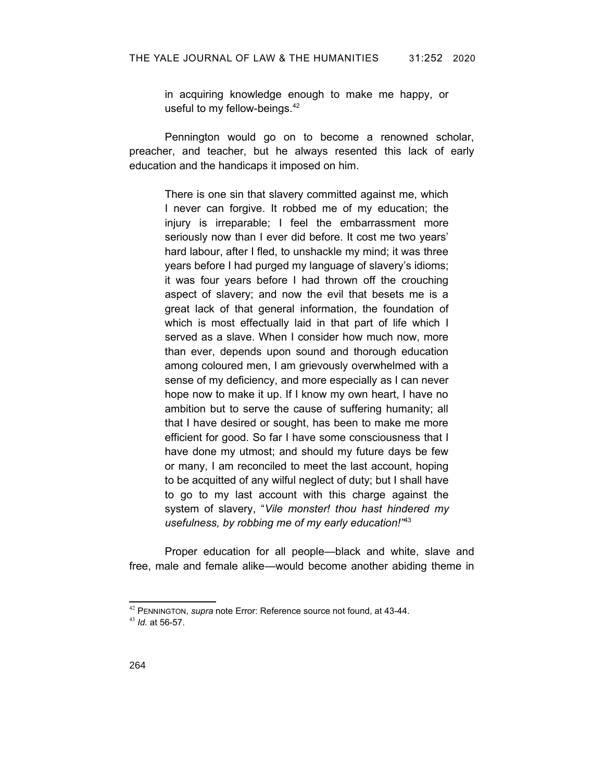in acquiring knowledge enough to make me happy, or useful to my fellow-beings.<sup>[42](#page-11-1)</sup>

Pennington would go on to become a renowned scholar, preacher, and teacher, but he always resented this lack of early education and the handicaps it imposed on him.

There is one sin that slavery committed against me, which I never can forgive. It robbed me of my education; the injury is irreparable; I feel the embarrassment more seriously now than I ever did before. It cost me two years' hard labour, after I fled, to unshackle my mind; it was three years before I had purged my language of slavery's idioms; it was four years before I had thrown off the crouching aspect of slavery; and now the evil that besets me is a great lack of that general information, the foundation of which is most effectually laid in that part of life which I served as a slave. When I consider how much now, more than ever, depends upon sound and thorough education among coloured men, I am grievously overwhelmed with a sense of my deficiency, and more especially as I can never hope now to make it up. If I know my own heart, I have no ambition but to serve the cause of suffering humanity; all that I have desired or sought, has been to make me more efficient for good. So far I have some consciousness that I have done my utmost; and should my future days be few or many, I am reconciled to meet the last account, hoping to be acquitted of any wilful neglect of duty; but I shall have to go to my last account with this charge against the system of slavery, "*Vile monster! thou hast hindered my usefulness, by robbing me of my early education!"*[43](#page-11-2)

Proper education for all people—black and white, slave and free, male and female alike—would become another abiding theme in

<span id="page-11-1"></span><span id="page-11-0"></span><sup>42</sup> PENNINGTON, *supra* note [Error: Reference source not found,](#page-11-0) at 43-44.

<span id="page-11-2"></span><sup>43</sup> *Id.* at 56-57.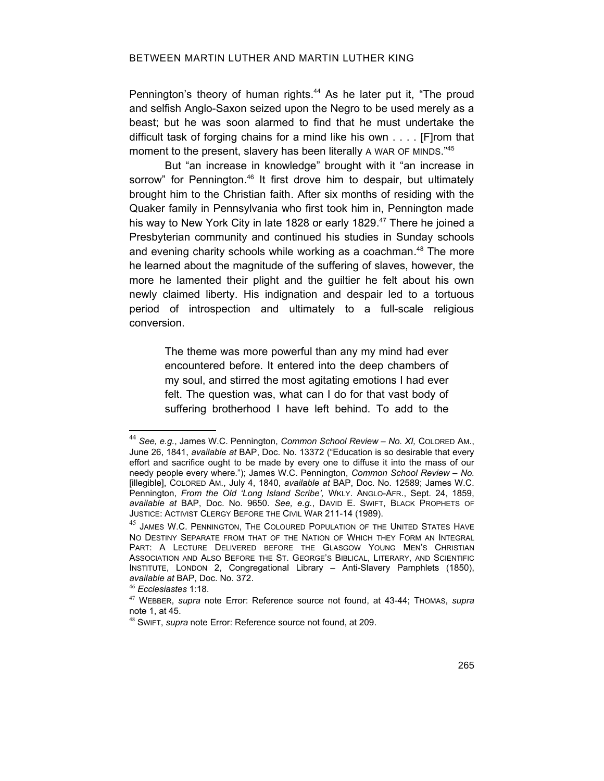<span id="page-12-7"></span>Pennington's theory of human rights.<sup>[44](#page-12-2)</sup> As he later put it, "The proud and selfish Anglo-Saxon seized upon the Negro to be used merely as a beast; but he was soon alarmed to find that he must undertake the difficult task of forging chains for a mind like his own . . . . [F]rom that moment to the present, slavery has been literally A WAR OF MINDS."[45](#page-12-3)

But "an increase in knowledge" brought with it "an increase in sorrow" for Pennington.<sup>[46](#page-12-4)</sup> It first drove him to despair, but ultimately brought him to the Christian faith. After six months of residing with the Quaker family in Pennsylvania who first took him in, Pennington made his way to New York City in late 1828 or early 1829.<sup>[47](#page-12-5)</sup> There he joined a Presbyterian community and continued his studies in Sunday schools and evening charity schools while working as a coachman. [48](#page-12-6) The more he learned about the magnitude of the suffering of slaves, however, the more he lamented their plight and the guiltier he felt about his own newly claimed liberty. His indignation and despair led to a tortuous period of introspection and ultimately to a full-scale religious conversion.

> The theme was more powerful than any my mind had ever encountered before. It entered into the deep chambers of my soul, and stirred the most agitating emotions I had ever felt. The question was, what can I do for that vast body of suffering brotherhood I have left behind. To add to the

<span id="page-12-2"></span><sup>44</sup> *See, e.g.*, James W.C. Pennington, *Common School Review – No. XI,* COLORED AM., June 26, 1841, *available at* BAP, Doc. No. 13372 ("Education is so desirable that every effort and sacrifice ought to be made by every one to diffuse it into the mass of our needy people every where."); James W.C. Pennington, *Common School Review – No.* [illegible], COLORED AM., July 4, 1840, *available at* BAP, Doc. No. 12589; James W.C. Pennington, From the Old 'Long Island Scribe', WKLY. ANGLO-AFR., Sept. 24, 1859, *available at* BAP, Doc. No. 9650. *See, e.g.*, DAVID E. SWIFT, BLACK PROPHETS OF JUSTICE: ACTIVIST CLERGY BEFORE THE CIVIL WAR 211-14 (1989).

<span id="page-12-3"></span><sup>45</sup> JAMES W.C. PENNINGTON, THE COLOURED POPULATION OF THE UNITED STATES HAVE NO DESTINY SEPARATE FROM THAT OF THE NATION OF WHICH THEY FORM AN INTEGRAL PART: A LECTURE DELIVERED BEFORE THE GLASGOW YOUNG MEN'S CHRISTIAN ASSOCIATION AND ALSO BEFORE THE ST. GEORGE'S BIBLICAL, LITERARY, AND SCIENTIFIC INSTITUTE, LONDON 2, Congregational Library – Anti-Slavery Pamphlets (1850), *available at* BAP, Doc. No. 372.

<span id="page-12-4"></span><span id="page-12-1"></span><sup>46</sup> *Ecclesiastes* 1:18.

<span id="page-12-5"></span><sup>47</sup> WEBBER, *supra* note [Error: Reference source not found,](#page-12-1) at 43-44; THOMAS, *supra* note 1, at 45.

<span id="page-12-6"></span><span id="page-12-0"></span><sup>48</sup> SWIFT, *supra* note [Error: Reference source not found](#page-12-0), at 209.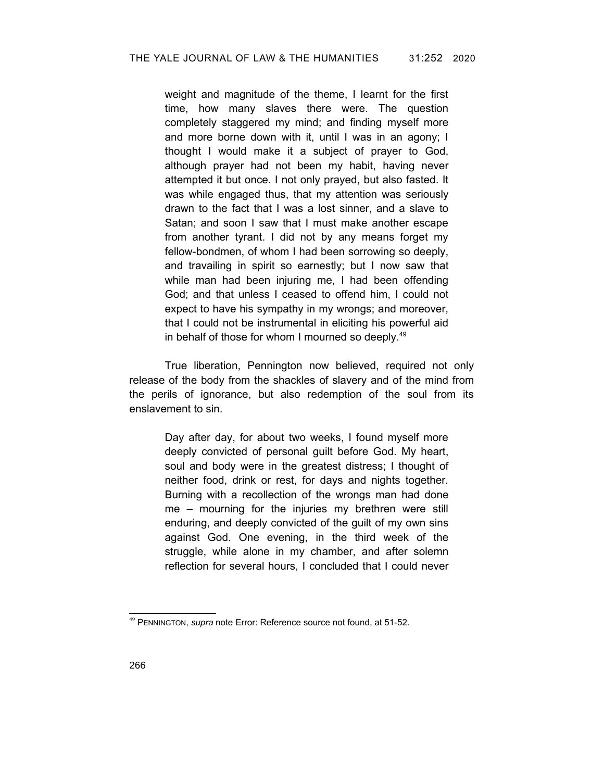weight and magnitude of the theme, I learnt for the first time, how many slaves there were. The question completely staggered my mind; and finding myself more and more borne down with it, until I was in an agony; I thought I would make it a subject of prayer to God, although prayer had not been my habit, having never attempted it but once. I not only prayed, but also fasted. It was while engaged thus, that my attention was seriously drawn to the fact that I was a lost sinner, and a slave to Satan; and soon I saw that I must make another escape from another tyrant. I did not by any means forget my fellow-bondmen, of whom I had been sorrowing so deeply, and travailing in spirit so earnestly; but I now saw that while man had been injuring me, I had been offending God; and that unless I ceased to offend him, I could not expect to have his sympathy in my wrongs; and moreover, that I could not be instrumental in eliciting his powerful aid in behalf of those for whom I mourned so deeply.<sup>[49](#page-13-1)</sup>

True liberation, Pennington now believed, required not only release of the body from the shackles of slavery and of the mind from the perils of ignorance, but also redemption of the soul from its enslavement to sin.

> Day after day, for about two weeks, I found myself more deeply convicted of personal guilt before God. My heart, soul and body were in the greatest distress; I thought of neither food, drink or rest, for days and nights together. Burning with a recollection of the wrongs man had done me – mourning for the injuries my brethren were still enduring, and deeply convicted of the guilt of my own sins against God. One evening, in the third week of the struggle, while alone in my chamber, and after solemn reflection for several hours, I concluded that I could never

<span id="page-13-1"></span><span id="page-13-0"></span><sup>49</sup> PENNINGTON, *supra* note [Error: Reference source not found,](#page-13-0) at 51-52.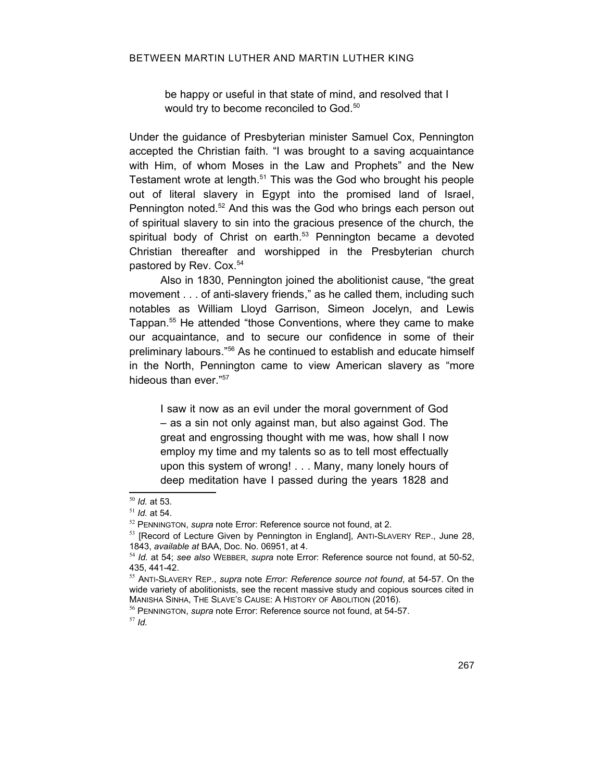be happy or useful in that state of mind, and resolved that I would try to become reconciled to God.<sup>[50](#page-14-4)</sup>

Under the guidance of Presbyterian minister Samuel Cox, Pennington accepted the Christian faith. "I was brought to a saving acquaintance with Him, of whom Moses in the Law and Prophets" and the New Testament wrote at length.<sup>[51](#page-14-5)</sup> This was the God who brought his people out of literal slavery in Egypt into the promised land of Israel, Pennington noted.<sup>[52](#page-14-6)</sup> And this was the God who brings each person out of spiritual slavery to sin into the gracious presence of the church, the spiritual body of Christ on earth. [53](#page-14-7) Pennington became a devoted Christian thereafter and worshipped in the Presbyterian church pastored by Rev. Cox. [54](#page-14-8)

Also in 1830, Pennington joined the abolitionist cause, "the great movement . . . of anti-slavery friends," as he called them, including such notables as William Lloyd Garrison, Simeon Jocelyn, and Lewis Tappan. [55](#page-14-9) He attended "those Conventions, where they came to make our acquaintance, and to secure our confidence in some of their preliminary labours."[56](#page-14-10) As he continued to establish and educate himself in the North, Pennington came to view American slavery as "more hideous than ever."[57](#page-14-11)

<span id="page-14-3"></span>I saw it now as an evil under the moral government of God – as a sin not only against man, but also against God. The great and engrossing thought with me was, how shall I now employ my time and my talents so as to tell most effectually upon this system of wrong! . . . Many, many lonely hours of deep meditation have I passed during the years 1828 and

<span id="page-14-11"></span><sup>57</sup> *Id.*

<span id="page-14-4"></span><sup>50</sup> *Id.* at 53.

<span id="page-14-5"></span><sup>51</sup> *Id.* at 54.

<span id="page-14-6"></span><sup>52</sup> PENNINGTON, *supra* note [Error: Reference source not found,](#page-14-3) at 2.

<span id="page-14-7"></span><sup>53</sup> [Record of Lecture Given by Pennington in England], ANTI-SLAVERY REP., June 28, 1843, *available at* BAA, Doc. No. 06951, at 4.

<span id="page-14-8"></span><span id="page-14-2"></span><sup>54</sup> *Id.* at 54; *see also* WEBBER, *supra* note [Error: Reference source not found](#page-14-2), at 50-52, 435, 441-42.

<span id="page-14-9"></span><span id="page-14-1"></span><sup>55</sup> ANTI-SLAVERY REP*.*, *supra* note *[Error: Reference source not found](#page-14-1)*, at 54-57. On the wide variety of abolitionists, see the recent massive study and copious sources cited in MANISHA SINHA, THE SLAVE'S CAUSE: A HISTORY OF ABOLITION (2016).

<span id="page-14-10"></span><span id="page-14-0"></span><sup>56</sup> PENNINGTON, *supra* note [Error: Reference source not found,](#page-14-0) at 54-57.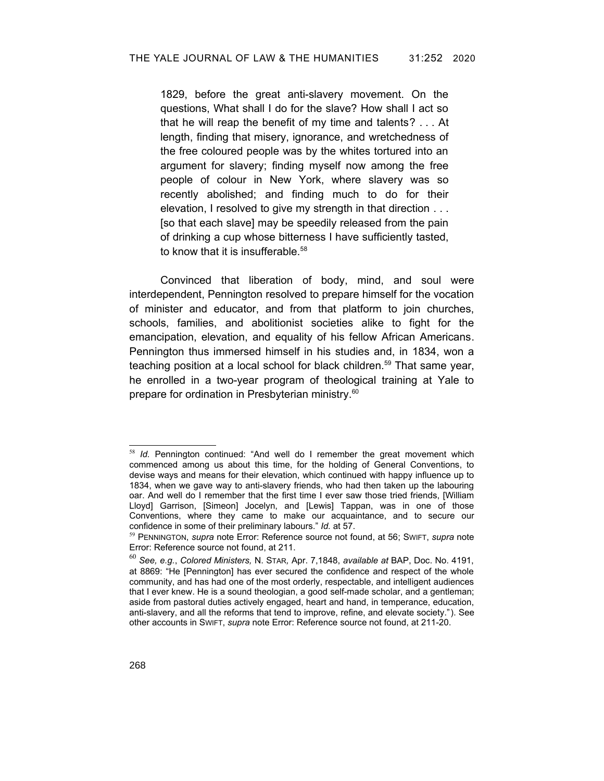1829, before the great anti-slavery movement. On the questions, What shall I do for the slave? How shall I act so that he will reap the benefit of my time and talents? . . . At length, finding that misery, ignorance, and wretchedness of the free coloured people was by the whites tortured into an argument for slavery; finding myself now among the free people of colour in New York, where slavery was so recently abolished; and finding much to do for their elevation, I resolved to give my strength in that direction . . . [so that each slave] may be speedily released from the pain of drinking a cup whose bitterness I have sufficiently tasted, to know that it is insufferable.<sup>[58](#page-15-3)</sup>

Convinced that liberation of body, mind, and soul were interdependent, Pennington resolved to prepare himself for the vocation of minister and educator, and from that platform to join churches, schools, families, and abolitionist societies alike to fight for the emancipation, elevation, and equality of his fellow African Americans. Pennington thus immersed himself in his studies and, in 1834, won a teaching position at a local school for black children.<sup>[59](#page-15-4)</sup> That same year, he enrolled in a two-year program of theological training at Yale to prepare for ordination in Presbyterian ministry.<sup>[60](#page-15-5)</sup>

<span id="page-15-3"></span><sup>58</sup> *Id.* Pennington continued: "And well do I remember the great movement which commenced among us about this time, for the holding of General Conventions, to devise ways and means for their elevation, which continued with happy influence up to 1834, when we gave way to anti-slavery friends, who had then taken up the labouring oar. And well do I remember that the first time I ever saw those tried friends, [William Lloyd] Garrison, [Simeon] Jocelyn, and [Lewis] Tappan, was in one of those Conventions, where they came to make our acquaintance, and to secure our confidence in some of their preliminary labours." *Id.* at 57.

<span id="page-15-4"></span><span id="page-15-2"></span><span id="page-15-1"></span><sup>59</sup> PENNINGTON, *supra* note [Error: Reference source not found,](#page-15-2) at 56; SWIFT, *supra* note [Error: Reference source not found](#page-15-1), at 211.

<span id="page-15-5"></span><span id="page-15-0"></span><sup>60</sup> *See, e.g.*, *Colored Ministers,* N. STAR*,* Apr. 7,1848, *available at* BAP, Doc. No. 4191, at 8869: "He [Pennington] has ever secured the confidence and respect of the whole community, and has had one of the most orderly, respectable, and intelligent audiences that I ever knew. He is a sound theologian, a good self-made scholar, and a gentleman; aside from pastoral duties actively engaged, heart and hand, in temperance, education, anti-slavery, and all the reforms that tend to improve, refine, and elevate society."). See other accounts in SWIFT, *supra* note [Error: Reference source not found](#page-15-0), at 211-20.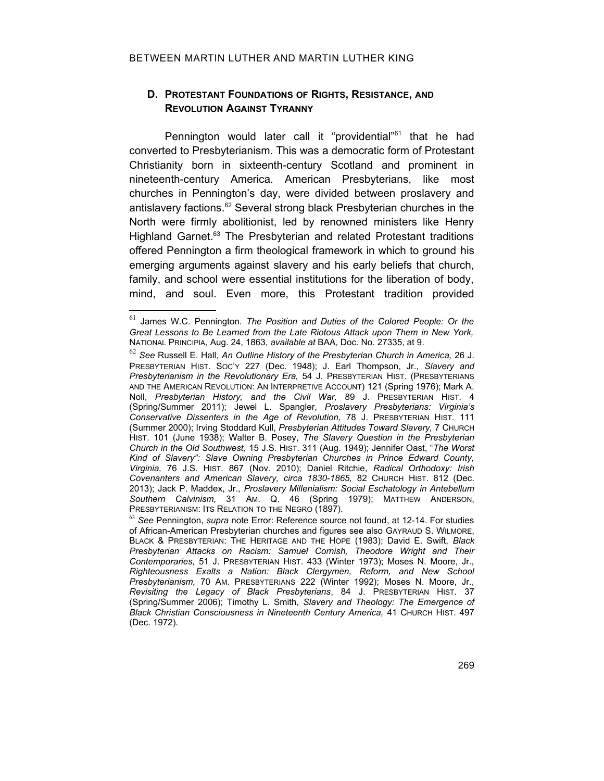## **D. PROTESTANT FOUNDATIONS OF RIGHTS, RESISTANCE, AND REVOLUTION AGAINST TYRANNY**

Pennington would later call it "providential"<sup>[61](#page-16-1)</sup> that he had converted to Presbyterianism. This was a democratic form of Protestant Christianity born in sixteenth-century Scotland and prominent in nineteenth-century America. American Presbyterians, like most churches in Pennington's day, were divided between proslavery and antislavery factions.<sup>[62](#page-16-2)</sup> Several strong black Presbyterian churches in the North were firmly abolitionist, led by renowned ministers like Henry Highland Garnet.<sup>[63](#page-16-3)</sup> The Presbyterian and related Protestant traditions offered Pennington a firm theological framework in which to ground his emerging arguments against slavery and his early beliefs that church, family, and school were essential institutions for the liberation of body, mind, and soul. Even more, this Protestant tradition provided

<span id="page-16-1"></span><sup>61</sup> James W.C. Pennington. *The Position and Duties of the Colored People: Or the Great Lessons to Be Learned from the Late Riotous Attack upon Them in New York,* NATIONAL PRINCIPIA, Aug. 24, 1863, *available at* BAA, Doc. No. 27335, at 9.

<span id="page-16-2"></span><sup>62</sup> *See* Russell E. Hall, *An Outline History of the Presbyterian Church in America,* 26 J. PRESBYTERIAN HIST. SOC'Y 227 (Dec. 1948); J. Earl Thompson, Jr., *Slavery and Presbyterianism in the Revolutionary Era,* 54 J. PRESBYTERIAN HIST. (PRESBYTERIANS AND THE AMERICAN REVOLUTION: AN INTERPRETIVE ACCOUNT) 121 (Spring 1976); Mark A. Noll, *Presbyterian History, and the Civil War,* 89 J. PRESBYTERIAN HIST. 4 (Spring/Summer 2011); Jewel L. Spangler, *Proslavery Presbyterians: Virginia's Conservative Dissenters in the Age of Revolution,* 78 J. PRESBYTERIAN HIST. 111 (Summer 2000); Irving Stoddard Kull, *Presbyterian Attitudes Toward Slavery,* 7 CHURCH HIST. 101 (June 1938); Walter B. Posey, *The Slavery Question in the Presbyterian Church in the Old Southwest,* 15 J.S. HIST. 311 (Aug. 1949); Jennifer Oast, "*The Worst Kind of Slavery": Slave Owning Presbyterian Churches in Prince Edward County, Virginia,* 76 J.S. HIST. 867 (Nov. 2010); Daniel Ritchie, *Radical Orthodoxy: Irish Covenanters and American Slavery, circa 1830-1865,* 82 CHURCH HIST. 812 (Dec. 2013); Jack P. Maddex, Jr., *Proslavery Millenialism: Social Eschatology in Antebellum Southern Calvinism,* 31 AM. Q. 46 (Spring 1979); MATTHEW ANDERSON, PRESBYTERIANISM: ITS RELATION TO THE NEGRO (1897).

<span id="page-16-3"></span><span id="page-16-0"></span><sup>63</sup> *See* Pennington, *supra* note [Error: Reference source not found](#page-16-0), at 12-14. For studies of African-American Presbyterian churches and figures see also GAYRAUD S. WILMORE, BLACK & PRESBYTERIAN: THE HERITAGE AND THE HOPE (1983); David E. Swift, *Black Presbyterian Attacks on Racism: Samuel Cornish, Theodore Wright and Their Contemporaries,* 51 J. PRESBYTERIAN HIST. 433 (Winter 1973); Moses N. Moore, Jr., *Righteousness Exalts a Nation: Black Clergymen, Reform, and New School Presbyterianism,* 70 AM. PRESBYTERIANS 222 (Winter 1992); Moses N. Moore, Jr., *Revisiting the Legacy of Black Presbyterians*, 84 J. PRESBYTERIAN HIST. 37 (Spring/Summer 2006); Timothy L. Smith, *Slavery and Theology: The Emergence of Black Christian Consciousness in Nineteenth Century America,* 41 CHURCH HIST. 497 (Dec. 1972).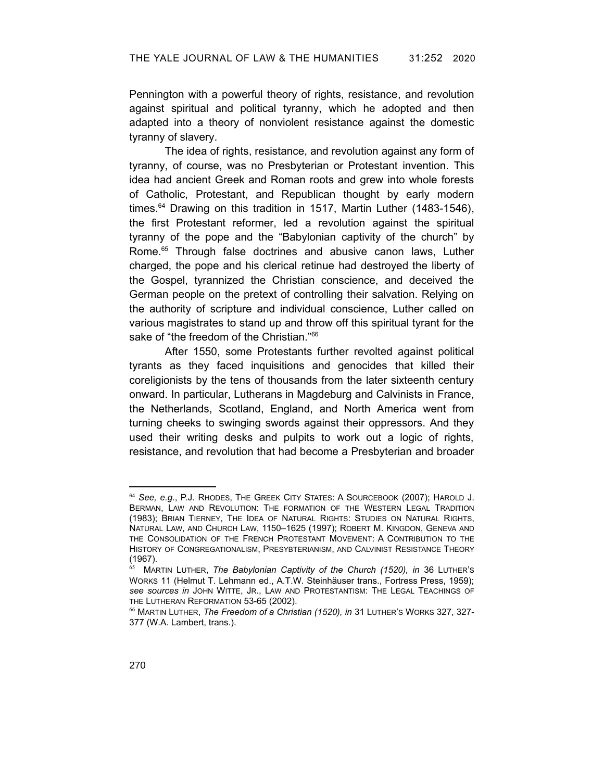Pennington with a powerful theory of rights, resistance, and revolution against spiritual and political tyranny, which he adopted and then adapted into a theory of nonviolent resistance against the domestic tyranny of slavery.

The idea of rights, resistance, and revolution against any form of tyranny, of course, was no Presbyterian or Protestant invention. This idea had ancient Greek and Roman roots and grew into whole forests of Catholic, Protestant, and Republican thought by early modern times.<sup>[64](#page-17-0)</sup> Drawing on this tradition in 1517, Martin Luther (1483-1546), the first Protestant reformer, led a revolution against the spiritual tyranny of the pope and the "Babylonian captivity of the church" by Rome.<sup>[65](#page-17-1)</sup> Through false doctrines and abusive canon laws, Luther charged, the pope and his clerical retinue had destroyed the liberty of the Gospel, tyrannized the Christian conscience, and deceived the German people on the pretext of controlling their salvation. Relying on the authority of scripture and individual conscience, Luther called on various magistrates to stand up and throw off this spiritual tyrant for the sake of "the freedom of the Christian."<sup>[66](#page-17-2)</sup>

After 1550, some Protestants further revolted against political tyrants as they faced inquisitions and genocides that killed their coreligionists by the tens of thousands from the later sixteenth century onward. In particular, Lutherans in Magdeburg and Calvinists in France, the Netherlands, Scotland, England, and North America went from turning cheeks to swinging swords against their oppressors. And they used their writing desks and pulpits to work out a logic of rights, resistance, and revolution that had become a Presbyterian and broader

<span id="page-17-0"></span><sup>64</sup> *See, e.g.*, P.J. RHODES, THE GREEK CITY STATES: A SOURCEBOOK (2007); HAROLD J. BERMAN, LAW AND REVOLUTION: THE FORMATION OF THE WESTERN LEGAL TRADITION (1983); BRIAN TIERNEY, THE IDEA OF NATURAL RIGHTS: STUDIES ON NATURAL RIGHTS, NATURAL LAW, AND CHURCH LAW, 1150–1625 (1997); ROBERT M. KINGDON, GENEVA AND THE CONSOLIDATION OF THE FRENCH PROTESTANT MOVEMENT: A CONTRIBUTION TO THE HISTORY OF CONGREGATIONALISM, PRESYBTERIANISM, AND CALVINIST RESISTANCE THEORY (1967).

<span id="page-17-1"></span><sup>65</sup> MARTIN LUTHER, *The Babylonian Captivity of the Church (1520), in* 36 LUTHER'S WORKS 11 (Helmut T. Lehmann ed., A.T.W. Steinhäuser trans., Fortress Press, 1959); *see sources in* JOHN WITTE, JR., LAW AND PROTESTANTISM: THE LEGAL TEACHINGS OF THE LUTHERAN REFORMATION 53-65 (2002).

<span id="page-17-2"></span><sup>66</sup> MARTIN LUTHER, *The Freedom of a Christian (1520), in* 31 LUTHER'S WORKS 327, 327- 377 (W.A. Lambert, trans.).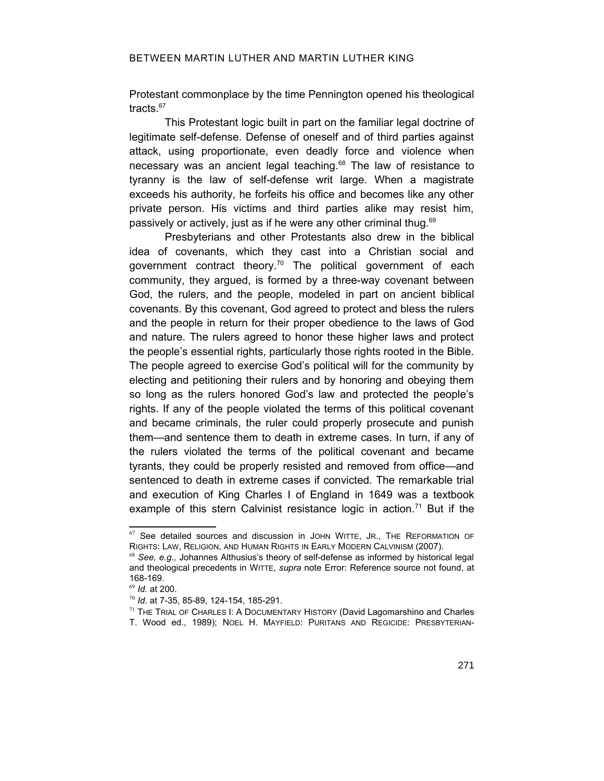Protestant commonplace by the time Pennington opened his theological tracts.<sup>[67](#page-18-1)</sup>

This Protestant logic built in part on the familiar legal doctrine of legitimate self-defense. Defense of oneself and of third parties against attack, using proportionate, even deadly force and violence when necessary was an ancient legal teaching.<sup>[68](#page-18-2)</sup> The law of resistance to tyranny is the law of self-defense writ large. When a magistrate exceeds his authority, he forfeits his office and becomes like any other private person. His victims and third parties alike may resist him, passively or actively, just as if he were any other criminal thug.[69](#page-18-3)

Presbyterians and other Protestants also drew in the biblical idea of covenants, which they cast into a Christian social and government contract theory.<sup>[70](#page-18-4)</sup> The political government of each community, they argued, is formed by a three-way covenant between God, the rulers, and the people, modeled in part on ancient biblical covenants. By this covenant, God agreed to protect and bless the rulers and the people in return for their proper obedience to the laws of God and nature. The rulers agreed to honor these higher laws and protect the people's essential rights, particularly those rights rooted in the Bible. The people agreed to exercise God's political will for the community by electing and petitioning their rulers and by honoring and obeying them so long as the rulers honored God's law and protected the people's rights. If any of the people violated the terms of this political covenant and became criminals, the ruler could properly prosecute and punish them—and sentence them to death in extreme cases. In turn, if any of the rulers violated the terms of the political covenant and became tyrants, they could be properly resisted and removed from office—and sentenced to death in extreme cases if convicted. The remarkable trial and execution of King Charles I of England in 1649 was a textbook example of this stern Calvinist resistance logic in action.<sup>[71](#page-18-5)</sup> But if the

<span id="page-18-1"></span> $67$  See detailed sources and discussion in JOHN WITTE, JR., THE REFORMATION OF RIGHTS: LAW, RELIGION, AND HUMAN RIGHTS IN EARLY MODERN CALVINISM (2007).

<span id="page-18-2"></span><span id="page-18-0"></span><sup>68</sup> *See, e.g.,* Johannes Althusius's theory of self-defense as informed by historical legal and theological precedents in WITTE, *supra* note [Error: Reference source not found,](#page-18-0) at 168-169.

<span id="page-18-3"></span><sup>69</sup> *Id.* at 200.

<span id="page-18-4"></span><sup>70</sup> *Id.* at 7-35, 85-89, 124-154, 185-291.

<span id="page-18-5"></span> $71$  THE TRIAL OF CHARLES I: A DOCUMENTARY HISTORY (David Lagomarshino and Charles

T. Wood ed., 1989); NOEL H. MAYFIELD: PURITANS AND REGICIDE: PRESBYTERIAN-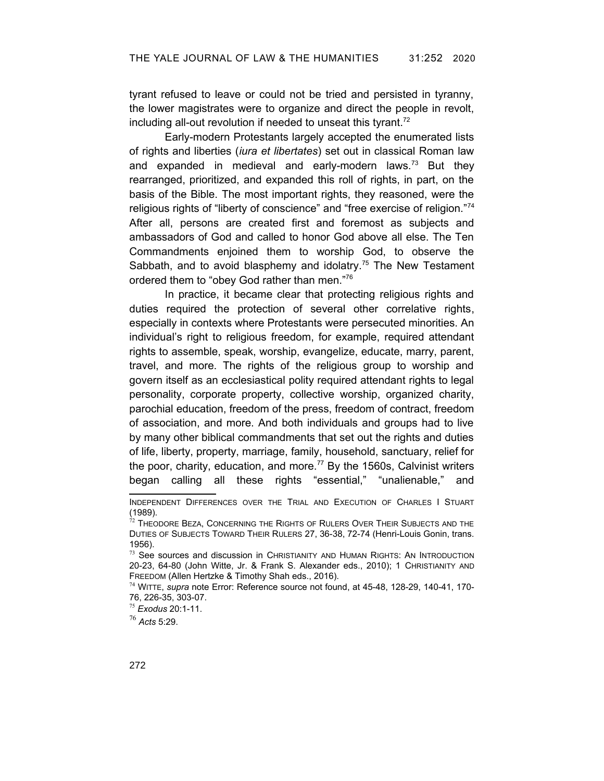tyrant refused to leave or could not be tried and persisted in tyranny, the lower magistrates were to organize and direct the people in revolt, including all-out revolution if needed to unseat this tyrant.<sup>[72](#page-19-1)</sup>

Early-modern Protestants largely accepted the enumerated lists of rights and liberties (*iura et libertates*) set out in classical Roman law and expanded in medieval and early-modern laws. $73$  But they rearranged, prioritized, and expanded this roll of rights, in part, on the basis of the Bible. The most important rights, they reasoned, were the religious rights of "liberty of conscience" and "free exercise of religion."[74](#page-19-3) After all, persons are created first and foremost as subjects and ambassadors of God and called to honor God above all else. The Ten Commandments enjoined them to worship God, to observe the Sabbath, and to avoid blasphemy and idolatry.<sup>[75](#page-19-4)</sup> The New Testament ordered them to "obey God rather than men."[76](#page-19-5)

In practice, it became clear that protecting religious rights and duties required the protection of several other correlative rights, especially in contexts where Protestants were persecuted minorities. An individual's right to religious freedom, for example, required attendant rights to assemble, speak, worship, evangelize, educate, marry, parent, travel, and more. The rights of the religious group to worship and govern itself as an ecclesiastical polity required attendant rights to legal personality, corporate property, collective worship, organized charity, parochial education, freedom of the press, freedom of contract, freedom of association, and more. And both individuals and groups had to live by many other biblical commandments that set out the rights and duties of life, liberty, property, marriage, family, household, sanctuary, relief for the poor, charity, education, and more.<sup>77</sup> By the 1560s, Calvinist writers began calling all these rights "essential," "unalienable," and

<span id="page-19-5"></span><sup>76</sup> *Acts* 5:29.

INDEPENDENT DIFFERENCES OVER THE TRIAL AND EXECUTION OF CHARLES I STUART (1989).

<span id="page-19-1"></span> $^{72}$  Theodore Beza, Concerning the Rights of Rulers Over Their Subjects and the DUTIES OF SUBJECTS TOWARD THEIR RULERS 27, 36-38, 72-74 (Henri-Louis Gonin, trans. 1956).

<span id="page-19-2"></span> $73$  See sources and discussion in CHRISTIANITY AND HUMAN RIGHTS: AN INTRODUCTION 20-23, 64-80 (John Witte, Jr. & Frank S. Alexander eds., 2010); 1 CHRISTIANITY AND FREEDOM (Allen Hertzke & Timothy Shah eds., 2016).

<span id="page-19-3"></span><span id="page-19-0"></span><sup>74</sup> WITTE, *supra* note [Error: Reference source not found](#page-19-0), at 45-48, 128-29, 140-41, 170- 76, 226-35, 303-07.

<span id="page-19-4"></span><sup>75</sup> *Exodus* 20:1-11.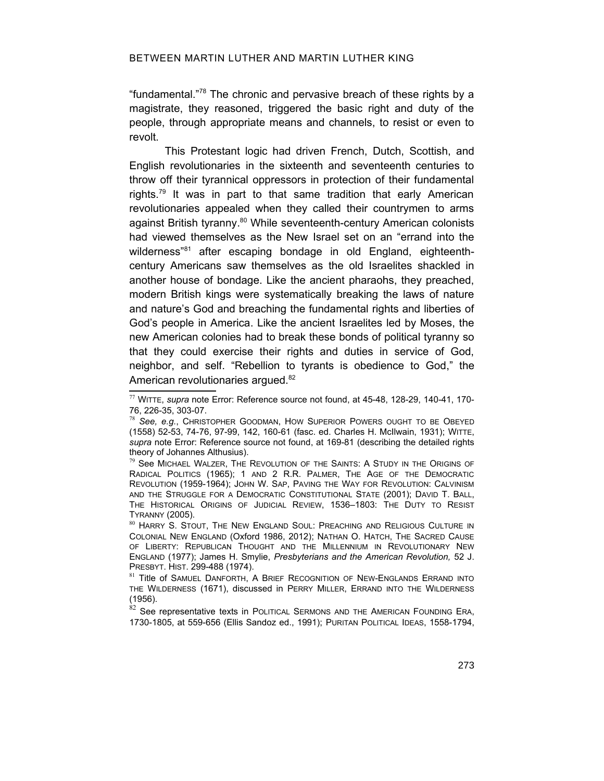### BETWEEN MARTIN LUTHER AND MARTIN LUTHER KING

"fundamental."[78](#page-20-2) The chronic and pervasive breach of these rights by a magistrate, they reasoned, triggered the basic right and duty of the people, through appropriate means and channels, to resist or even to revolt.

This Protestant logic had driven French, Dutch, Scottish, and English revolutionaries in the sixteenth and seventeenth centuries to throw off their tyrannical oppressors in protection of their fundamental rights.[79](#page-20-3) It was in part to that same tradition that early American revolutionaries appealed when they called their countrymen to arms against British tyranny.<sup>[80](#page-20-4)</sup> While seventeenth-century American colonists had viewed themselves as the New Israel set on an "errand into the wilderness<sup>"[81](#page-20-5)</sup> after escaping bondage in old England, eighteenthcentury Americans saw themselves as the old Israelites shackled in another house of bondage. Like the ancient pharaohs, they preached, modern British kings were systematically breaking the laws of nature and nature's God and breaching the fundamental rights and liberties of God's people in America. Like the ancient Israelites led by Moses, the new American colonies had to break these bonds of political tyranny so that they could exercise their rights and duties in service of God, neighbor, and self. "Rebellion to tyrants is obedience to God," the American revolutionaries argued.<sup>[82](#page-20-6)</sup>

<span id="page-20-6"></span> $82$  See representative texts in POLITICAL SERMONS AND THE AMERICAN FOUNDING ERA, 1730-1805, at 559-656 (Ellis Sandoz ed., 1991); PURITAN POLITICAL IDEAS, 1558-1794,

<span id="page-20-1"></span><sup>77</sup> WITTE, *supra* note [Error: Reference source not found](#page-20-1), at 45-48, 128-29, 140-41, 170- 76, 226-35, 303-07.

<span id="page-20-2"></span><span id="page-20-0"></span><sup>78</sup> *See, e.g.*, CHRISTOPHER GOODMAN, HOW SUPERIOR POWERS OUGHT TO BE OBEYED (1558) 52-53, 74-76, 97-99, 142, 160-61 (fasc. ed. Charles H. McIlwain, 1931); WITTE, *supra* note [Error: Reference source not found](#page-20-0), at 169-81 (describing the detailed rights theory of Johannes Althusius).

<span id="page-20-3"></span><sup>&</sup>lt;sup>79</sup> See MICHAEL WALZER. THE REVOLUTION OF THE SAINTS: A STUDY IN THE ORIGINS OF RADICAL POLITICS (1965); 1 AND 2 R.R. PALMER, THE AGE OF THE DEMOCRATIC REVOLUTION (1959-1964); JOHN W. SAP, PAVING THE WAY FOR REVOLUTION: CALVINISM AND THE STRUGGLE FOR A DEMOCRATIC CONSTITUTIONAL STATE (2001); DAVID T. BALL, THE HISTORICAL ORIGINS OF JUDICIAL REVIEW, 1536–1803: THE DUTY TO RESIST TYRANNY (2005).

<span id="page-20-4"></span><sup>80</sup> HARRY S. STOUT, THE NEW ENGLAND SOUL: PREACHING AND RELIGIOUS CULTURE IN COLONIAL NEW ENGLAND (Oxford 1986, 2012); NATHAN O. HATCH, THE SACRED CAUSE OF LIBERTY: REPUBLICAN THOUGHT AND THE MILLENNIUM IN REVOLUTIONARY NEW ENGLAND (1977); James H. Smylie, *Presbyterians and the American Revolution,* 52 J. PRESBYT. HIST. 299-488 (1974).

<span id="page-20-5"></span><sup>&</sup>lt;sup>81</sup> Title of Samuel Danforth, A Brief Recognition of New-Englands Errand into THE WILDERNESS (1671), discussed in PERRY MILLER, ERRAND INTO THE WILDERNESS (1956).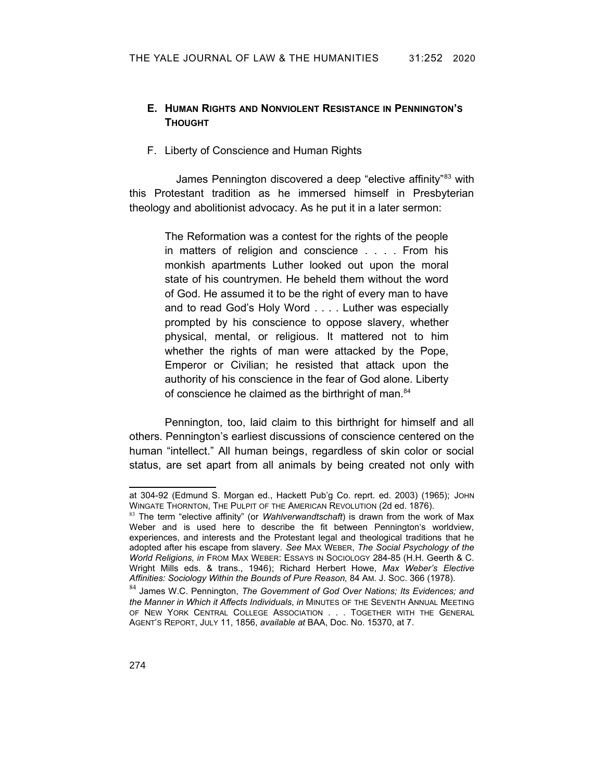## **E. HUMAN RIGHTS AND NONVIOLENT RESISTANCE IN PENNINGTON'S THOUGHT**

### F. Liberty of Conscience and Human Rights

James Pennington discovered a deep "elective affinity"<sup>[83](#page-21-0)</sup> with this Protestant tradition as he immersed himself in Presbyterian theology and abolitionist advocacy. As he put it in a later sermon:

> The Reformation was a contest for the rights of the people in matters of religion and conscience . . . . From his monkish apartments Luther looked out upon the moral state of his countrymen. He beheld them without the word of God. He assumed it to be the right of every man to have and to read God's Holy Word . . . . Luther was especially prompted by his conscience to oppose slavery, whether physical, mental, or religious. It mattered not to him whether the rights of man were attacked by the Pope, Emperor or Civilian; he resisted that attack upon the authority of his conscience in the fear of God alone. Liberty of conscience he claimed as the birthright of man.<sup>[84](#page-21-1)</sup>

Pennington, too, laid claim to this birthright for himself and all others. Pennington's earliest discussions of conscience centered on the human "intellect." All human beings, regardless of skin color or social status, are set apart from all animals by being created not only with

at 304-92 (Edmund S. Morgan ed., Hackett Pub'g Co. reprt. ed. 2003) (1965); JOHN WINGATE THORNTON, THE PULPIT OF THE AMERICAN REVOLUTION (2d ed. 1876).

<span id="page-21-0"></span><sup>83</sup> The term "elective affinity" (or *Wahlverwandtschaft*) is drawn from the work of Max Weber and is used here to describe the fit between Pennington's worldview, experiences, and interests and the Protestant legal and theological traditions that he adopted after his escape from slavery. *See* MAX WEBER, *The Social Psychology of the World Religions, in* FROM MAX WEBER: ESSAYS IN SOCIOLOGY 284-85 (H.H. Geerth & C. Wright Mills eds. & trans., 1946); Richard Herbert Howe, *Max Weber's Elective Affinities: Sociology Within the Bounds of Pure Reason,* 84 AM. J. SOC. 366 (1978).

<span id="page-21-1"></span><sup>84</sup> James W.C. Pennington, *The Government of God Over Nations; Its Evidences; and the Manner in Which it Affects Individuals*, *in* MINUTES OF THE SEVENTH ANNUAL MEETING OF NEW YORK CENTRAL COLLEGE ASSOCIATION . . . TOGETHER WITH THE GENERAL AGENT'S REPORT, JULY 11, 1856, *available at* BAA, Doc. No. 15370, at 7.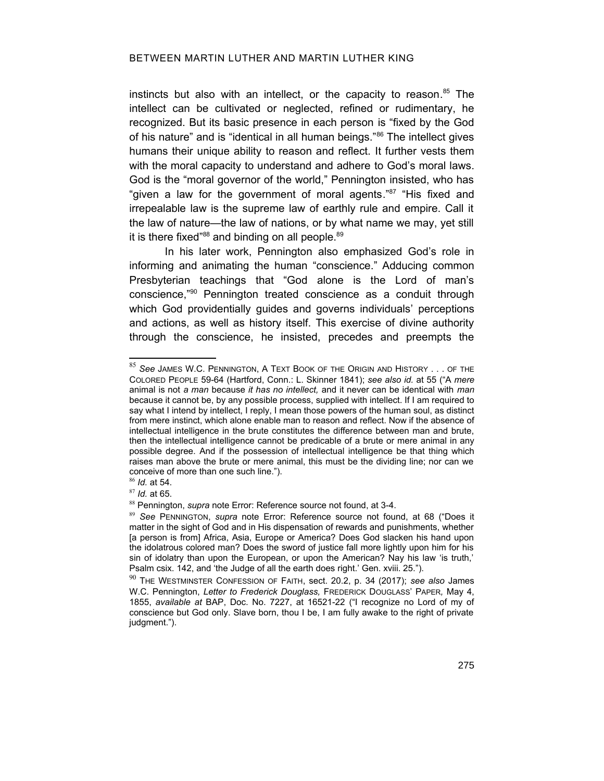instincts but also with an intellect, or the capacity to reason. [85](#page-22-2) The intellect can be cultivated or neglected, refined or rudimentary, he recognized. But its basic presence in each person is "fixed by the God of his nature" and is "identical in all human beings."<sup>[86](#page-22-3)</sup> The intellect gives humans their unique ability to reason and reflect. It further vests them with the moral capacity to understand and adhere to God's moral laws. God is the "moral governor of the world," Pennington insisted, who has "given a law for the government of moral agents."<sup>[87](#page-22-4)</sup> "His fixed and irrepealable law is the supreme law of earthly rule and empire. Call it the law of nature—the law of nations, or by what name we may, yet still it is there fixed"<sup>[88](#page-22-5)</sup> and binding on all people.<sup>[89](#page-22-6)</sup>

In his later work, Pennington also emphasized God's role in informing and animating the human "conscience." Adducing common Presbyterian teachings that "God alone is the Lord of man's conscience,"[90](#page-22-7) Pennington treated conscience as a conduit through which God providentially guides and governs individuals' perceptions and actions, as well as history itself. This exercise of divine authority through the conscience, he insisted, precedes and preempts the

<span id="page-22-2"></span><sup>85</sup> *See* JAMES W.C. PENNINGTON, A TEXT BOOK OF THE ORIGIN AND HISTORY . . . OF THE COLORED PEOPLE 59-64 (Hartford, Conn.: L. Skinner 1841); *see also id.* at 55 ("A *mere* animal is not *a man* because *it has no intellect,* and it never can be identical with *man* because it cannot be, by any possible process, supplied with intellect. If I am required to say what I intend by intellect, I reply, I mean those powers of the human soul, as distinct from mere instinct, which alone enable man to reason and reflect. Now if the absence of intellectual intelligence in the brute constitutes the difference between man and brute, then the intellectual intelligence cannot be predicable of a brute or mere animal in any possible degree. And if the possession of intellectual intelligence be that thing which raises man above the brute or mere animal, this must be the dividing line; nor can we conceive of more than one such line.").

<span id="page-22-3"></span><sup>86</sup> *Id.* at 54.

<span id="page-22-4"></span><sup>87</sup> *Id.* at 65.

<span id="page-22-5"></span><span id="page-22-1"></span><sup>88</sup> Pennington, *supra* note [Error: Reference source not found](#page-22-1), at 3-4.

<span id="page-22-6"></span><span id="page-22-0"></span><sup>89</sup> *See* PENNINGTON, *supra* note [Error: Reference source not found](#page-22-0), at 68 ("Does it matter in the sight of God and in His dispensation of rewards and punishments, whether [a person is from] Africa, Asia, Europe or America? Does God slacken his hand upon the idolatrous colored man? Does the sword of justice fall more lightly upon him for his sin of idolatry than upon the European, or upon the American? Nay his law 'is truth,' Psalm csix. 142, and 'the Judge of all the earth does right.' Gen. xviii. 25.").

<span id="page-22-7"></span><sup>90</sup> THE WESTMINSTER CONFESSION OF FAITH, sect. 20.2, p. 34 (2017); *see also* James W.C. Pennington, *Letter to Frederick Douglass,* FREDERICK DOUGLASS' PAPER*,* May 4, 1855, *available at* BAP, Doc. No. 7227, at 16521-22 ("I recognize no Lord of my of conscience but God only. Slave born, thou I be, I am fully awake to the right of private judgment.").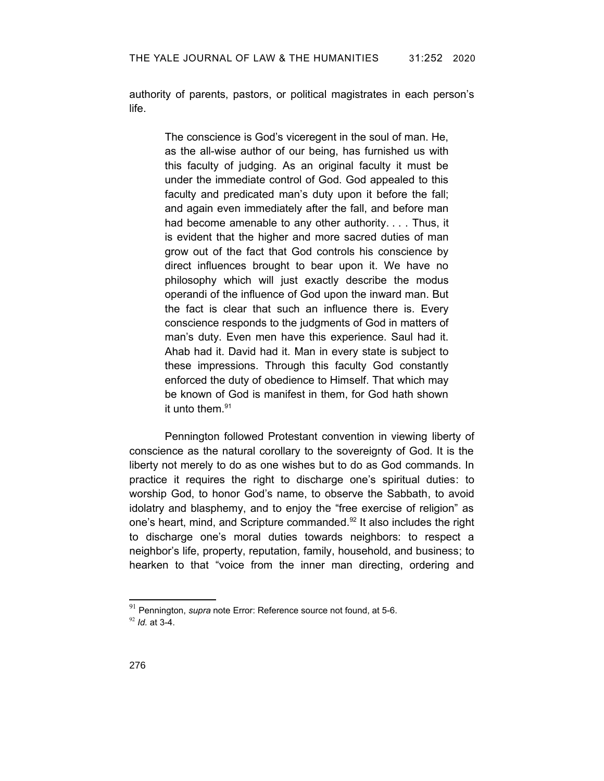authority of parents, pastors, or political magistrates in each person's life.

> The conscience is God's viceregent in the soul of man. He, as the all-wise author of our being, has furnished us with this faculty of judging. As an original faculty it must be under the immediate control of God. God appealed to this faculty and predicated man's duty upon it before the fall; and again even immediately after the fall, and before man had become amenable to any other authority. . . . Thus, it is evident that the higher and more sacred duties of man grow out of the fact that God controls his conscience by direct influences brought to bear upon it. We have no philosophy which will just exactly describe the modus operandi of the influence of God upon the inward man. But the fact is clear that such an influence there is. Every conscience responds to the judgments of God in matters of man's duty. Even men have this experience. Saul had it. Ahab had it. David had it. Man in every state is subject to these impressions. Through this faculty God constantly enforced the duty of obedience to Himself. That which may be known of God is manifest in them, for God hath shown it unto them. $91$

Pennington followed Protestant convention in viewing liberty of conscience as the natural corollary to the sovereignty of God. It is the liberty not merely to do as one wishes but to do as God commands. In practice it requires the right to discharge one's spiritual duties: to worship God, to honor God's name, to observe the Sabbath, to avoid idolatry and blasphemy, and to enjoy the "free exercise of religion" as one's heart, mind, and Scripture commanded.<sup>[92](#page-23-2)</sup> It also includes the right to discharge one's moral duties towards neighbors: to respect a neighbor's life, property, reputation, family, household, and business; to hearken to that "voice from the inner man directing, ordering and

<span id="page-23-2"></span><span id="page-23-1"></span><span id="page-23-0"></span><sup>91</sup> Pennington, *supra* note [Error: Reference source not found](#page-23-0), at 5-6. <sup>92</sup> *Id.* at 3-4.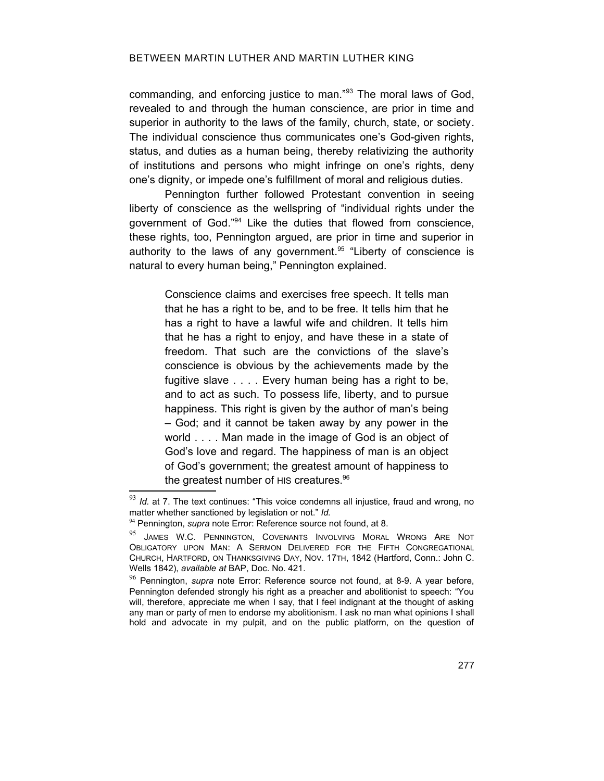commanding, and enforcing justice to man."[93](#page-24-2) The moral laws of God, revealed to and through the human conscience, are prior in time and superior in authority to the laws of the family, church, state, or society. The individual conscience thus communicates one's God-given rights, status, and duties as a human being, thereby relativizing the authority of institutions and persons who might infringe on one's rights, deny one's dignity, or impede one's fulfillment of moral and religious duties.

Pennington further followed Protestant convention in seeing liberty of conscience as the wellspring of "individual rights under the government of God."[94](#page-24-3) Like the duties that flowed from conscience, these rights, too, Pennington argued, are prior in time and superior in authority to the laws of any government. [95](#page-24-4) "Liberty of conscience is natural to every human being," Pennington explained.

> Conscience claims and exercises free speech. It tells man that he has a right to be, and to be free. It tells him that he has a right to have a lawful wife and children. It tells him that he has a right to enjoy, and have these in a state of freedom. That such are the convictions of the slave's conscience is obvious by the achievements made by the fugitive slave . . . . Every human being has a right to be, and to act as such. To possess life, liberty, and to pursue happiness. This right is given by the author of man's being – God; and it cannot be taken away by any power in the world . . . . Man made in the image of God is an object of God's love and regard. The happiness of man is an object of God's government; the greatest amount of happiness to the greatest number of HIS creatures.<sup>[96](#page-24-5)</sup>

<span id="page-24-2"></span><sup>&</sup>lt;sup>93</sup> *Id.* at 7. The text continues: "This voice condemns all injustice, fraud and wrong, no matter whether sanctioned by legislation or not." *Id.*

<span id="page-24-3"></span><span id="page-24-1"></span><sup>94</sup> Pennington, *supra* note [Error: Reference source not found](#page-24-1), at 8.

<span id="page-24-4"></span><sup>95</sup> JAMES W.C. PENNINGTON, COVENANTS INVOLVING MORAL WRONG ARE NOT OBLIGATORY UPON MAN: A SERMON DELIVERED FOR THE FIFTH CONGREGATIONAL CHURCH, HARTFORD, ON THANKSGIVING DAY, NOV. 17TH, 1842 (Hartford, Conn.: John C. Wells 1842), *available at* BAP, Doc. No. 421.

<span id="page-24-5"></span><span id="page-24-0"></span><sup>96</sup> Pennington, *supra* note [Error: Reference source not found](#page-24-0), at 8-9. A year before, Pennington defended strongly his right as a preacher and abolitionist to speech: "You will, therefore, appreciate me when I say, that I feel indignant at the thought of asking any man or party of men to endorse my abolitionism. I ask no man what opinions I shall hold and advocate in my pulpit, and on the public platform, on the question of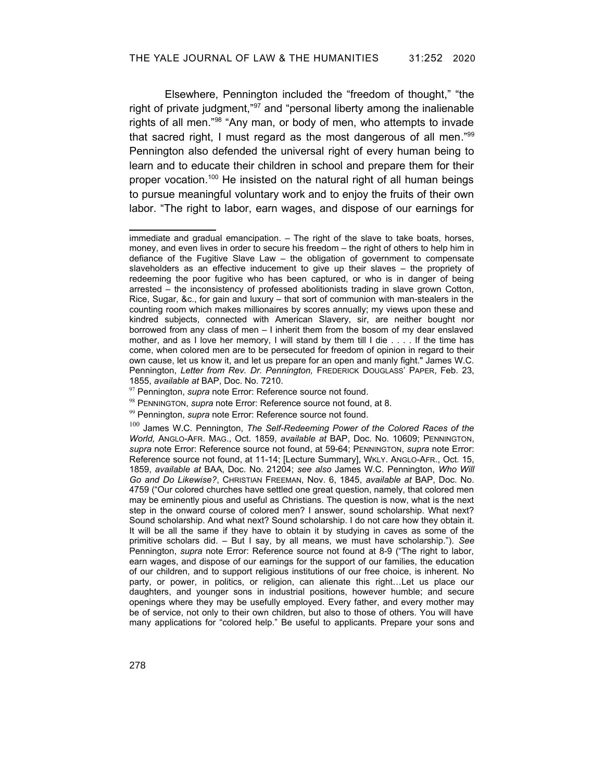Elsewhere, Pennington included the "freedom of thought," "the right of private judgment,"[97](#page-25-6) and "personal liberty among the inalienable rights of all men."[98](#page-25-7) "Any man, or body of men, who attempts to invade that sacred right, I must regard as the most dangerous of all men."[99](#page-25-8) Pennington also defended the universal right of every human being to learn and to educate their children in school and prepare them for their proper vocation.[100](#page-25-9) He insisted on the natural right of all human beings to pursue meaningful voluntary work and to enjoy the fruits of their own labor. "The right to labor, earn wages, and dispose of our earnings for

immediate and gradual emancipation. – The right of the slave to take boats, horses, money, and even lives in order to secure his freedom – the right of others to help him in defiance of the Fugitive Slave Law – the obligation of government to compensate slaveholders as an effective inducement to give up their slaves – the propriety of redeeming the poor fugitive who has been captured, or who is in danger of being arrested – the inconsistency of professed abolitionists trading in slave grown Cotton, Rice, Sugar, &c., for gain and luxury – that sort of communion with man-stealers in the counting room which makes millionaires by scores annually; my views upon these and kindred subjects, connected with American Slavery, sir, are neither bought nor borrowed from any class of men – I inherit them from the bosom of my dear enslaved mother, and as I love her memory, I will stand by them till I die . . . . If the time has come, when colored men are to be persecuted for freedom of opinion in regard to their own cause, let us know it, and let us prepare for an open and manly fight." James W.C. Pennington, *Letter from Rev. Dr. Pennington,* FREDERICK DOUGLASS' PAPER, Feb. 23, 1855, *available at* BAP, Doc. No. 7210.

<span id="page-25-6"></span><span id="page-25-5"></span><sup>97</sup> Pennington, *supra* note [Error: Reference source not found](#page-25-5).

<span id="page-25-7"></span><span id="page-25-4"></span><sup>98</sup> PENNINGTON, *supra* note [Error: Reference source not found,](#page-25-4) at 8.

<span id="page-25-8"></span><span id="page-25-3"></span><sup>99</sup> Pennington, *supra* note [Error: Reference source not found](#page-25-3).

<span id="page-25-9"></span><span id="page-25-2"></span><span id="page-25-1"></span><span id="page-25-0"></span><sup>100</sup> James W.C. Pennington, *The Self-Redeeming Power of the Colored Races of the World,* ANGLO-AFR. MAG., Oct. 1859, *available at* BAP, Doc. No. 10609; PENNINGTON, *supra* note [Error: Reference source not found](#page-25-2), at 59-64; PENNINGTON, *supra* note [Error:](#page-25-1) [Reference source not found](#page-25-1), at 11-14; [Lecture Summary], WKLY. ANGLO-AFR., Oct. 15, 1859, *available at* BAA, Doc. No. 21204; *see also* James W.C. Pennington, *Who Will Go and Do Likewise?*, CHRISTIAN FREEMAN, Nov. 6, 1845, *available at* BAP, Doc. No. 4759 ("Our colored churches have settled one great question, namely, that colored men may be eminently pious and useful as Christians. The question is now, what is the next step in the onward course of colored men? I answer, sound scholarship. What next? Sound scholarship. And what next? Sound scholarship. I do not care how they obtain it. It will be all the same if they have to obtain it by studying in caves as some of the primitive scholars did. – But I say, by all means, we must have scholarship."). *See* Pennington, *supra* note [Error: Reference source not found](#page-25-0) at 8-9 ("The right to labor, earn wages, and dispose of our earnings for the support of our families, the education of our children, and to support religious institutions of our free choice, is inherent. No party, or power, in politics, or religion, can alienate this right…Let us place our daughters, and younger sons in industrial positions, however humble; and secure openings where they may be usefully employed. Every father, and every mother may be of service, not only to their own children, but also to those of others. You will have many applications for "colored help." Be useful to applicants. Prepare your sons and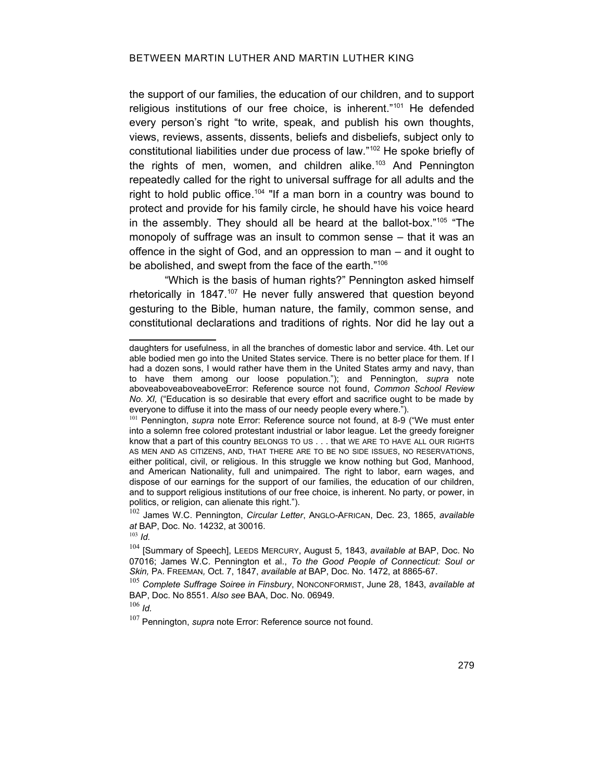the support of our families, the education of our children, and to support religious institutions of our free choice, is inherent."[101](#page-26-3) He defended every person's right "to write, speak, and publish his own thoughts, views, reviews, assents, dissents, beliefs and disbeliefs, subject only to constitutional liabilities under due process of law."[102](#page-26-4) He spoke briefly of the rights of men, women, and children alike.<sup>[103](#page-26-5)</sup> And Pennington repeatedly called for the right to universal suffrage for all adults and the right to hold public office.<sup>[104](#page-26-6)</sup> "If a man born in a country was bound to protect and provide for his family circle, he should have his voice heard in the assembly. They should all be heard at the ballot-box."<sup>[105](#page-26-7)</sup> "The monopoly of suffrage was an insult to common sense – that it was an offence in the sight of God, and an oppression to man – and it ought to be abolished, and swept from the face of the earth."<sup>[106](#page-26-8)</sup>

"Which is the basis of human rights?" Pennington asked himself rhetorically in 1847.<sup>[107](#page-26-9)</sup> He never fully answered that question bevond gesturing to the Bible, human nature, the family, common sense, and constitutional declarations and traditions of rights. Nor did he lay out a

<span id="page-26-4"></span><sup>102</sup> James W.C. Pennington, *Circular Letter*, ANGLO-AFRICAN, Dec. 23, 1865, *available at* BAP, Doc. No. 14232, at 30016.

<span id="page-26-5"></span><sup>103</sup> *Id.*

<span id="page-26-7"></span><sup>105</sup> *Complete Suffrage Soiree in Finsbury*, NONCONFORMIST, June 28, 1843, *available at* BAP, Doc. No 8551. *Also see* BAA, Doc. No. 06949.

<span id="page-26-8"></span><sup>106</sup> *Id.*

<span id="page-26-9"></span><span id="page-26-0"></span>107 Pennington, *supra* note [Error: Reference source not found.](#page-26-0)

daughters for usefulness, in all the branches of domestic labor and service. 4th. Let our able bodied men go into the United States service. There is no better place for them. If I had a dozen sons, I would rather have them in the United States army and navy, than to have them among our loose population."); and Pennington, *supra* note [aboveaboveaboveabove](#page-12-7)[Error: Reference source not found](#page-26-2), *Common School Review No. XI,* ("Education is so desirable that every effort and sacrifice ought to be made by everyone to diffuse it into the mass of our needy people every where.").

<span id="page-26-3"></span><span id="page-26-2"></span><span id="page-26-1"></span><sup>101</sup> Pennington, *supra* note [Error: Reference source not found](#page-26-1), at 8-9 ("We must enter into a solemn free colored protestant industrial or labor league. Let the greedy foreigner know that a part of this country BELONGS TO US . . . that WE ARE TO HAVE ALL OUR RIGHTS AS MEN AND AS CITIZENS, AND, THAT THERE ARE TO BE NO SIDE ISSUES, NO RESERVATIONS, either political, civil, or religious. In this struggle we know nothing but God, Manhood, and American Nationality, full and unimpaired. The right to labor, earn wages, and dispose of our earnings for the support of our families, the education of our children, and to support religious institutions of our free choice, is inherent. No party, or power, in politics, or religion, can alienate this right.").

<span id="page-26-6"></span><sup>104</sup> [Summary of Speech], LEEDS MERCURY, August 5, 1843, *available at* BAP, Doc. No 07016; James W.C. Pennington et al., *To the Good People of Connecticut: Soul or Skin,* PA. FREEMAN*,* Oct. 7, 1847, *available at* BAP, Doc. No. 1472, at 8865-67.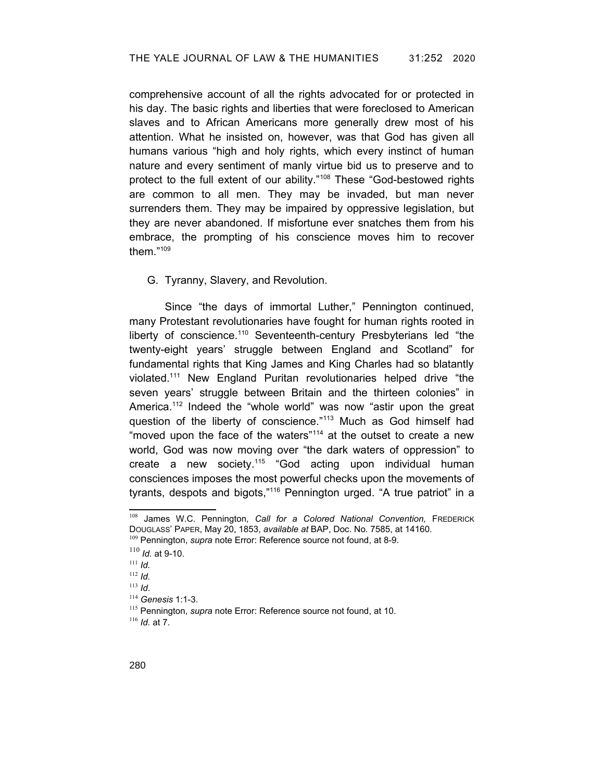comprehensive account of all the rights advocated for or protected in his day. The basic rights and liberties that were foreclosed to American slaves and to African Americans more generally drew most of his attention. What he insisted on, however, was that God has given all humans various "high and holy rights, which every instinct of human nature and every sentiment of manly virtue bid us to preserve and to protect to the full extent of our ability."[108](#page-27-2) These "God-bestowed rights are common to all men. They may be invaded, but man never surrenders them. They may be impaired by oppressive legislation, but they are never abandoned. If misfortune ever snatches them from his embrace, the prompting of his conscience moves him to recover them."[109](#page-27-3)

G. Tyranny, Slavery, and Revolution.

Since "the days of immortal Luther," Pennington continued, many Protestant revolutionaries have fought for human rights rooted in liberty of conscience.<sup>[110](#page-27-4)</sup> Seventeenth-century Presbyterians led "the twenty-eight years' struggle between England and Scotland" for fundamental rights that King James and King Charles had so blatantly violated.[111](#page-27-5) New England Puritan revolutionaries helped drive "the seven years' struggle between Britain and the thirteen colonies" in America.<sup>[112](#page-27-6)</sup> Indeed the "whole world" was now "astir upon the great question of the liberty of conscience."<sup>[113](#page-27-7)</sup> Much as God himself had "moved upon the face of the waters"<sup>[114](#page-27-8)</sup> at the outset to create a new world, God was now moving over "the dark waters of oppression" to create a new society.<sup>[115](#page-27-9)</sup> "God acting upon individual human consciences imposes the most powerful checks upon the movements of tyrants, despots and bigots,"[116](#page-27-10) Pennington urged. "A true patriot" in a

<span id="page-27-2"></span><sup>108</sup> James W.C. Pennington, *Call for a Colored National Convention,* FREDERICK DOUGLASS' PAPER, May 20, 1853, *available at* BAP, Doc. No. 7585, at 14160.

<span id="page-27-3"></span><span id="page-27-1"></span><sup>109</sup> Pennington, *supra* note [Error: Reference source not found](#page-27-1), at 8-9.

<span id="page-27-4"></span><sup>110</sup> *Id.* at 9-10.

<span id="page-27-5"></span><sup>111</sup> *Id.*

<span id="page-27-6"></span><sup>112</sup> *Id.*

<span id="page-27-7"></span><sup>113</sup> *Id*.

<span id="page-27-8"></span><sup>114</sup> *Genesis* 1:1-3.

<span id="page-27-9"></span><span id="page-27-0"></span><sup>115</sup> Pennington, *supra* note [Error: Reference source not found](#page-27-0), at 10.

<span id="page-27-10"></span><sup>116</sup> *Id.* at 7.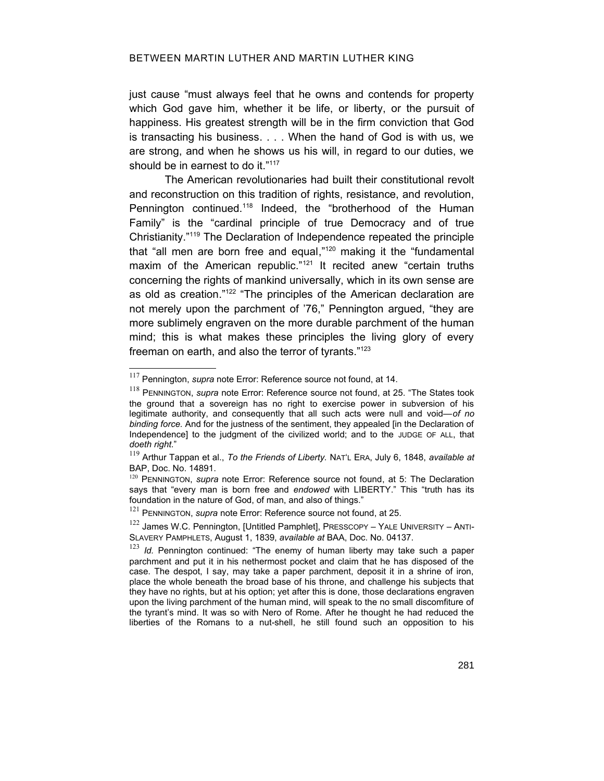### BETWEEN MARTIN LUTHER AND MARTIN LUTHER KING

just cause "must always feel that he owns and contends for property which God gave him, whether it be life, or liberty, or the pursuit of happiness. His greatest strength will be in the firm conviction that God is transacting his business. . . . When the hand of God is with us, we are strong, and when he shows us his will, in regard to our duties, we should be in earnest to do it."<sup>[117](#page-28-4)</sup>

The American revolutionaries had built their constitutional revolt and reconstruction on this tradition of rights, resistance, and revolution, Pennington continued.<sup>[118](#page-28-5)</sup> Indeed, the "brotherhood of the Human Family" is the "cardinal principle of true Democracy and of true Christianity." [119](#page-28-6) The Declaration of Independence repeated the principle that "all men are born free and equal,"[120](#page-28-7) making it the "fundamental maxim of the American republic."<sup>[121](#page-28-8)</sup> It recited anew "certain truths concerning the rights of mankind universally, which in its own sense are as old as creation."<sup>[122](#page-28-9)</sup> "The principles of the American declaration are not merely upon the parchment of '76," Pennington argued, "they are more sublimely engraven on the more durable parchment of the human mind; this is what makes these principles the living glory of every freeman on earth, and also the terror of tyrants."[123](#page-28-10)

<span id="page-28-4"></span><span id="page-28-3"></span><sup>117</sup> Pennington, *supra* note [Error: Reference source not found,](#page-28-3) at 14.

<span id="page-28-5"></span><span id="page-28-2"></span><sup>118</sup> PENNINGTON, *supra* note [Error: Reference source not found,](#page-28-2) at 25. "The States took the ground that a sovereign has no right to exercise power in subversion of his legitimate authority, and consequently that all such acts were null and void—*of no binding force.* And for the justness of the sentiment, they appealed [in the Declaration of Independence] to the judgment of the civilized world; and to the JUDGE OF ALL, that *doeth right*."

<span id="page-28-6"></span><sup>119</sup> Arthur Tappan et al., *To the Friends of Liberty.* NAT'L ERA, July 6, 1848, *available at* BAP, Doc. No. 14891.

<span id="page-28-7"></span><span id="page-28-1"></span><sup>&</sup>lt;sup>120</sup> PENNINGTON, *supra* note [Error: Reference source not found,](#page-28-1) at 5: The Declaration says that "every man is born free and *endowed* with LIBERTY." This "truth has its foundation in the nature of God, of man, and also of things."

<span id="page-28-8"></span><span id="page-28-0"></span><sup>&</sup>lt;sup>121</sup> PENNINGTON, *supra* note [Error: Reference source not found,](#page-28-0) at 25.

<span id="page-28-9"></span> $122$  James W.C. Pennington, [Untitled Pamphlet], PRESSCOPY – YALE UNIVERSITY – ANTI-SLAVERY PAMPHLETS, August 1, 1839, *available at* BAA, Doc. No. 04137.

<span id="page-28-10"></span><sup>&</sup>lt;sup>123</sup> *Id.* Pennington continued: "The enemy of human liberty may take such a paper parchment and put it in his nethermost pocket and claim that he has disposed of the case. The despot, I say, may take a paper parchment, deposit it in a shrine of iron, place the whole beneath the broad base of his throne, and challenge his subjects that they have no rights, but at his option; yet after this is done, those declarations engraven upon the living parchment of the human mind, will speak to the no small discomfiture of the tyrant's mind. It was so with Nero of Rome. After he thought he had reduced the liberties of the Romans to a nut-shell, he still found such an opposition to his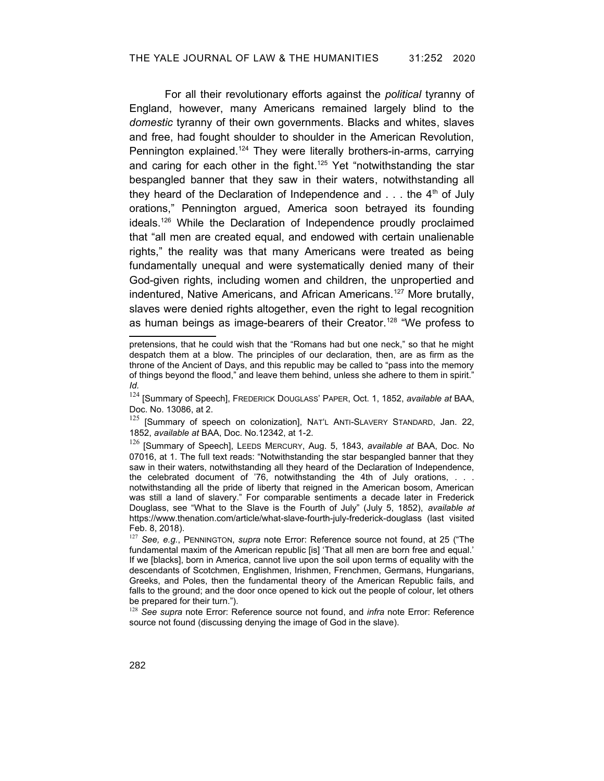For all their revolutionary efforts against the *political* tyranny of England, however, many Americans remained largely blind to the *domestic* tyranny of their own governments. Blacks and whites, slaves and free, had fought shoulder to shoulder in the American Revolution, Pennington explained.<sup>[124](#page-29-3)</sup> They were literally brothers-in-arms, carrying and caring for each other in the fight.<sup>[125](#page-29-4)</sup> Yet "notwithstanding the star bespangled banner that they saw in their waters, notwithstanding all they heard of the Declaration of Independence and  $\dots$  the 4<sup>th</sup> of July orations," Pennington argued, America soon betrayed its founding ideals.<sup>[126](#page-29-5)</sup> While the Declaration of Independence proudly proclaimed that "all men are created equal, and endowed with certain unalienable rights," the reality was that many Americans were treated as being fundamentally unequal and were systematically denied many of their God-given rights, including women and children, the unpropertied and indentured, Native Americans, and African Americans.<sup>[127](#page-29-6)</sup> More brutally, slaves were denied rights altogether, even the right to legal recognition as human beings as image-bearers of their Creator.<sup>[128](#page-29-7)</sup> "We profess to

pretensions, that he could wish that the "Romans had but one neck," so that he might despatch them at a blow. The principles of our declaration, then, are as firm as the throne of the Ancient of Days, and this republic may be called to "pass into the memory of things beyond the flood," and leave them behind, unless she adhere to them in spirit." *Id.*

<span id="page-29-3"></span><sup>124</sup> [Summary of Speech], FREDERICK DOUGLASS' PAPER, Oct. 1, 1852, *available at* BAA, Doc. No. 13086, at 2.

<span id="page-29-4"></span> $125$  [Summary of speech on colonization], NAT'L ANTI-SLAVERY STANDARD, Jan. 22, 1852, *available at* BAA, Doc. No.12342, at 1-2.

<span id="page-29-5"></span><sup>126</sup> [Summary of Speech], LEEDS MERCURY, Aug. 5, 1843, *available at* BAA, Doc. No 07016, at 1. The full text reads: "Notwithstanding the star bespangled banner that they saw in their waters, notwithstanding all they heard of the Declaration of Independence, the celebrated document of '76, notwithstanding the 4th of July orations, . . .

notwithstanding all the pride of liberty that reigned in the American bosom, American was still a land of slavery." For comparable sentiments a decade later in Frederick Douglass, see "What to the Slave is the Fourth of July" (July 5, 1852), *available at* https://www.thenation.com/article/what-slave-fourth-july-frederick-douglass (last visited Feb. 8, 2018).

<span id="page-29-6"></span><span id="page-29-2"></span><sup>127</sup> *See, e.g.*, PENNINGTON, *supra* note [Error: Reference source not found,](#page-29-2) at 25 ("The fundamental maxim of the American republic [is] 'That all men are born free and equal.' If we [blacks], born in America, cannot live upon the soil upon terms of equality with the descendants of Scotchmen, Englishmen, Irishmen, Frenchmen, Germans, Hungarians, Greeks, and Poles, then the fundamental theory of the American Republic fails, and falls to the ground; and the door once opened to kick out the people of colour, let others be prepared for their turn.").

<span id="page-29-7"></span><span id="page-29-1"></span><span id="page-29-0"></span><sup>128</sup> *See supra* note [Error: Reference source not found](#page-29-1), and *infra* note [Error: Reference](#page-29-0) [source not found](#page-29-0) (discussing denying the image of God in the slave).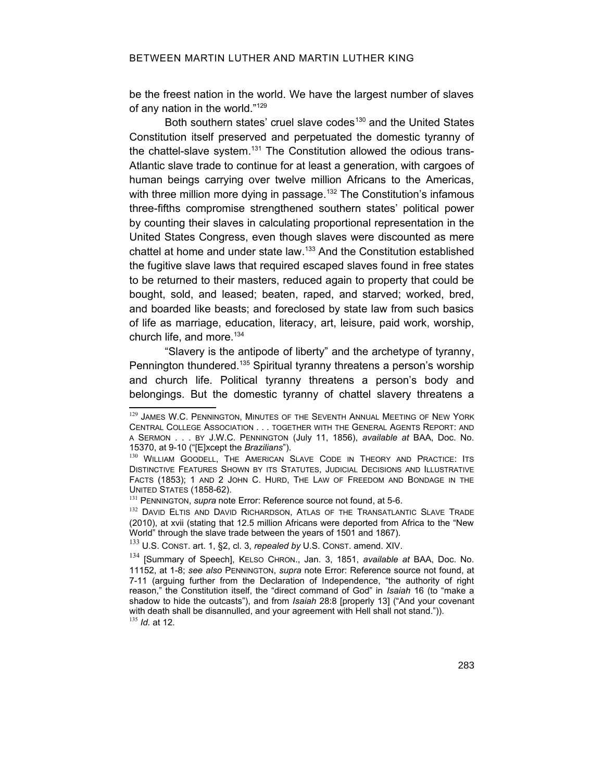be the freest nation in the world. We have the largest number of slaves of any nation in the world."[129](#page-30-2)

Both southern states' cruel slave codes<sup>[130](#page-30-3)</sup> and the United States Constitution itself preserved and perpetuated the domestic tyranny of the chattel-slave system. [131](#page-30-4) The Constitution allowed the odious trans-Atlantic slave trade to continue for at least a generation, with cargoes of human beings carrying over twelve million Africans to the Americas, with three million more dying in passage.<sup>[132](#page-30-5)</sup> The Constitution's infamous three-fifths compromise strengthened southern states' political power by counting their slaves in calculating proportional representation in the United States Congress, even though slaves were discounted as mere chattel at home and under state law. [133](#page-30-6) And the Constitution established the fugitive slave laws that required escaped slaves found in free states to be returned to their masters, reduced again to property that could be bought, sold, and leased; beaten, raped, and starved; worked, bred, and boarded like beasts; and foreclosed by state law from such basics of life as marriage, education, literacy, art, leisure, paid work, worship, church life, and more.<sup>[134](#page-30-7)</sup>

"Slavery is the antipode of liberty" and the archetype of tyranny, Pennington thundered.<sup>[135](#page-30-8)</sup> Spiritual tyranny threatens a person's worship and church life. Political tyranny threatens a person's body and belongings. But the domestic tyranny of chattel slavery threatens a

<span id="page-30-2"></span><sup>129</sup> JAMES W.C. PENNINGTON, MINUTES OF THE SEVENTH ANNUAL MEETING OF NEW YORK CENTRAL COLLEGE ASSOCIATION . . . TOGETHER WITH THE GENERAL AGENTS REPORT: AND A SERMON . . . BY J.W.C. PENNINGTON (July 11, 1856), *available at* BAA, Doc. No. 15370, at 9-10 ("[E]xcept the *Brazilians*").

<span id="page-30-3"></span><sup>130</sup> WILLIAM GOODELL, THE AMERICAN SLAVE CODE IN THEORY AND PRACTICE: ITS DISTINCTIVE FEATURES SHOWN BY ITS STATUTES, JUDICIAL DECISIONS AND ILLUSTRATIVE FACTS (1853); 1 AND 2 JOHN C. HURD, THE LAW OF FREEDOM AND BONDAGE IN THE UNITED STATES (1858-62).

<span id="page-30-4"></span><span id="page-30-1"></span><sup>&</sup>lt;sup>131</sup> PENNINGTON, *supra* note [Error: Reference source not found,](#page-30-1) at 5-6.

<span id="page-30-5"></span><sup>132</sup> DAVID ELTIS AND DAVID RICHARDSON, ATLAS OF THE TRANSATLANTIC SLAVE TRADE (2010), at xvii (stating that 12.5 million Africans were deported from Africa to the "New World" through the slave trade between the years of 1501 and 1867).

<span id="page-30-6"></span><sup>133</sup> U.S. CONST. art. 1, §2, cl. 3, *repealed by* U.S. CONST. amend. XIV.

<span id="page-30-8"></span><span id="page-30-7"></span><span id="page-30-0"></span><sup>134</sup> [Summary of Speech], KELSO CHRON., Jan. 3, 1851, *available at* BAA, Doc. No. 11152, at 1-8; *see also* PENNINGTON, *supra* note [Error: Reference source not found,](#page-30-0) at 7-11 (arguing further from the Declaration of Independence, "the authority of right reason," the Constitution itself, the "direct command of God" in *Isaiah* 16 (to "make a shadow to hide the outcasts"), and from *Isaiah* 28:8 [properly 13] ("And your covenant with death shall be disannulled, and your agreement with Hell shall not stand.")). <sup>135</sup> *Id.* at 12.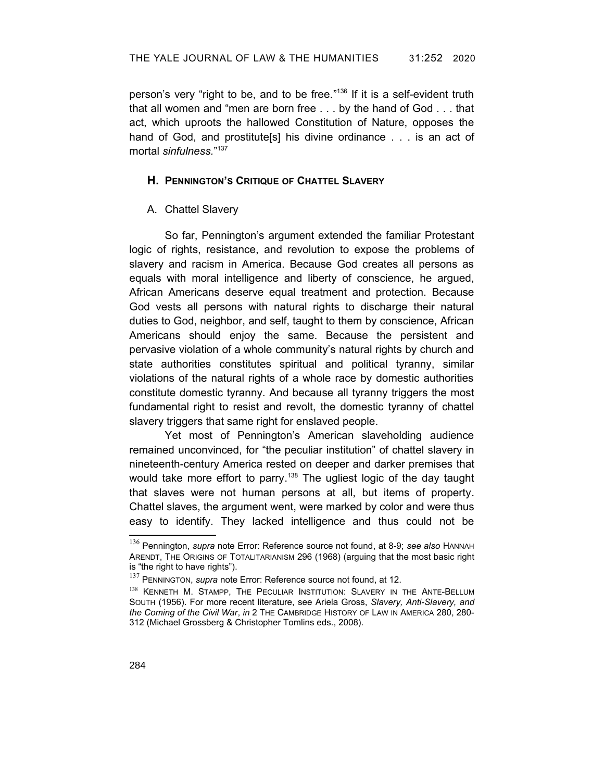person's very "right to be, and to be free."<sup>[136](#page-31-2)</sup> If it is a self-evident truth that all women and "men are born free . . . by the hand of God . . . that act, which uproots the hallowed Constitution of Nature, opposes the hand of God, and prostitute[s] his divine ordinance . . . is an act of mortal *sinfulness.*" [137](#page-31-3)

### **H. PENNINGTON'S CRITIQUE OF CHATTEL SLAVERY**

## A. Chattel Slavery

So far, Pennington's argument extended the familiar Protestant logic of rights, resistance, and revolution to expose the problems of slavery and racism in America. Because God creates all persons as equals with moral intelligence and liberty of conscience, he argued, African Americans deserve equal treatment and protection. Because God vests all persons with natural rights to discharge their natural duties to God, neighbor, and self, taught to them by conscience, African Americans should enjoy the same. Because the persistent and pervasive violation of a whole community's natural rights by church and state authorities constitutes spiritual and political tyranny, similar violations of the natural rights of a whole race by domestic authorities constitute domestic tyranny. And because all tyranny triggers the most fundamental right to resist and revolt, the domestic tyranny of chattel slavery triggers that same right for enslaved people.

Yet most of Pennington's American slaveholding audience remained unconvinced, for "the peculiar institution" of chattel slavery in nineteenth-century America rested on deeper and darker premises that would take more effort to parry.<sup>[138](#page-31-4)</sup> The ugliest logic of the day taught that slaves were not human persons at all, but items of property. Chattel slaves, the argument went, were marked by color and were thus easy to identify. They lacked intelligence and thus could not be

<span id="page-31-2"></span><span id="page-31-1"></span><sup>136</sup> Pennington, *supra* note [Error: Reference source not found](#page-31-1), at 8-9; *see also* HANNAH ARENDT, THE ORIGINS OF TOTALITARIANISM 296 (1968) (arguing that the most basic right is "the right to have rights").

<span id="page-31-3"></span><span id="page-31-0"></span><sup>&</sup>lt;sup>137</sup> PENNINGTON, *supra* note [Error: Reference source not found,](#page-31-0) at 12.

<span id="page-31-4"></span><sup>138</sup> KENNETH M. STAMPP, THE PECULIAR INSTITUTION: SLAVERY IN THE ANTE-BELLUM SOUTH (1956). For more recent literature, see Ariela Gross, *Slavery, Anti-Slavery, and the Coming of the Civil War*, *in* 2 THE CAMBRIDGE HISTORY OF LAW IN AMERICA 280, 280- 312 (Michael Grossberg & Christopher Tomlins eds., 2008).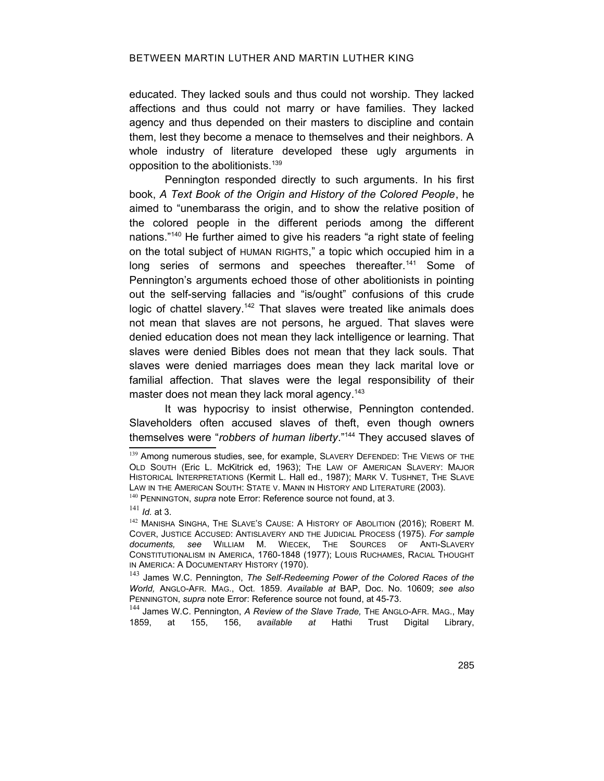educated. They lacked souls and thus could not worship. They lacked affections and thus could not marry or have families. They lacked agency and thus depended on their masters to discipline and contain them, lest they become a menace to themselves and their neighbors. A whole industry of literature developed these ugly arguments in opposition to the abolitionists.[139](#page-32-2)

Pennington responded directly to such arguments. In his first book, *A Text Book of the Origin and History of the Colored People*, he aimed to "unembarass the origin, and to show the relative position of the colored people in the different periods among the different nations."[140](#page-32-3) He further aimed to give his readers "a right state of feeling on the total subject of HUMAN RIGHTS," a topic which occupied him in a long series of sermons and speeches thereafter.<sup>[141](#page-32-4)</sup> Some of Pennington's arguments echoed those of other abolitionists in pointing out the self-serving fallacies and "is/ought" confusions of this crude logic of chattel slavery.<sup>[142](#page-32-5)</sup> That slaves were treated like animals does not mean that slaves are not persons, he argued. That slaves were denied education does not mean they lack intelligence or learning. That slaves were denied Bibles does not mean that they lack souls. That slaves were denied marriages does mean they lack marital love or familial affection. That slaves were the legal responsibility of their master does not mean they lack moral agency.<sup>[143](#page-32-6)</sup>

It was hypocrisy to insist otherwise, Pennington contended. Slaveholders often accused slaves of theft, even though owners themselves were "*robbers of human liberty*."[144](#page-32-7) They accused slaves of

<span id="page-32-7"></span><span id="page-32-0"></span><sup>144</sup> James W.C. Pennington, A Review of the Slave Trade, THE ANGLO-AFR. MAG., May 1859, at 155, 156, a*vailable at* Hathi Trust Digital Library,

<span id="page-32-2"></span><sup>139</sup> Among numerous studies, see, for example, SLAVERY DEFENDED: THE VIEWS OF THE OLD SOUTH (Eric L. McKitrick ed, 1963); THE LAW OF AMERICAN SLAVERY: MAJOR HISTORICAL INTERPRETATIONS (Kermit L. Hall ed., 1987); MARK V. TUSHNET, THE SLAVE LAW IN THE AMERICAN SOUTH: STATE V. MANN IN HISTORY AND LITERATURE (2003). <sup>140</sup> PENNINGTON, *supra* note [Error: Reference source not found,](#page-32-1) at 3.

<span id="page-32-4"></span><span id="page-32-3"></span><span id="page-32-1"></span><sup>141</sup> *Id.* at 3.

<span id="page-32-5"></span><sup>&</sup>lt;sup>142</sup> MANISHA SINGHA, THE SLAVE'S CAUSE: A HISTORY OF ABOLITION (2016); ROBERT M. COVER, JUSTICE ACCUSED: ANTISLAVERY AND THE JUDICIAL PROCESS (1975). *For sample documents, see* WILLIAM M. WIECEK, THE SOURCES OF ANTI-SLAVERY CONSTITUTIONALISM IN AMERICA, 1760-1848 (1977); LOUIS RUCHAMES, RACIAL THOUGHT IN AMERICA: A DOCUMENTARY HISTORY (1970).

<span id="page-32-6"></span><sup>143</sup> James W.C. Pennington, *The Self-Redeeming Power of the Colored Races of the World,* ANGLO-AFR. MAG., Oct. 1859. *Available at* BAP, Doc. No. 10609; *see also* PENNINGTON, *supra* note [Error: Reference source not found,](#page-32-0) at 45-73.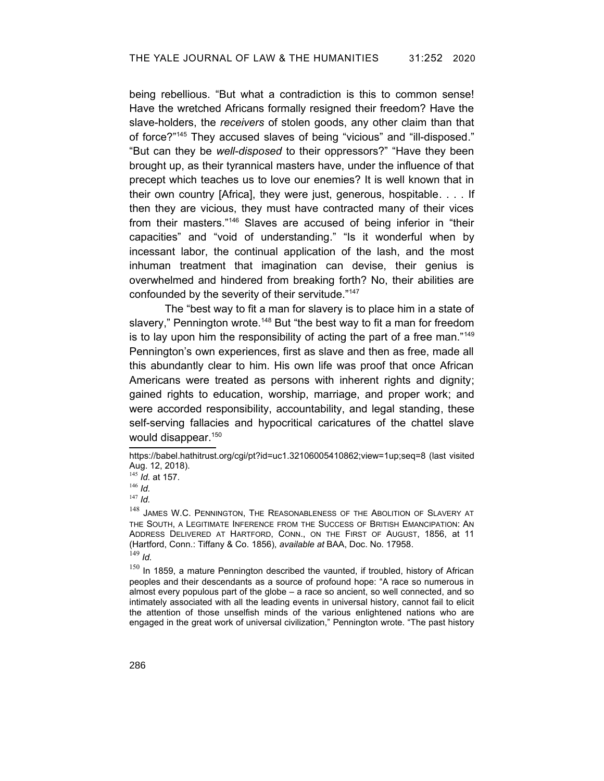being rebellious. "But what a contradiction is this to common sense! Have the wretched Africans formally resigned their freedom? Have the slave-holders, the *receivers* of stolen goods, any other claim than that of force?"[145](#page-33-0) They accused slaves of being "vicious" and "ill-disposed." "But can they be *well-disposed* to their oppressors?" "Have they been brought up, as their tyrannical masters have, under the influence of that precept which teaches us to love our enemies? It is well known that in their own country [Africa], they were just, generous, hospitable. . . . If then they are vicious, they must have contracted many of their vices from their masters."[146](#page-33-1) Slaves are accused of being inferior in "their capacities" and "void of understanding." "Is it wonderful when by incessant labor, the continual application of the lash, and the most inhuman treatment that imagination can devise, their genius is overwhelmed and hindered from breaking forth? No, their abilities are confounded by the severity of their servitude."[147](#page-33-2)

The "best way to fit a man for slavery is to place him in a state of slavery," Pennington wrote.<sup>[148](#page-33-3)</sup> But "the best way to fit a man for freedom is to lay upon him the responsibility of acting the part of a free man." $149$ Pennington's own experiences, first as slave and then as free, made all this abundantly clear to him. His own life was proof that once African Americans were treated as persons with inherent rights and dignity; gained rights to education, worship, marriage, and proper work; and were accorded responsibility, accountability, and legal standing, these self-serving fallacies and hypocritical caricatures of the chattel slave would disappear.<sup>[150](#page-33-5)</sup>

<span id="page-33-2"></span><sup>147</sup> *Id.*

<span id="page-33-5"></span><span id="page-33-4"></span> $150$  In 1859, a mature Pennington described the vaunted, if troubled, history of African peoples and their descendants as a source of profound hope: "A race so numerous in almost every populous part of the globe – a race so ancient, so well connected, and so intimately associated with all the leading events in universal history, cannot fail to elicit the attention of those unselfish minds of the various enlightened nations who are engaged in the great work of universal civilization," Pennington wrote. "The past history

https://babel.hathitrust.org/cgi/pt?id=uc1.32106005410862;view=1up;seq=8 (last visited Aug. 12, 2018).

<span id="page-33-0"></span><sup>145</sup> *Id.* at 157.

<span id="page-33-1"></span><sup>146</sup> *Id.*

<span id="page-33-3"></span><sup>&</sup>lt;sup>148</sup> JAMES W.C. PENNINGTON, THE REASONABLENESS OF THE ABOLITION OF SLAVERY AT THE SOUTH, A LEGITIMATE INFERENCE FROM THE SUCCESS OF BRITISH EMANCIPATION: AN ADDRESS DELIVERED AT HARTFORD, CONN., ON THE FIRST OF AUGUST, 1856, at 11 (Hartford, Conn.: Tiffany & Co. 1856), *available at* BAA, Doc. No. 17958.  $149$  *Id.*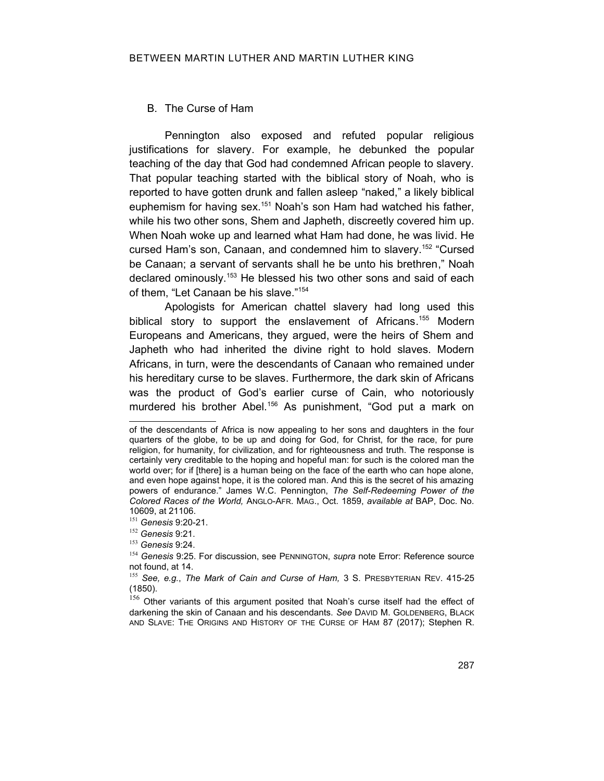### B. The Curse of Ham

Pennington also exposed and refuted popular religious justifications for slavery. For example, he debunked the popular teaching of the day that God had condemned African people to slavery. That popular teaching started with the biblical story of Noah, who is reported to have gotten drunk and fallen asleep "naked," a likely biblical euphemism for having sex.<sup>[151](#page-34-1)</sup> Noah's son Ham had watched his father, while his two other sons, Shem and Japheth, discreetly covered him up. When Noah woke up and learned what Ham had done, he was livid. He cursed Ham's son, Canaan, and condemned him to slavery.[152](#page-34-2) "Cursed be Canaan; a servant of servants shall he be unto his brethren," Noah declared ominously.<sup>[153](#page-34-3)</sup> He blessed his two other sons and said of each of them, "Let Canaan be his slave."[154](#page-34-4)

Apologists for American chattel slavery had long used this biblical story to support the enslavement of Africans.<sup>[155](#page-34-5)</sup> Modern Europeans and Americans, they argued, were the heirs of Shem and Japheth who had inherited the divine right to hold slaves. Modern Africans, in turn, were the descendants of Canaan who remained under his hereditary curse to be slaves. Furthermore, the dark skin of Africans was the product of God's earlier curse of Cain, who notoriously murdered his brother Abel.<sup>[156](#page-34-6)</sup> As punishment, "God put a mark on

of the descendants of Africa is now appealing to her sons and daughters in the four quarters of the globe, to be up and doing for God, for Christ, for the race, for pure religion, for humanity, for civilization, and for righteousness and truth. The response is certainly very creditable to the hoping and hopeful man: for such is the colored man the world over; for if [there] is a human being on the face of the earth who can hope alone, and even hope against hope, it is the colored man. And this is the secret of his amazing powers of endurance." James W.C. Pennington, *The Self-Redeeming Power of the Colored Races of the World,* ANGLO-AFR. MAG., Oct. 1859, *available at* BAP, Doc. No. 10609, at 21106.

<span id="page-34-1"></span><sup>151</sup> *Genesis* 9:20-21.

<span id="page-34-2"></span><sup>152</sup> *Genesis* 9:21.

<span id="page-34-3"></span><sup>153</sup> *Genesis* 9:24.

<span id="page-34-4"></span><span id="page-34-0"></span><sup>154</sup> *Genesis* 9:25. For discussion, see PENNINGTON, *supra* note [Error: Reference source](#page-34-0) [not found,](#page-34-0) at 14.

<span id="page-34-5"></span><sup>155</sup> *See, e.g.*, *The Mark of Cain and Curse of Ham,* 3 S. PRESBYTERIAN REV. 415-25 (1850).

<span id="page-34-6"></span> $156$  Other variants of this argument posited that Noah's curse itself had the effect of darkening the skin of Canaan and his descendants. *See* DAVID M. GOLDENBERG, BLACK AND SLAVE: THE ORIGINS AND HISTORY OF THE CURSE OF HAM 87 (2017); Stephen R.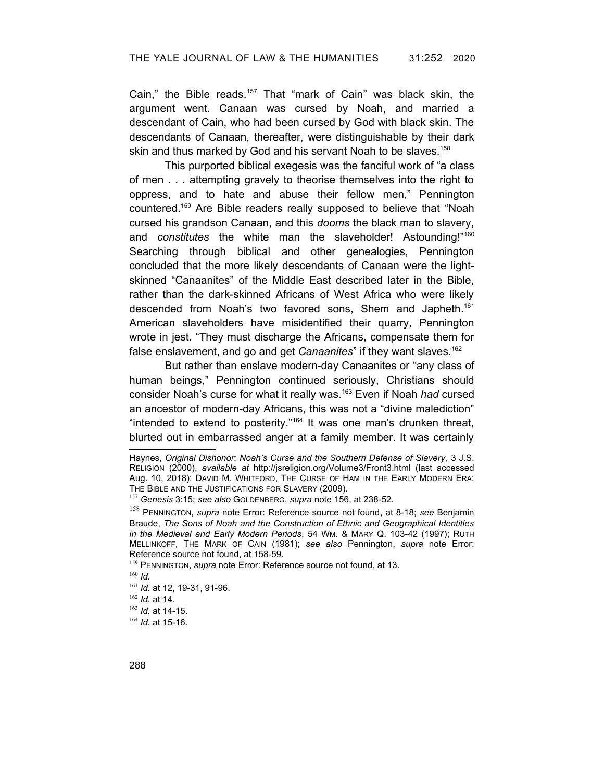Cain," the Bible reads.<sup>[157](#page-35-3)</sup> That "mark of Cain" was black skin, the argument went. Canaan was cursed by Noah, and married a descendant of Cain, who had been cursed by God with black skin. The descendants of Canaan, thereafter, were distinguishable by their dark skin and thus marked by God and his servant Noah to be slaves.<sup>[158](#page-35-4)</sup>

This purported biblical exegesis was the fanciful work of "a class of men . . . attempting gravely to theorise themselves into the right to oppress, and to hate and abuse their fellow men," Pennington countered.[159](#page-35-5) Are Bible readers really supposed to believe that "Noah cursed his grandson Canaan, and this *dooms* the black man to slavery, and *constitutes* the white man the slaveholder! Astounding!"<sup>[160](#page-35-6)</sup> Searching through biblical and other genealogies, Pennington concluded that the more likely descendants of Canaan were the lightskinned "Canaanites" of the Middle East described later in the Bible, rather than the dark-skinned Africans of West Africa who were likely descended from Noah's two favored sons, Shem and Japheth. [161](#page-35-7) American slaveholders have misidentified their quarry, Pennington wrote in jest. "They must discharge the Africans, compensate them for false enslavement, and go and get *Canaanites*" if they want slaves.[162](#page-35-8)

But rather than enslave modern-day Canaanites or "any class of human beings," Pennington continued seriously, Christians should consider Noah's curse for what it really was. [163](#page-35-9) Even if Noah *had* cursed an ancestor of modern-day Africans, this was not a "divine malediction" "intended to extend to posterity."[164](#page-35-10) It was one man's drunken threat, blurted out in embarrassed anger at a family member. It was certainly

Haynes, *Original Dishonor: Noah's Curse and the Southern Defense of Slavery*, 3 J.S. RELIGION (2000), *available at* http://jsreligion.org/Volume3/Front3.html (last accessed Aug. 10, 2018); DAVID M. WHITFORD, THE CURSE OF HAM IN THE EARLY MODERN ERA: THE BIBLE AND THE JUSTIFICATIONS FOR SLAVERY (2009).

<span id="page-35-3"></span><span id="page-35-2"></span><sup>157</sup> *Genesis* 3:15; *see also* GOLDENBERG, *supra* note 156, at 238-52.

<span id="page-35-4"></span><sup>158</sup> PENNINGTON, *supra* note [Error: Reference source not found](#page-35-2), at 8-18; *see* Benjamin Braude, *The Sons of Noah and the Construction of Ethnic and Geographical Identities in the Medieval and Early Modern Periods*, 54 WM. & MARY Q. 103-42 (1997); RUTH MELLINKOFF, THE MARK OF CAIN (1981); *see also* Pennington, *supra* note [Error:](#page-35-1) [Reference source not found](#page-35-1), at 158-59.

<span id="page-35-5"></span><span id="page-35-1"></span><span id="page-35-0"></span><sup>&</sup>lt;sup>159</sup> PENNINGTON, *supra* note [Error: Reference source not found,](#page-35-0) at 13.

<span id="page-35-6"></span><sup>160</sup> *Id.*

<span id="page-35-7"></span><sup>161</sup> *Id.* at 12, 19-31, 91-96.

<span id="page-35-8"></span><sup>162</sup> *Id.* at 14.

<span id="page-35-9"></span><sup>163</sup> *Id.* at 14-15.

<span id="page-35-10"></span><sup>164</sup> *Id.* at 15-16.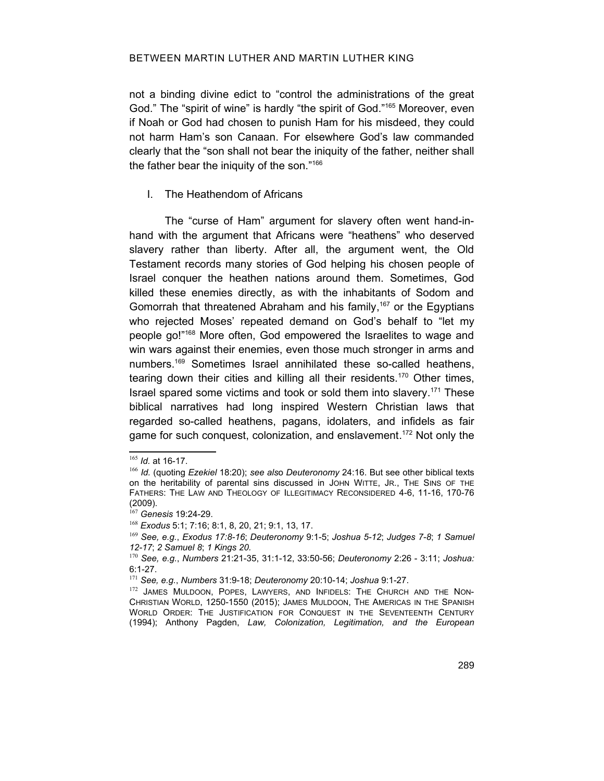not a binding divine edict to "control the administrations of the great God." The "spirit of wine" is hardly "the spirit of God."<sup>[165](#page-36-0)</sup> Moreover, even if Noah or God had chosen to punish Ham for his misdeed, they could not harm Ham's son Canaan. For elsewhere God's law commanded clearly that the "son shall not bear the iniquity of the father, neither shall the father bear the iniquity of the son."[166](#page-36-1)

# I. The Heathendom of Africans

The "curse of Ham" argument for slavery often went hand-inhand with the argument that Africans were "heathens" who deserved slavery rather than liberty. After all, the argument went, the Old Testament records many stories of God helping his chosen people of Israel conquer the heathen nations around them. Sometimes, God killed these enemies directly, as with the inhabitants of Sodom and Gomorrah that threatened Abraham and his family, [167](#page-36-2) or the Egyptians who rejected Moses' repeated demand on God's behalf to "let my people go!"[168](#page-36-3) More often, God empowered the Israelites to wage and win wars against their enemies, even those much stronger in arms and numbers. [169](#page-36-4) Sometimes Israel annihilated these so-called heathens, tearing down their cities and killing all their residents.<sup>[170](#page-36-5)</sup> Other times, Israel spared some victims and took or sold them into slavery.<sup>[171](#page-36-6)</sup> These biblical narratives had long inspired Western Christian laws that regarded so-called heathens, pagans, idolaters, and infidels as fair game for such conquest, colonization, and enslavement.<sup>[172](#page-36-7)</sup> Not only the

<span id="page-36-0"></span><sup>165</sup> *Id.* at 16-17.

<span id="page-36-1"></span><sup>166</sup> *Id.* (quoting *Ezekiel* 18:20); *see als*o *Deuteronomy* 24:16. But see other biblical texts on the heritability of parental sins discussed in JOHN WITTE, JR., THE SINS OF THE FATHERS: THE LAW AND THEOLOGY OF ILLEGITIMACY RECONSIDERED 4-6, 11-16, 170-76 (2009).

<span id="page-36-2"></span><sup>167</sup> *Genesis* 19:24-29.

<span id="page-36-3"></span><sup>168</sup> *Exodus* 5:1; 7:16; 8:1, 8, 20, 21; 9:1, 13, 17.

<span id="page-36-4"></span><sup>169</sup> *See, e.g.*, *Exodus 17:8-16*; *Deuteronomy* 9:1-5; *Joshua 5-12*; *Judges 7-8*; *1 Samuel 12-17*; *2 Samuel 8*; *1 Kings 20.*

<span id="page-36-5"></span><sup>170</sup> *See, e.g.*, *Numbers* 21:21-35, 31:1-12, 33:50-56; *Deuteronomy* 2:26 - 3:11; *Joshua:* 6:1-27.

<span id="page-36-6"></span><sup>171</sup> *See, e.g.*, *Numbers* 31:9-18; *Deuteronomy* 20:10-14; *Joshua* 9:1-27.

<span id="page-36-7"></span><sup>172</sup> JAMES MULDOON, POPES, LAWYERS, AND INFIDELS: THE CHURCH AND THE NON-CHRISTIAN WORLD, 1250-1550 (2015); JAMES MULDOON, THE AMERICAS IN THE SPANISH WORLD ORDER: THE JUSTIFICATION FOR CONQUEST IN THE SEVENTEENTH CENTURY (1994); Anthony Pagden, *Law, Colonization, Legitimation, and the European*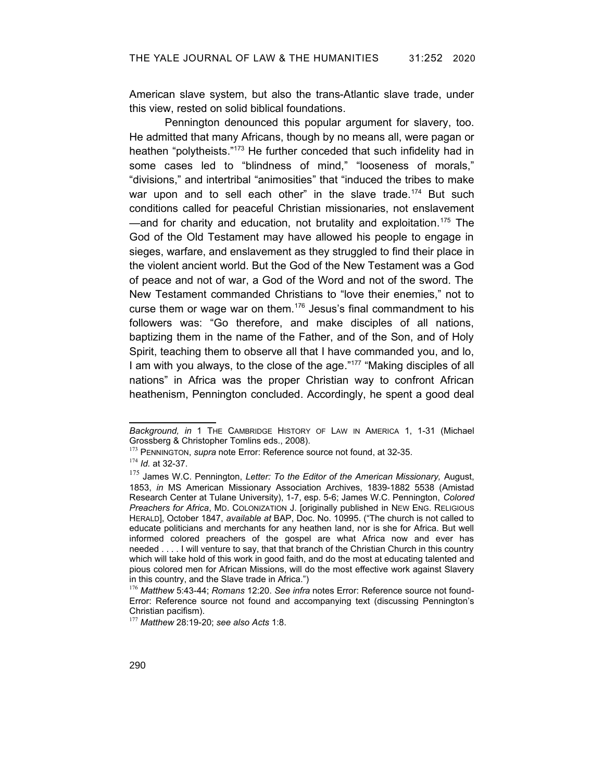American slave system, but also the trans-Atlantic slave trade, under this view, rested on solid biblical foundations.

Pennington denounced this popular argument for slavery, too. He admitted that many Africans, though by no means all, were pagan or heathen "polytheists."<sup>[173](#page-37-3)</sup> He further conceded that such infidelity had in some cases led to "blindness of mind," "looseness of morals," "divisions," and intertribal "animosities" that "induced the tribes to make war upon and to sell each other" in the slave trade.<sup>[174](#page-37-4)</sup> But such conditions called for peaceful Christian missionaries, not enslavement  $-$ and for charity and education, not brutality and exploitation.<sup>[175](#page-37-5)</sup> The God of the Old Testament may have allowed his people to engage in sieges, warfare, and enslavement as they struggled to find their place in the violent ancient world. But the God of the New Testament was a God of peace and not of war, a God of the Word and not of the sword. The New Testament commanded Christians to "love their enemies," not to curse them or wage war on them.<sup>[176](#page-37-6)</sup> Jesus's final commandment to his followers was: "Go therefore, and make disciples of all nations, baptizing them in the name of the Father, and of the Son, and of Holy Spirit, teaching them to observe all that I have commanded you, and lo, I am with you always, to the close of the age."[177](#page-37-7) "Making disciples of all nations" in Africa was the proper Christian way to confront African heathenism, Pennington concluded. Accordingly, he spent a good deal

*Background, in* 1 THE CAMBRIDGE HISTORY OF LAW IN AMERICA 1, 1-31 (Michael Grossberg & Christopher Tomlins eds., 2008).

<span id="page-37-3"></span><span id="page-37-2"></span><sup>173</sup> PENNINGTON, *supra* note [Error: Reference source not found,](#page-37-2) at 32-35.

<span id="page-37-4"></span><sup>174</sup> *Id.* at 32-37.

<span id="page-37-5"></span><sup>175</sup> James W.C. Pennington, *Letter: To the Editor of the American Missionary,* August, 1853, *in* MS American Missionary Association Archives, 1839-1882 5538 (Amistad Research Center at Tulane University), 1-7, esp. 5-6; James W.C. Pennington, *Colored Preachers for Africa*, MD. COLONIZATION J. [originally published in NEW ENG. RELIGIOUS HERALD], October 1847, *available at* BAP, Doc. No. 10995. ("The church is not called to educate politicians and merchants for any heathen land, nor is she for Africa. But well informed colored preachers of the gospel are what Africa now and ever has needed . . . . I will venture to say, that that branch of the Christian Church in this country which will take hold of this work in good faith, and do the most at educating talented and pious colored men for African Missions, will do the most effective work against Slavery in this country, and the Slave trade in Africa.")

<span id="page-37-6"></span><span id="page-37-1"></span><span id="page-37-0"></span><sup>176</sup> *Matthew* 5:43-44; *Romans* 12:20. *See infra* notes [Error: Reference source not found-](#page-37-1)[Error: Reference source not found](#page-37-0) and accompanying text (discussing Pennington's Christian pacifism).

<span id="page-37-7"></span><sup>177</sup> *Matthew* 28:19-20; *see also Acts* 1:8.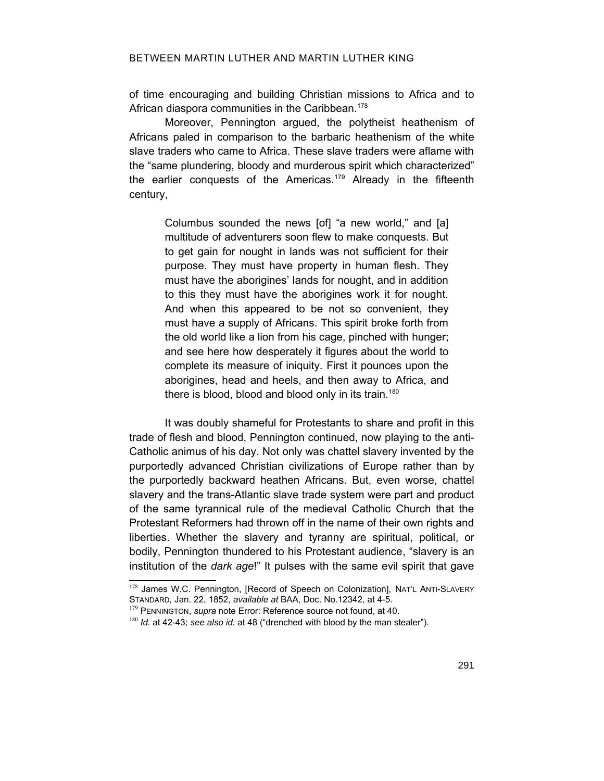of time encouraging and building Christian missions to Africa and to African diaspora communities in the Caribbean.<sup>[178](#page-38-1)</sup>

Moreover, Pennington argued, the polytheist heathenism of Africans paled in comparison to the barbaric heathenism of the white slave traders who came to Africa. These slave traders were aflame with the "same plundering, bloody and murderous spirit which characterized" the earlier conquests of the Americas.<sup>[179](#page-38-2)</sup> Already in the fifteenth century,

Columbus sounded the news [of] "a new world," and [a] multitude of adventurers soon flew to make conquests. But to get gain for nought in lands was not sufficient for their purpose. They must have property in human flesh. They must have the aborigines' lands for nought, and in addition to this they must have the aborigines work it for nought. And when this appeared to be not so convenient, they must have a supply of Africans. This spirit broke forth from the old world like a lion from his cage, pinched with hunger; and see here how desperately it figures about the world to complete its measure of iniquity. First it pounces upon the aborigines, head and heels, and then away to Africa, and there is blood, blood and blood only in its train.<sup>[180](#page-38-3)</sup>

It was doubly shameful for Protestants to share and profit in this trade of flesh and blood, Pennington continued, now playing to the anti-Catholic animus of his day. Not only was chattel slavery invented by the purportedly advanced Christian civilizations of Europe rather than by the purportedly backward heathen Africans. But, even worse, chattel slavery and the trans-Atlantic slave trade system were part and product of the same tyrannical rule of the medieval Catholic Church that the Protestant Reformers had thrown off in the name of their own rights and liberties. Whether the slavery and tyranny are spiritual, political, or bodily, Pennington thundered to his Protestant audience, "slavery is an institution of the *dark age*!" It pulses with the same evil spirit that gave

<span id="page-38-1"></span><sup>178</sup> James W.C. Pennington, [Record of Speech on Colonization], NAT'L ANTI-SLAVERY STANDARD*,* Jan. 22, 1852, *available at* BAA, Doc. No.12342, at 4-5.

<span id="page-38-2"></span><span id="page-38-0"></span><sup>&</sup>lt;sup>179</sup> PENNINGTON, *supra* note [Error: Reference source not found,](#page-38-0) at 40.

<span id="page-38-3"></span><sup>180</sup> *Id.* at 42-43; *see also id.* at 48 ("drenched with blood by the man stealer").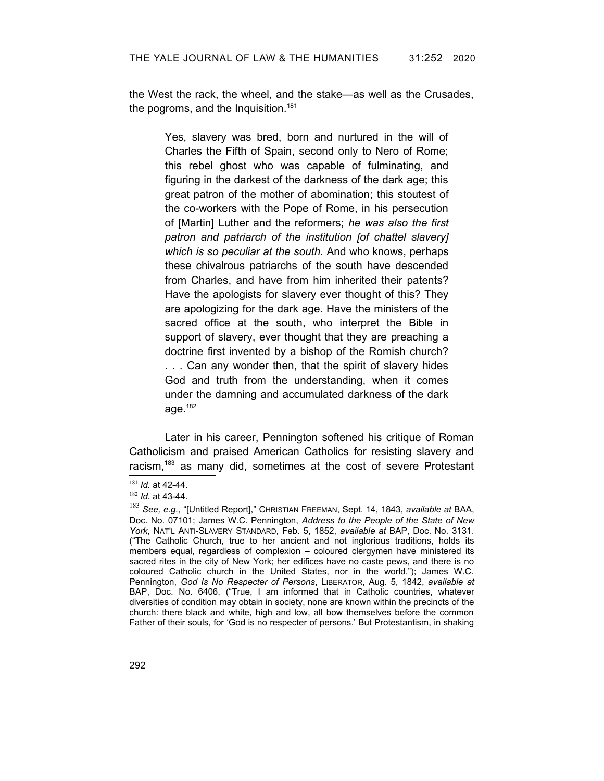the West the rack, the wheel, and the stake—as well as the Crusades, the pogroms, and the Inquisition.<sup>[181](#page-39-0)</sup>

> Yes, slavery was bred, born and nurtured in the will of Charles the Fifth of Spain, second only to Nero of Rome; this rebel ghost who was capable of fulminating, and figuring in the darkest of the darkness of the dark age; this great patron of the mother of abomination; this stoutest of the co-workers with the Pope of Rome, in his persecution of [Martin] Luther and the reformers; *he was also the first patron and patriarch of the institution [of chattel slavery] which is so peculiar at the south.* And who knows, perhaps these chivalrous patriarchs of the south have descended from Charles, and have from him inherited their patents? Have the apologists for slavery ever thought of this? They are apologizing for the dark age. Have the ministers of the sacred office at the south, who interpret the Bible in support of slavery, ever thought that they are preaching a doctrine first invented by a bishop of the Romish church? . . . Can any wonder then, that the spirit of slavery hides God and truth from the understanding, when it comes under the damning and accumulated darkness of the dark age. $182$

Later in his career, Pennington softened his critique of Roman Catholicism and praised American Catholics for resisting slavery and racism,<sup>[183](#page-39-2)</sup> as many did, sometimes at the cost of severe Protestant

<span id="page-39-0"></span><sup>181</sup> *Id.* at 42-44.

<span id="page-39-1"></span><sup>182</sup> *Id.* at 43-44.

<span id="page-39-2"></span><sup>183</sup> *See, e.g.*, "[Untitled Report]," CHRISTIAN FREEMAN, Sept. 14, 1843, *available at* BAA, Doc. No. 07101; James W.C. Pennington, *Address to the People of the State of New York*, NAT'L ANTI-SLAVERY STANDARD, Feb. 5, 1852, *available at* BAP, Doc. No. 3131. ("The Catholic Church, true to her ancient and not inglorious traditions, holds its members equal, regardless of complexion – coloured clergymen have ministered its sacred rites in the city of New York; her edifices have no caste pews, and there is no coloured Catholic church in the United States, nor in the world."); James W.C. Pennington, *God Is No Respecter of Persons*, LIBERATOR, Aug. 5, 1842, *available at* BAP, Doc. No. 6406. ("True, I am informed that in Catholic countries, whatever diversities of condition may obtain in society, none are known within the precincts of the church: there black and white, high and low, all bow themselves before the common Father of their souls, for 'God is no respecter of persons.' But Protestantism, in shaking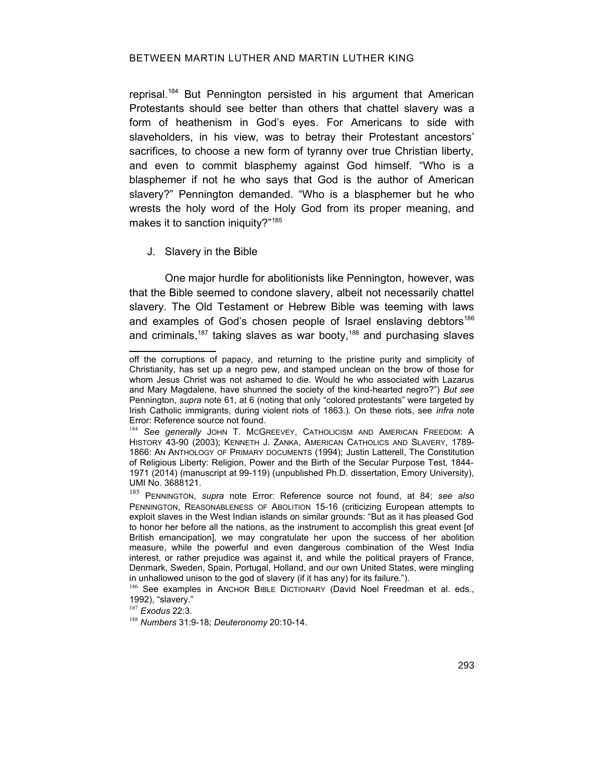# BETWEEN MARTIN LUTHER AND MARTIN LUTHER KING

reprisal. [184](#page-40-2) But Pennington persisted in his argument that American Protestants should see better than others that chattel slavery was a form of heathenism in God's eyes. For Americans to side with slaveholders, in his view, was to betray their Protestant ancestors' sacrifices, to choose a new form of tyranny over true Christian liberty, and even to commit blasphemy against God himself. "Who is a blasphemer if not he who says that God is the author of American slavery?" Pennington demanded. "Who is a blasphemer but he who wrests the holy word of the Holy God from its proper meaning, and makes it to sanction iniquity?"<sup>[185](#page-40-3)</sup>

## J. Slavery in the Bible

One major hurdle for abolitionists like Pennington, however, was that the Bible seemed to condone slavery, albeit not necessarily chattel slavery. The Old Testament or Hebrew Bible was teeming with laws and examples of God's chosen people of Israel enslaving debtors<sup>[186](#page-40-4)</sup> and criminals,<sup>[187](#page-40-5)</sup> taking slaves as war booty,<sup>[188](#page-40-6)</sup> and purchasing slaves

off the corruptions of papacy, and returning to the pristine purity and simplicity of Christianity, has set up a negro pew, and stamped unclean on the brow of those for whom Jesus Christ was not ashamed to die. Would he who associated with Lazarus and Mary Magdalene, have shunned the society of the kind-hearted negro?") *But see* Pennington, *supra* note 61, at 6 (noting that only "colored protestants" were targeted by Irish Catholic immigrants, during violent riots of 1863.). On these riots, see *infra* note [Error: Reference source not found](#page-40-1).

<span id="page-40-2"></span><span id="page-40-1"></span><sup>184</sup> See generally JOHN T. MCGREEVEY, CATHOLICISM AND AMERICAN FREEDOM: A HISTORY 43-90 (2003); KENNETH J. ZANKA, AMERICAN CATHOLICS AND SLAVERY, 1789- 1866: AN ANTHOLOGY OF PRIMARY DOCUMENTS (1994); Justin Latterell, The Constitution of Religious Liberty: Religion, Power and the Birth of the Secular Purpose Test, 1844- 1971 (2014) (manuscript at 99-119) (unpublished Ph.D. dissertation, Emory University), UMI No. 3688121.

<span id="page-40-3"></span><span id="page-40-0"></span><sup>185</sup> PENNINGTON, *supra* note [Error: Reference source not found,](#page-40-0) at 84; *see also* PENNINGTON, REASONABLENESS OF ABOLITION 15-16 (criticizing European attempts to exploit slaves in the West Indian islands on similar grounds: "But as it has pleased God to honor her before all the nations, as the instrument to accomplish this great event [of British emancipation], we may congratulate her upon the success of her abolition measure, while the powerful and even dangerous combination of the West India interest, or rather prejudice was against it, and while the political prayers of France, Denmark, Sweden, Spain, Portugal, Holland, and our own United States, were mingling in unhallowed unison to the god of slavery (if it has any) for its failure.").

<span id="page-40-4"></span><sup>186</sup> See examples in ANCHOR BIBLE DICTIONARY (David Noel Freedman et al. eds., 1992), "slavery."

<span id="page-40-5"></span><sup>187</sup> *Exodus* 22:3.

<span id="page-40-6"></span><sup>188</sup> *Numbers* 31:9-18; *Deuteronomy* 20:10-14.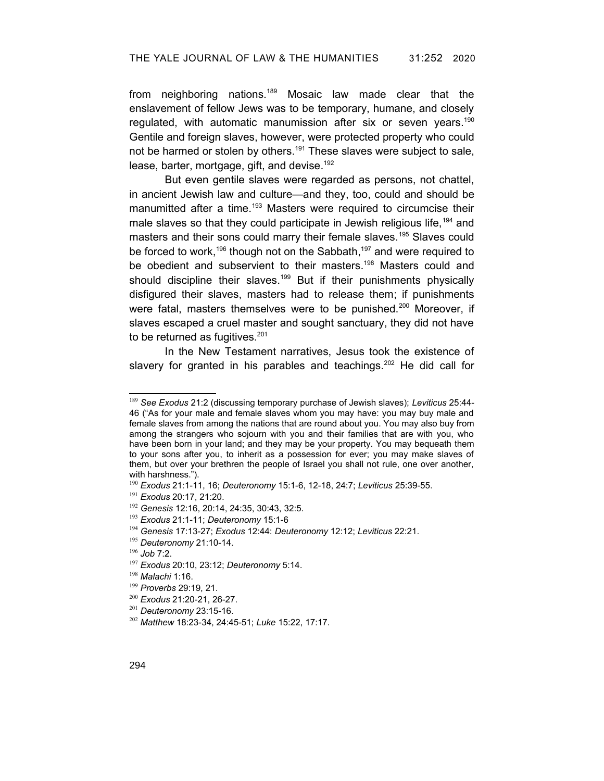from neighboring nations.[189](#page-41-0) Mosaic law made clear that the enslavement of fellow Jews was to be temporary, humane, and closely regulated, with automatic manumission after six or seven years.<sup>[190](#page-41-1)</sup> Gentile and foreign slaves, however, were protected property who could not be harmed or stolen by others.<sup>[191](#page-41-2)</sup> These slaves were subject to sale, lease, barter, mortgage, gift, and devise.<sup>[192](#page-41-3)</sup>

But even gentile slaves were regarded as persons, not chattel, in ancient Jewish law and culture—and they, too, could and should be manumitted after a time.<sup>[193](#page-41-4)</sup> Masters were required to circumcise their male slaves so that they could participate in Jewish religious life,<sup>[194](#page-41-5)</sup> and masters and their sons could marry their female slaves.<sup>[195](#page-41-6)</sup> Slaves could be forced to work,<sup>[196](#page-41-7)</sup> though not on the Sabbath,<sup>[197](#page-41-8)</sup> and were required to be obedient and subservient to their masters. [198](#page-41-9) Masters could and should discipline their slaves.<sup>[199](#page-41-10)</sup> But if their punishments physically disfigured their slaves, masters had to release them; if punishments were fatal, masters themselves were to be punished.<sup>[200](#page-41-11)</sup> Moreover, if slaves escaped a cruel master and sought sanctuary, they did not have to be returned as fugitives.<sup>[201](#page-41-12)</sup>

In the New Testament narratives, Jesus took the existence of slavery for granted in his parables and teachings.<sup>[202](#page-41-13)</sup> He did call for

<span id="page-41-0"></span><sup>189</sup> *See Exodus* 21:2 (discussing temporary purchase of Jewish slaves); *Leviticus* 25:44- 46 ("As for your male and female slaves whom you may have: you may buy male and female slaves from among the nations that are round about you. You may also buy from among the strangers who sojourn with you and their families that are with you, who have been born in your land; and they may be your property. You may bequeath them to your sons after you, to inherit as a possession for ever; you may make slaves of them, but over your brethren the people of Israel you shall not rule, one over another, with harshness.").

<span id="page-41-1"></span><sup>190</sup> *Exodus* 21:1-11, 16; *Deuteronomy* 15:1-6, 12-18, 24:7; *Leviticus* 25:39-55.

<span id="page-41-2"></span><sup>191</sup> *Exodus* 20:17, 21:20.

<span id="page-41-3"></span><sup>192</sup> *Genesis* 12:16, 20:14, 24:35, 30:43, 32:5.

<span id="page-41-4"></span><sup>193</sup> *Exodus* 21:1-11; *Deuteronomy* 15:1-6

<span id="page-41-5"></span><sup>194</sup> *Genesis* 17:13-27; *Exodus* 12:44: *Deuteronomy* 12:12; *Leviticus* 22:21.

<span id="page-41-6"></span><sup>195</sup> *Deuteronomy* 21:10-14.

<span id="page-41-7"></span><sup>196</sup> *Job* 7:2.

<span id="page-41-8"></span><sup>197</sup> *Exodus* 20:10, 23:12; *Deuteronomy* 5:14.

<span id="page-41-9"></span><sup>198</sup> *Malachi* 1:16.

<span id="page-41-10"></span><sup>199</sup> *Proverbs* 29:19, 21.

<span id="page-41-11"></span><sup>200</sup> *Exodus* 21:20-21, 26-27.

<span id="page-41-12"></span><sup>201</sup> *Deuteronomy* 23:15-16.

<span id="page-41-13"></span><sup>202</sup> *Matthew* 18:23-34, 24:45-51; *Luke* 15:22, 17:17.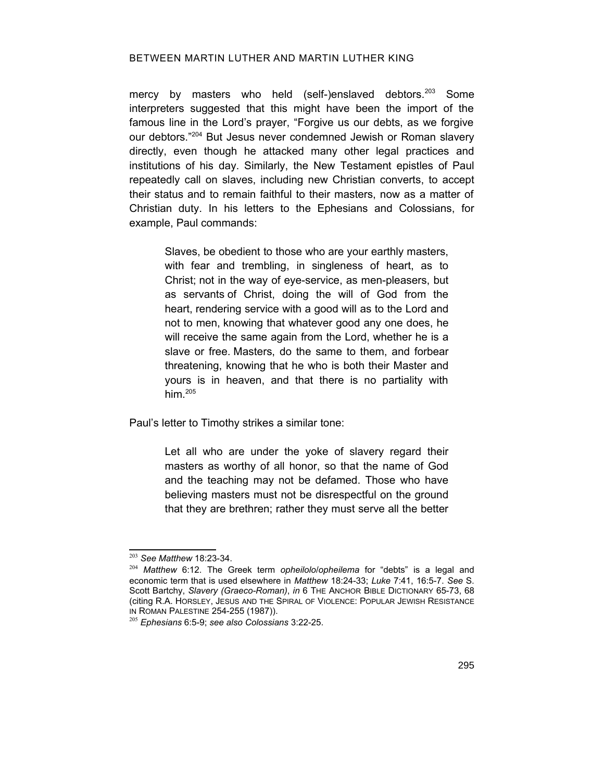#### BETWEEN MARTIN LUTHER AND MARTIN LUTHER KING

mercy by masters who held (self-)enslaved debtors.<sup>[203](#page-42-0)</sup> Some interpreters suggested that this might have been the import of the famous line in the Lord's prayer, "Forgive us our debts, as we forgive our debtors."[204](#page-42-1) But Jesus never condemned Jewish or Roman slavery directly, even though he attacked many other legal practices and institutions of his day. Similarly, the New Testament epistles of Paul repeatedly call on slaves, including new Christian converts, to accept their status and to remain faithful to their masters, now as a matter of Christian duty. In his letters to the Ephesians and Colossians, for example, Paul commands:

> Slaves, be obedient to those who are your earthly masters, with fear and trembling, in singleness of heart, as to Christ; not in the way of eye-service, as men-pleasers, but as servants of Christ, doing the will of God from the heart, rendering service with a good will as to the Lord and not to men, knowing that whatever good any one does, he will receive the same again from the Lord, whether he is a slave or free. Masters, do the same to them, and forbear threatening, knowing that he who is both their Master and yours is in heaven, and that there is no partiality with him $205$

Paul's letter to Timothy strikes a similar tone:

Let all who are under the yoke of slavery regard their masters as worthy of all honor, so that the name of God and the teaching may not be defamed. Those who have believing masters must not be disrespectful on the ground that they are brethren; rather they must serve all the better

<span id="page-42-0"></span><sup>203</sup> *See Matthew* 18:23-34.

<span id="page-42-1"></span><sup>204</sup> *Matthew* 6:12. The Greek term *opheilolo*/*opheilema* for "debts" is a legal and economic term that is used elsewhere in *Matthew* 18:24-33; *Luke* 7:41, 16:5-7. *See* S. Scott Bartchy, Slavery (Graeco-Roman), in 6 THE ANCHOR BIBLE DICTIONARY 65-73, 68 (citing R.A. HORSLEY, JESUS AND THE SPIRAL OF VIOLENCE: POPULAR JEWISH RESISTANCE IN ROMAN PALESTINE 254-255 (1987)).

<span id="page-42-2"></span><sup>205</sup> *Ephesians* 6:5-9; *see also Colossians* 3:22-25.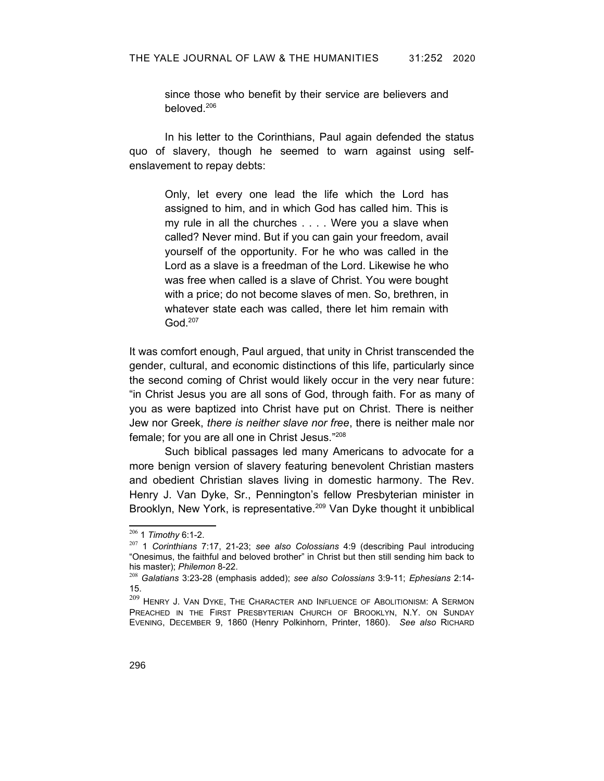since those who benefit by their service are believers and beloved.[206](#page-43-0)

In his letter to the Corinthians, Paul again defended the status quo of slavery, though he seemed to warn against using selfenslavement to repay debts:

Only, let every one lead the life which the Lord has assigned to him, and in which God has called him. This is my rule in all the churches . . . . Were you a slave when called? Never mind. But if you can gain your freedom, avail yourself of the opportunity. For he who was called in the Lord as a slave is a freedman of the Lord. Likewise he who was free when called is a slave of Christ. You were bought with a price; do not become slaves of men. So, brethren, in whatever state each was called, there let him remain with God.[207](#page-43-1)

It was comfort enough, Paul argued, that unity in Christ transcended the gender, cultural, and economic distinctions of this life, particularly since the second coming of Christ would likely occur in the very near future: "in Christ Jesus you are all sons of God, through faith. For as many of you as were baptized into Christ have put on Christ. There is neither Jew nor Greek, *there is neither slave nor free*, there is neither male nor female; for you are all one in Christ Jesus."<sup>[208](#page-43-2)</sup>

Such biblical passages led many Americans to advocate for a more benign version of slavery featuring benevolent Christian masters and obedient Christian slaves living in domestic harmony. The Rev. Henry J. Van Dyke, Sr., Pennington's fellow Presbyterian minister in Brooklyn, New York, is representative.<sup>[209](#page-43-3)</sup> Van Dyke thought it unbiblical

<span id="page-43-0"></span><sup>206</sup> 1 *Timothy* 6:1-2.

<span id="page-43-1"></span><sup>207</sup> 1 *Corinthians* 7:17, 21-23; *see also Colossians* 4:9 (describing Paul introducing "Onesimus, the faithful and beloved brother" in Christ but then still sending him back to his master); *Philemon* 8-22.

<span id="page-43-2"></span><sup>208</sup> *Galatians* 3:23-28 (emphasis added); *see also Colossians* 3:9-11; *Ephesians* 2:14- 15.

<span id="page-43-3"></span> $^{209}$  Henry J. Van Dyke, The Character and Influence of Abolitionism: A Sermon PREACHED IN THE FIRST PRESBYTERIAN CHURCH OF BROOKLYN, N.Y. ON SUNDAY EVENING, DECEMBER 9, 1860 (Henry Polkinhorn, Printer, 1860). *See also* RICHARD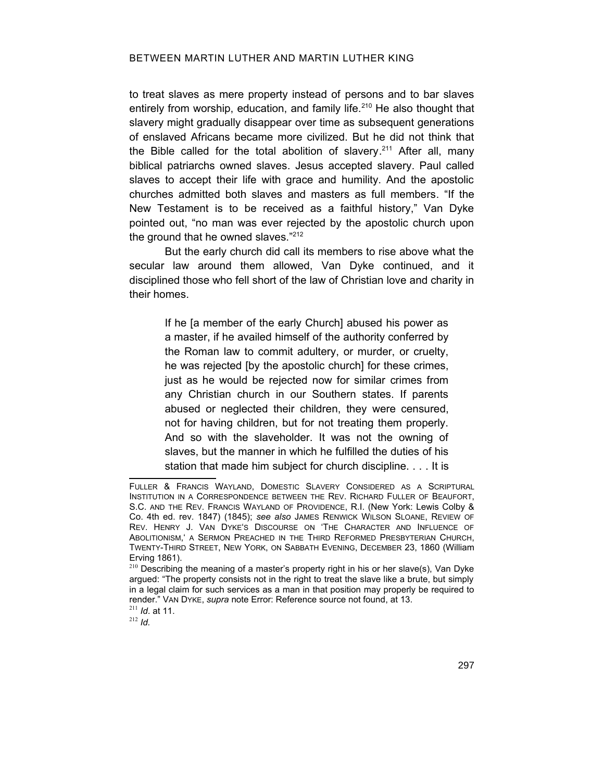to treat slaves as mere property instead of persons and to bar slaves entirely from worship, education, and family life.<sup>[210](#page-44-1)</sup> He also thought that slavery might gradually disappear over time as subsequent generations of enslaved Africans became more civilized. But he did not think that the Bible called for the total abolition of slavery.<sup>[211](#page-44-2)</sup> After all, many biblical patriarchs owned slaves. Jesus accepted slavery. Paul called slaves to accept their life with grace and humility. And the apostolic churches admitted both slaves and masters as full members. "If the New Testament is to be received as a faithful history," Van Dyke pointed out, "no man was ever rejected by the apostolic church upon the ground that he owned slaves."<sup>[212](#page-44-3)</sup>

But the early church did call its members to rise above what the secular law around them allowed, Van Dyke continued, and it disciplined those who fell short of the law of Christian love and charity in their homes.

If he [a member of the early Church] abused his power as a master, if he availed himself of the authority conferred by the Roman law to commit adultery, or murder, or cruelty, he was rejected [by the apostolic church] for these crimes, just as he would be rejected now for similar crimes from any Christian church in our Southern states. If parents abused or neglected their children, they were censured, not for having children, but for not treating them properly. And so with the slaveholder. It was not the owning of slaves, but the manner in which he fulfilled the duties of his station that made him subject for church discipline. . . . It is

<span id="page-44-3"></span><sup>212</sup> *Id.*

FULLER & FRANCIS WAYLAND, DOMESTIC SLAVERY CONSIDERED AS A SCRIPTURAL INSTITUTION IN A CORRESPONDENCE BETWEEN THE REV. RICHARD FULLER OF BEAUFORT, S.C. AND THE REV. FRANCIS WAYLAND OF PROVIDENCE, R.I. (New York: Lewis Colby & Co. 4th ed. rev. 1847) (1845); *see also* JAMES RENWICK WILSON SLOANE, REVIEW OF REV. HENRY J. VAN DYKE'S DISCOURSE ON 'THE CHARACTER AND INFLUENCE OF ABOLITIONISM,' A SERMON PREACHED IN THE THIRD REFORMED PRESBYTERIAN CHURCH, TWENTY-THIRD STREET, NEW YORK, ON SABBATH EVENING, DECEMBER 23, 1860 (William Erving 1861).

<span id="page-44-1"></span> $210$  Describing the meaning of a master's property right in his or her slave(s), Van Dyke argued: "The property consists not in the right to treat the slave like a brute, but simply in a legal claim for such services as a man in that position may properly be required to render." VAN DYKE, *supra* note [Error: Reference source not found,](#page-44-0) at 13.

<span id="page-44-2"></span><span id="page-44-0"></span><sup>211</sup> *Id*. at 11.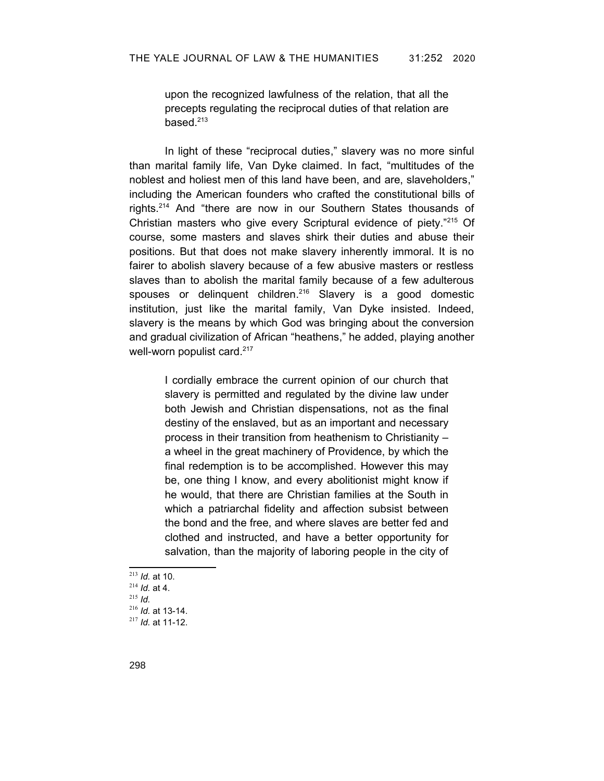upon the recognized lawfulness of the relation, that all the precepts regulating the reciprocal duties of that relation are based. $213$ 

In light of these "reciprocal duties," slavery was no more sinful than marital family life, Van Dyke claimed. In fact, "multitudes of the noblest and holiest men of this land have been, and are, slaveholders," including the American founders who crafted the constitutional bills of rights.[214](#page-45-1) And "there are now in our Southern States thousands of Christian masters who give every Scriptural evidence of piety."[215](#page-45-2) Of course, some masters and slaves shirk their duties and abuse their positions. But that does not make slavery inherently immoral. It is no fairer to abolish slavery because of a few abusive masters or restless slaves than to abolish the marital family because of a few adulterous spouses or delinquent children.<sup>[216](#page-45-3)</sup> Slavery is a good domestic institution, just like the marital family, Van Dyke insisted. Indeed, slavery is the means by which God was bringing about the conversion and gradual civilization of African "heathens," he added, playing another well-worn populist card.<sup>[217](#page-45-4)</sup>

I cordially embrace the current opinion of our church that slavery is permitted and regulated by the divine law under both Jewish and Christian dispensations, not as the final destiny of the enslaved, but as an important and necessary process in their transition from heathenism to Christianity – a wheel in the great machinery of Providence, by which the final redemption is to be accomplished. However this may be, one thing I know, and every abolitionist might know if he would, that there are Christian families at the South in which a patriarchal fidelity and affection subsist between the bond and the free, and where slaves are better fed and clothed and instructed, and have a better opportunity for salvation, than the majority of laboring people in the city of

<span id="page-45-4"></span><span id="page-45-3"></span><span id="page-45-2"></span><span id="page-45-1"></span><span id="page-45-0"></span> *Id.* at 10. *Id.* at 4. <sup>215</sup> *Id. Id.* at 13-14. *Id.* at 11-12.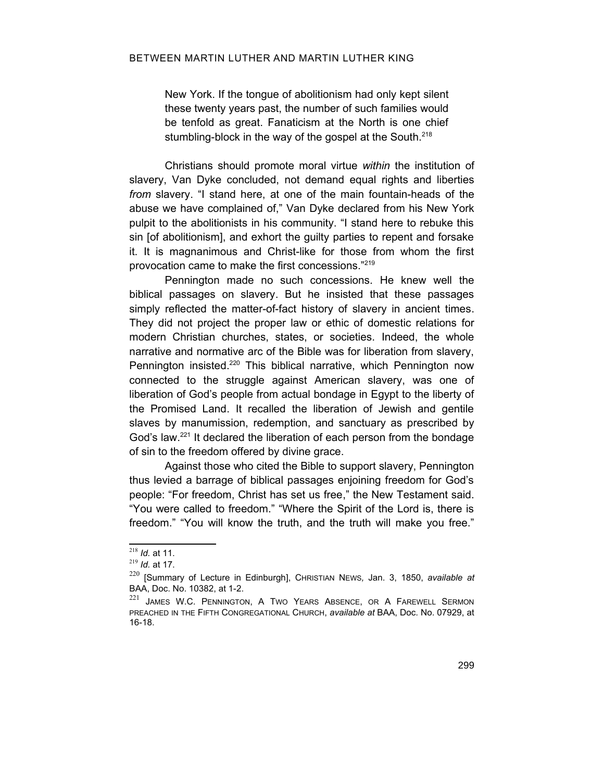New York. If the tongue of abolitionism had only kept silent these twenty years past, the number of such families would be tenfold as great. Fanaticism at the North is one chief stumbling-block in the way of the gospel at the South.<sup>[218](#page-46-0)</sup>

Christians should promote moral virtue *within* the institution of slavery, Van Dyke concluded, not demand equal rights and liberties *from* slavery. "I stand here, at one of the main fountain-heads of the abuse we have complained of," Van Dyke declared from his New York pulpit to the abolitionists in his community. "I stand here to rebuke this sin [of abolitionism], and exhort the guilty parties to repent and forsake it. It is magnanimous and Christ-like for those from whom the first provocation came to make the first concessions."[219](#page-46-1)

Pennington made no such concessions. He knew well the biblical passages on slavery. But he insisted that these passages simply reflected the matter-of-fact history of slavery in ancient times. They did not project the proper law or ethic of domestic relations for modern Christian churches, states, or societies. Indeed, the whole narrative and normative arc of the Bible was for liberation from slavery, Pennington insisted.<sup>[220](#page-46-2)</sup> This biblical narrative, which Pennington now connected to the struggle against American slavery, was one of liberation of God's people from actual bondage in Egypt to the liberty of the Promised Land. It recalled the liberation of Jewish and gentile slaves by manumission, redemption, and sanctuary as prescribed by God's law.<sup>[221](#page-46-3)</sup> It declared the liberation of each person from the bondage of sin to the freedom offered by divine grace.

Against those who cited the Bible to support slavery, Pennington thus levied a barrage of biblical passages enjoining freedom for God's people: "For freedom, Christ has set us free," the New Testament said. "You were called to freedom." "Where the Spirit of the Lord is, there is freedom." "You will know the truth, and the truth will make you free."

<span id="page-46-0"></span><sup>218</sup> *Id.* at 11.

<span id="page-46-1"></span><sup>219</sup> *Id.* at 17.

<span id="page-46-2"></span><sup>220</sup> [Summary of Lecture in Edinburgh], CHRISTIAN NEWS*,* Jan. 3, 1850, *available at* BAA, Doc. No. 10382, at 1-2.

<span id="page-46-3"></span><sup>&</sup>lt;sup>221</sup> JAMES W.C. PENNINGTON, A TWO YEARS ABSENCE, OR A FAREWELL SERMON PREACHED IN THE FIFTH CONGREGATIONAL CHURCH, *available at* BAA, Doc. No. 07929, at 16-18.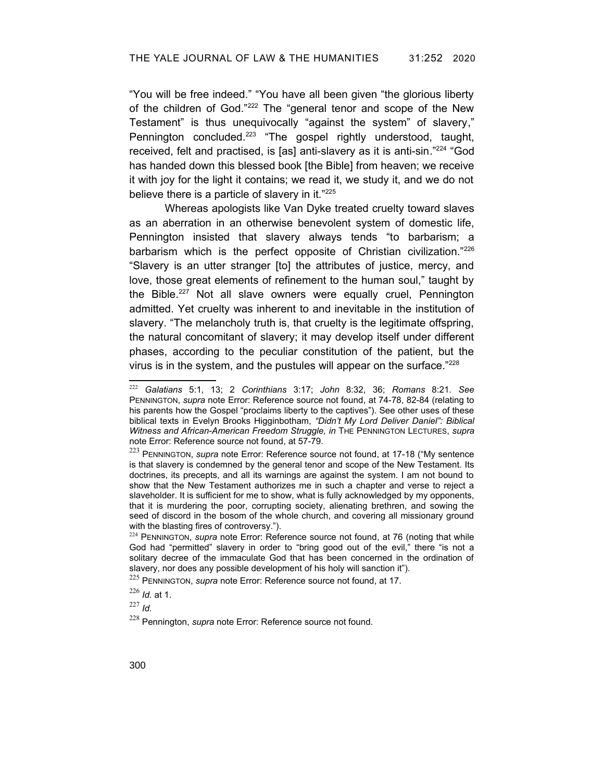"You will be free indeed." "You have all been given "the glorious liberty of the children of God."[222](#page-47-6) The "general tenor and scope of the New Testament" is thus unequivocally "against the system" of slavery," Pennington concluded.<sup>[223](#page-47-7)</sup> "The gospel rightly understood, taught, received, felt and practised, is [as] anti-slavery as it is anti-sin."[224](#page-47-8) "God has handed down this blessed book [the Bible] from heaven; we receive it with joy for the light it contains; we read it, we study it, and we do not believe there is a particle of slavery in it."[225](#page-47-9)

Whereas apologists like Van Dyke treated cruelty toward slaves as an aberration in an otherwise benevolent system of domestic life, Pennington insisted that slavery always tends "to barbarism; a barbarism which is the perfect opposite of Christian civilization."[226](#page-47-10) "Slavery is an utter stranger [to] the attributes of justice, mercy, and love, those great elements of refinement to the human soul," taught by the Bible.<sup>[227](#page-47-11)</sup> Not all slave owners were equally cruel. Pennington admitted. Yet cruelty was inherent to and inevitable in the institution of slavery. "The melancholy truth is, that cruelty is the legitimate offspring, the natural concomitant of slavery; it may develop itself under different phases, according to the peculiar constitution of the patient, but the virus is in the system, and the pustules will appear on the surface."[228](#page-47-12)

<span id="page-47-11"></span><sup>227</sup> *Id.*

<span id="page-47-6"></span><span id="page-47-5"></span><sup>222</sup> *Galatians* 5:1, 13; 2 *Corinthians* 3:17; *John* 8:32, 36; *Romans* 8:21. *See* PENNINGTON, *supra* note [Error: Reference source not found](#page-47-5), at 74-78, 82-84 (relating to his parents how the Gospel "proclaims liberty to the captives"). See other uses of these biblical texts in Evelyn Brooks Higginbotham, *"Didn't My Lord Deliver Daniel": Biblical Witness and African-American Freedom Struggle, in* THE PENNINGTON LECTURES, *supra* note [Error: Reference source not found](#page-47-4), at 57-79.

<span id="page-47-7"></span><span id="page-47-4"></span><span id="page-47-3"></span><sup>223</sup> PENNINGTON, *supra* note [Error: Reference source not found](#page-47-3), at 17-18 ("My sentence is that slavery is condemned by the general tenor and scope of the New Testament. Its doctrines, its precepts, and all its warnings are against the system. I am not bound to show that the New Testament authorizes me in such a chapter and verse to reject a slaveholder. It is sufficient for me to show, what is fully acknowledged by my opponents, that it is murdering the poor, corrupting society, alienating brethren, and sowing the seed of discord in the bosom of the whole church, and covering all missionary ground with the blasting fires of controversy.").

<span id="page-47-8"></span><span id="page-47-2"></span><sup>&</sup>lt;sup>224</sup> PENNINGTON, *supra* note [Error: Reference source not found](#page-47-2), at 76 (noting that while God had "permitted" slavery in order to "bring good out of the evil," there "is not a solitary decree of the immaculate God that has been concerned in the ordination of slavery, nor does any possible development of his holy will sanction it").

<span id="page-47-9"></span><span id="page-47-1"></span><sup>225</sup> PENNINGTON, *supra* note [Error: Reference source not found,](#page-47-1) at 17.

<span id="page-47-10"></span><sup>226</sup> *Id.* at 1.

<span id="page-47-12"></span><span id="page-47-0"></span><sup>228</sup> Pennington, *supra* note [Error: Reference source not found.](#page-47-0)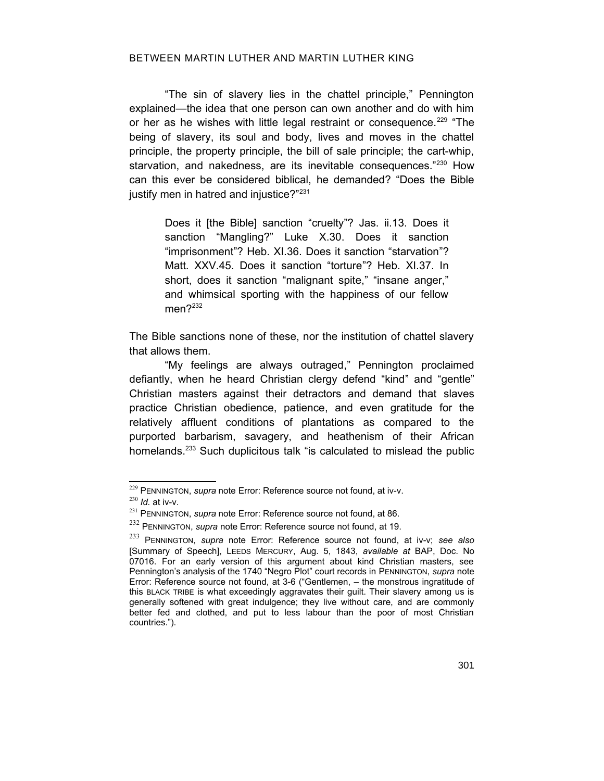#### BETWEEN MARTIN LUTHER AND MARTIN LUTHER KING

"The sin of slavery lies in the chattel principle," Pennington explained—the idea that one person can own another and do with him or her as he wishes with little legal restraint or consequence.<sup>[229](#page-48-5)</sup> "The being of slavery, its soul and body, lives and moves in the chattel principle, the property principle, the bill of sale principle; the cart-whip, starvation, and nakedness, are its inevitable consequences."<sup>[230](#page-48-6)</sup> How can this ever be considered biblical, he demanded? "Does the Bible justify men in hatred and injustice?"<sup>[231](#page-48-7)</sup>

Does it [the Bible] sanction "cruelty"? Jas. ii.13. Does it sanction "Mangling?" Luke X.30. Does it sanction "imprisonment"? Heb. XI.36. Does it sanction "starvation"? Matt. XXV.45. Does it sanction "torture"? Heb. XI.37. In short, does it sanction "malignant spite," "insane anger," and whimsical sporting with the happiness of our fellow men?<sup>[232](#page-48-8)</sup>

The Bible sanctions none of these, nor the institution of chattel slavery that allows them.

"My feelings are always outraged," Pennington proclaimed defiantly, when he heard Christian clergy defend "kind" and "gentle" Christian masters against their detractors and demand that slaves practice Christian obedience, patience, and even gratitude for the relatively affluent conditions of plantations as compared to the purported barbarism, savagery, and heathenism of their African homelands.<sup>[233](#page-48-9)</sup> Such duplicitous talk "is calculated to mislead the public

<span id="page-48-5"></span><span id="page-48-4"></span><sup>229</sup> PENNINGTON, *supra* note [Error: Reference source not found,](#page-48-4) at iv-v.

<span id="page-48-6"></span><sup>230</sup> *Id.* at iv-v.

<span id="page-48-7"></span><span id="page-48-3"></span><sup>&</sup>lt;sup>231</sup> PENNINGTON, *supra* note [Error: Reference source not found,](#page-48-3) at 86.

<span id="page-48-8"></span><span id="page-48-2"></span><sup>232</sup> PENNINGTON, *supra* note [Error: Reference source not found,](#page-48-2) at 19.

<span id="page-48-9"></span><span id="page-48-1"></span><span id="page-48-0"></span><sup>233</sup> PENNINGTON, *supra* note [Error: Reference source not found](#page-48-1), at iv-v; *see also* [Summary of Speech], LEEDS MERCURY, Aug. 5, 1843, *available at* BAP, Doc. No 07016. For an early version of this argument about kind Christian masters, see Pennington's analysis of the 1740 "Negro Plot" court records in PENNINGTON, *supra* note [Error: Reference source not found](#page-48-0), at 3-6 ("Gentlemen, – the monstrous ingratitude of this BLACK TRIBE is what exceedingly aggravates their guilt. Their slavery among us is generally softened with great indulgence; they live without care, and are commonly better fed and clothed, and put to less labour than the poor of most Christian countries.").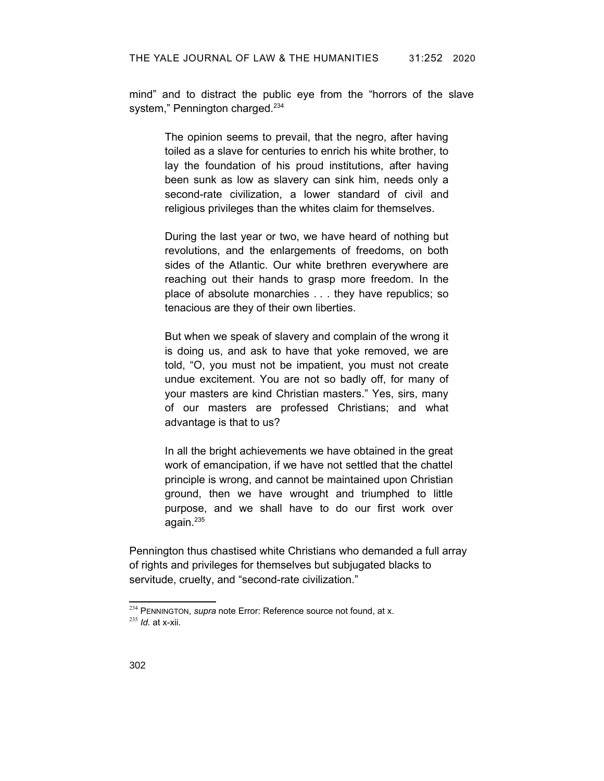mind" and to distract the public eye from the "horrors of the slave system," Pennington charged.<sup>[234](#page-49-1)</sup>

> The opinion seems to prevail, that the negro, after having toiled as a slave for centuries to enrich his white brother, to lay the foundation of his proud institutions, after having been sunk as low as slavery can sink him, needs only a second-rate civilization, a lower standard of civil and religious privileges than the whites claim for themselves.

> During the last year or two, we have heard of nothing but revolutions, and the enlargements of freedoms, on both sides of the Atlantic. Our white brethren everywhere are reaching out their hands to grasp more freedom. In the place of absolute monarchies . . . they have republics; so tenacious are they of their own liberties.

> But when we speak of slavery and complain of the wrong it is doing us, and ask to have that yoke removed, we are told, "O, you must not be impatient, you must not create undue excitement. You are not so badly off, for many of your masters are kind Christian masters." Yes, sirs, many of our masters are professed Christians; and what advantage is that to us?

In all the bright achievements we have obtained in the great work of emancipation, if we have not settled that the chattel principle is wrong, and cannot be maintained upon Christian ground, then we have wrought and triumphed to little purpose, and we shall have to do our first work over again. $235$ 

Pennington thus chastised white Christians who demanded a full array of rights and privileges for themselves but subjugated blacks to servitude, cruelty, and "second-rate civilization."

<span id="page-49-2"></span><span id="page-49-1"></span><span id="page-49-0"></span><sup>&</sup>lt;sup>234</sup> PENNINGTON, *supra* note [Error: Reference source not found,](#page-49-0) at x. <sup>235</sup> *Id.* at x-xii.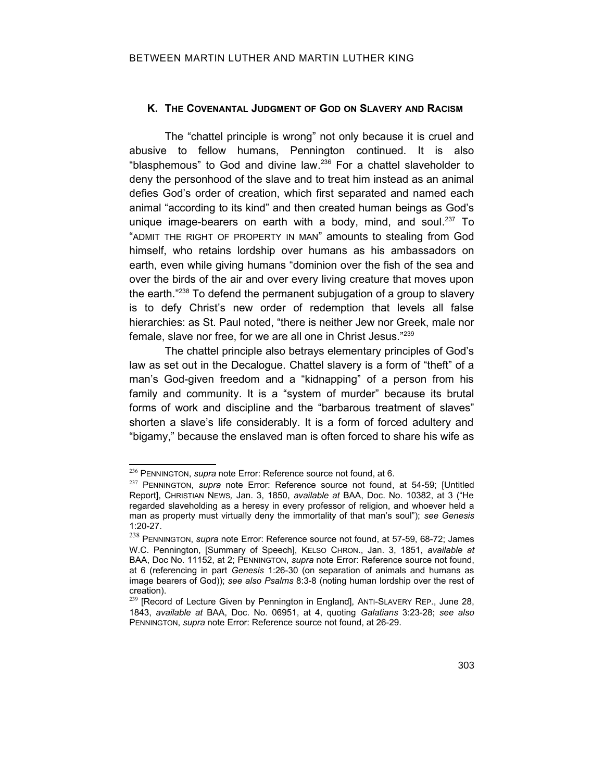## **K. THE COVENANTAL JUDGMENT OF GOD ON SLAVERY AND RACISM**

The "chattel principle is wrong" not only because it is cruel and abusive to fellow humans, Pennington continued. It is also "blasphemous" to God and divine law. [236](#page-50-5) For a chattel slaveholder to deny the personhood of the slave and to treat him instead as an animal defies God's order of creation, which first separated and named each animal "according to its kind" and then created human beings as God's unique image-bearers on earth with a body, mind, and soul.<sup>[237](#page-50-6)</sup> To "ADMIT THE RIGHT OF PROPERTY IN MAN" amounts to stealing from God himself, who retains lordship over humans as his ambassadors on earth, even while giving humans "dominion over the fish of the sea and over the birds of the air and over every living creature that moves upon the earth."[238](#page-50-7) To defend the permanent subjugation of a group to slavery is to defy Christ's new order of redemption that levels all false hierarchies: as St. Paul noted, "there is neither Jew nor Greek, male nor female, slave nor free, for we are all one in Christ Jesus."[239](#page-50-8)

The chattel principle also betrays elementary principles of God's law as set out in the Decalogue. Chattel slavery is a form of "theft" of a man's God-given freedom and a "kidnapping" of a person from his family and community. It is a "system of murder" because its brutal forms of work and discipline and the "barbarous treatment of slaves" shorten a slave's life considerably. It is a form of forced adultery and "bigamy," because the enslaved man is often forced to share his wife as

<span id="page-50-5"></span><span id="page-50-4"></span><sup>236</sup> PENNINGTON, *supra* note [Error: Reference source not found,](#page-50-4) at 6.

<span id="page-50-6"></span><span id="page-50-3"></span><sup>237</sup> PENNINGTON, *supra* note [Error: Reference source not found,](#page-50-3) at 54-59; [Untitled Report], CHRISTIAN NEWS*,* Jan. 3, 1850, *available at* BAA, Doc. No. 10382, at 3 ("He regarded slaveholding as a heresy in every professor of religion, and whoever held a man as property must virtually deny the immortality of that man's soul"); *see Genesis* 1:20-27.

<span id="page-50-7"></span><span id="page-50-2"></span><span id="page-50-1"></span><sup>238</sup> PENNINGTON, *supra* note [Error: Reference source not found](#page-50-2), at 57-59, 68-72; James W.C. Pennington, [Summary of Speech], KELSO CHRON., Jan. 3, 1851, *available at* BAA, Doc No. 11152, at 2; PENNINGTON, *supra* note [Error: Reference source not found,](#page-50-1) at 6 (referencing in part *Genesis* 1:26-30 (on separation of animals and humans as image bearers of God)); *see also Psalms* 8:3-8 (noting human lordship over the rest of creation).

<span id="page-50-8"></span><span id="page-50-0"></span><sup>&</sup>lt;sup>239</sup> [Record of Lecture Given by Pennington in England], ANTI-SLAVERY REP., June 28, 1843, *available at* BAA, Doc. No. 06951, at 4, quoting *Galatians* 3:23-28; *see also* PENNINGTON, *supra* note [Error: Reference source not found,](#page-50-0) at 26-29.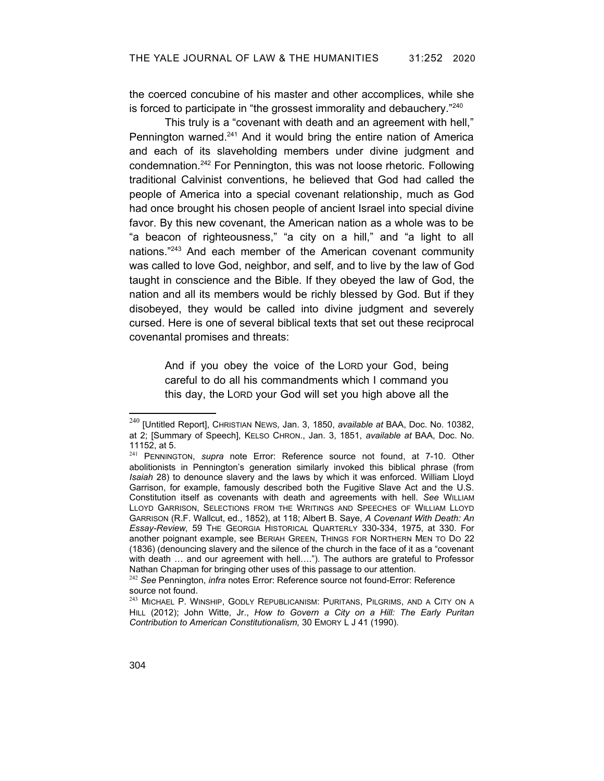the coerced concubine of his master and other accomplices, while she is forced to participate in "the grossest immorality and debauchery."[240](#page-51-3)

This truly is a "covenant with death and an agreement with hell," Pennington warned. $241$  And it would bring the entire nation of America and each of its slaveholding members under divine judgment and condemnation.[242](#page-51-5) For Pennington, this was not loose rhetoric. Following traditional Calvinist conventions, he believed that God had called the people of America into a special covenant relationship, much as God had once brought his chosen people of ancient Israel into special divine favor. By this new covenant, the American nation as a whole was to be "a beacon of righteousness," "a city on a hill," and "a light to all nations."[243](#page-51-6) And each member of the American covenant community was called to love God, neighbor, and self, and to live by the law of God taught in conscience and the Bible. If they obeyed the law of God, the nation and all its members would be richly blessed by God. But if they disobeyed, they would be called into divine judgment and severely cursed. Here is one of several biblical texts that set out these reciprocal covenantal promises and threats:

> <span id="page-51-2"></span>And if you obey the voice of the LORD your God, being careful to do all his commandments which I command you this day, the LORD your God will set you high above all the

<span id="page-51-3"></span><sup>240</sup> [Untitled Report], CHRISTIAN NEWS*,* Jan. 3, 1850, *available at* BAA, Doc. No. 10382, at 2; [Summary of Speech], KELSO CHRON., Jan. 3, 1851, *available at* BAA, Doc. No. 11152, at 5.

<span id="page-51-4"></span><sup>241</sup> PENNINGTON, *supra* note [Error: Reference source not found,](#page-51-2) at 7-10. Other abolitionists in Pennington's generation similarly invoked this biblical phrase (from *Isaiah* 28) to denounce slavery and the laws by which it was enforced. William Lloyd Garrison, for example, famously described both the Fugitive Slave Act and the U.S. Constitution itself as covenants with death and agreements with hell. *See* WILLIAM LLOYD GARRISON, SELECTIONS FROM THE WRITINGS AND SPEECHES OF WILLIAM LLOYD GARRISON (R.F. Wallcut, ed., 1852), at 118; Albert B. Saye, *A Covenant With Death: An Essay-Review,* 59 THE GEORGIA HISTORICAL QUARTERLY 330-334, 1975, at 330. For another poignant example, see BERIAH GREEN, THINGS FOR NORTHERN MEN TO DO 22 (1836) (denouncing slavery and the silence of the church in the face of it as a "covenant with death ... and our agreement with hell...."). The authors are grateful to Professor Nathan Chapman for bringing other uses of this passage to our attention.

<span id="page-51-5"></span><span id="page-51-1"></span><span id="page-51-0"></span><sup>242</sup> *See* Pennington, *infra* notes [Error: Reference source not found](#page-51-1)[-Error: Reference](#page-51-0)  [source not found](#page-51-0).

<span id="page-51-6"></span><sup>&</sup>lt;sup>243</sup> MICHAEL P. WINSHIP, GODLY REPUBLICANISM: PURITANS, PILGRIMS, AND A CITY ON A HILL (2012); John Witte, Jr., *How to Govern a City on a Hill: The Early Puritan Contribution to American Constitutionalism,* 30 EMORY L J 41 (1990).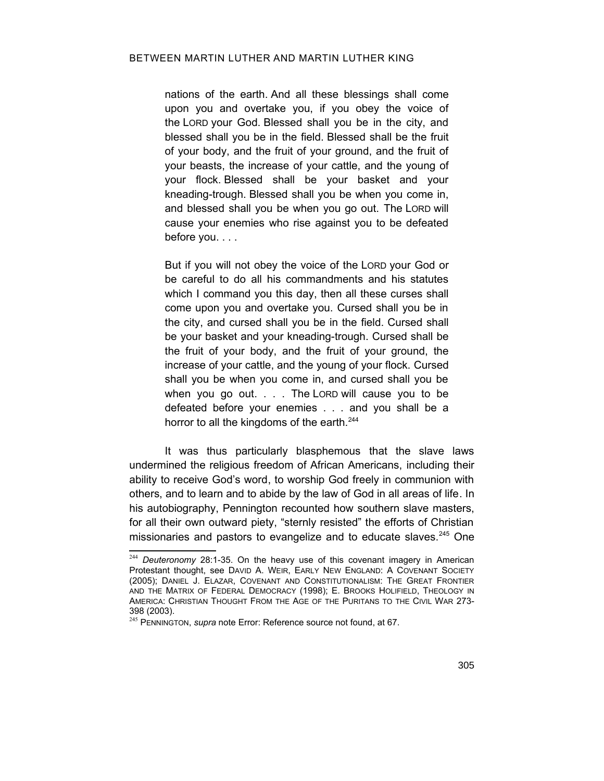nations of the earth. And all these blessings shall come upon you and overtake you, if you obey the voice of the LORD your God. Blessed shall you be in the city, and blessed shall you be in the field. Blessed shall be the fruit of your body, and the fruit of your ground, and the fruit of your beasts, the increase of your cattle, and the young of your flock. Blessed shall be your basket and your kneading-trough. Blessed shall you be when you come in, and blessed shall you be when you go out. The LORD will cause your enemies who rise against you to be defeated before you. . . .

But if you will not obey the voice of the LORD your God or be careful to do all his commandments and his statutes which I command you this day, then all these curses shall come upon you and overtake you. Cursed shall you be in the city, and cursed shall you be in the field. Cursed shall be your basket and your kneading-trough. Cursed shall be the fruit of your body, and the fruit of your ground, the increase of your cattle, and the young of your flock. Cursed shall you be when you come in, and cursed shall you be when you go out. . . . The LORD will cause you to be defeated before your enemies . . . and you shall be a horror to all the kingdoms of the earth.<sup>[244](#page-52-1)</sup>

It was thus particularly blasphemous that the slave laws undermined the religious freedom of African Americans, including their ability to receive God's word, to worship God freely in communion with others, and to learn and to abide by the law of God in all areas of life. In his autobiography, Pennington recounted how southern slave masters, for all their own outward piety, "sternly resisted" the efforts of Christian missionaries and pastors to evangelize and to educate slaves.<sup>[245](#page-52-2)</sup> One

<span id="page-52-1"></span><sup>244</sup> *Deuteronomy* 28:1-35. On the heavy use of this covenant imagery in American Protestant thought, see DAVID A. WEIR, EARLY NEW ENGLAND: A COVENANT SOCIETY (2005); DANIEL J. ELAZAR, COVENANT AND CONSTITUTIONALISM: THE GREAT FRONTIER AND THE MATRIX OF FEDERAL DEMOCRACY (1998); E. BROOKS HOLIFIELD, THEOLOGY IN AMERICA: CHRISTIAN THOUGHT FROM THE AGE OF THE PURITANS TO THE CIVIL WAR 273- 398 (2003).

<span id="page-52-2"></span><span id="page-52-0"></span><sup>245</sup> PENNINGTON, *supra* note [Error: Reference source not found,](#page-52-0) at 67.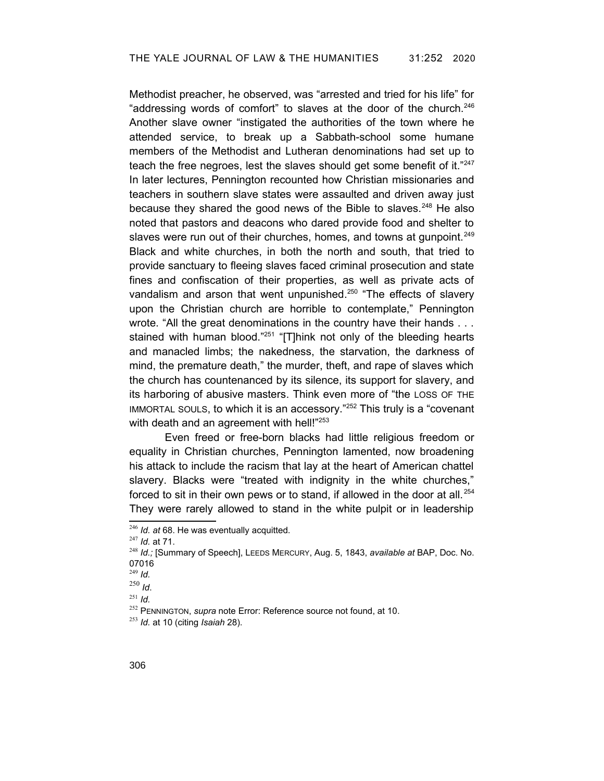Methodist preacher, he observed, was "arrested and tried for his life" for "addressing words of comfort" to slaves at the door of the church. $246$ Another slave owner "instigated the authorities of the town where he attended service, to break up a Sabbath-school some humane members of the Methodist and Lutheran denominations had set up to teach the free negroes, lest the slaves should get some benefit of it."[247](#page-53-2) In later lectures, Pennington recounted how Christian missionaries and teachers in southern slave states were assaulted and driven away just because they shared the good news of the Bible to slaves. $248$  He also noted that pastors and deacons who dared provide food and shelter to slaves were run out of their churches, homes, and towns at gunpoint.<sup>[249](#page-53-4)</sup> Black and white churches, in both the north and south, that tried to provide sanctuary to fleeing slaves faced criminal prosecution and state fines and confiscation of their properties, as well as private acts of vandalism and arson that went unpunished.<sup>[250](#page-53-5)</sup> "The effects of slavery upon the Christian church are horrible to contemplate," Pennington wrote. "All the great denominations in the country have their hands . . . stained with human blood."<sup>[251](#page-53-6)</sup> "[T]hink not only of the bleeding hearts and manacled limbs; the nakedness, the starvation, the darkness of mind, the premature death," the murder, theft, and rape of slaves which the church has countenanced by its silence, its support for slavery, and its harboring of abusive masters. Think even more of "the LOSS OF THE IMMORTAL SOULS, to which it is an accessory."[252](#page-53-7) This truly is a "covenant with death and an agreement with hell!"<sup>[253](#page-53-8)</sup>

Even freed or free-born blacks had little religious freedom or equality in Christian churches, Pennington lamented, now broadening his attack to include the racism that lay at the heart of American chattel slavery. Blacks were "treated with indignity in the white churches," forced to sit in their own pews or to stand, if allowed in the door at all. <sup>254</sup> They were rarely allowed to stand in the white pulpit or in leadership

<span id="page-53-1"></span><sup>246</sup> *Id. at* 68. He was eventually acquitted.

<span id="page-53-2"></span><sup>247</sup> *Id.* at 71.

<span id="page-53-3"></span><sup>248</sup> *Id.;* [Summary of Speech], LEEDS MERCURY, Aug. 5, 1843, *available at* BAP, Doc. No. 07016

<span id="page-53-4"></span><sup>249</sup> *Id.*

<span id="page-53-5"></span><sup>250</sup> *Id*.

<span id="page-53-6"></span> $^{251}$  *Id.* 

<span id="page-53-7"></span><span id="page-53-0"></span><sup>252</sup> PENNINGTON, *supra* note [Error: Reference source not found,](#page-53-0) at 10.

<span id="page-53-8"></span><sup>253</sup> *Id.* at 10 (citing *Isaiah* 28).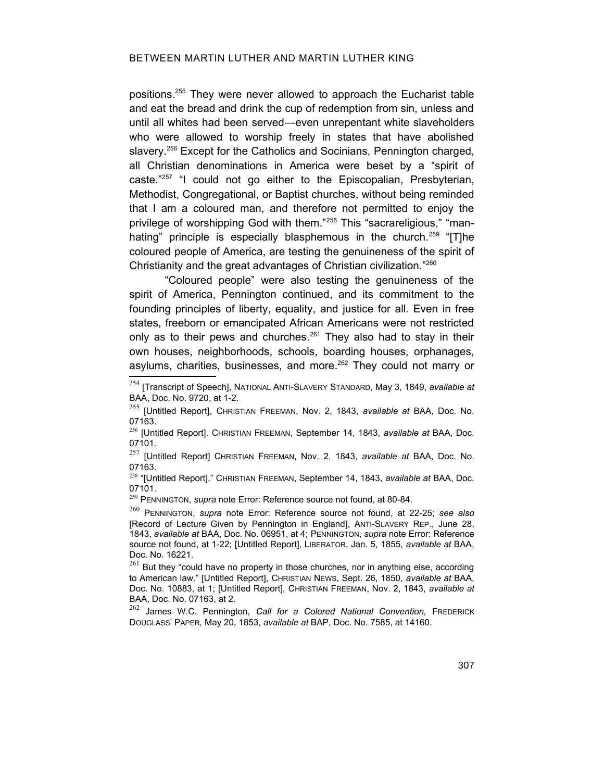positions.[255](#page-54-3) They were never allowed to approach the Eucharist table and eat the bread and drink the cup of redemption from sin, unless and until all whites had been served—even unrepentant white slaveholders who were allowed to worship freely in states that have abolished slavery.<sup>[256](#page-54-4)</sup> Except for the Catholics and Socinians, Pennington charged, all Christian denominations in America were beset by a "spirit of caste."[257](#page-54-5) "I could not go either to the Episcopalian, Presbyterian, Methodist, Congregational, or Baptist churches, without being reminded that I am a coloured man, and therefore not permitted to enjoy the privilege of worshipping God with them."[258](#page-54-6) This "sacrareligious," "man-hating" principle is especially blasphemous in the church.<sup>[259](#page-54-7)</sup> "[T]he coloured people of America, are testing the genuineness of the spirit of Christianity and the great advantages of Christian civilization."<sup>[260](#page-54-8)</sup>

"Coloured people" were also testing the genuineness of the spirit of America, Pennington continued, and its commitment to the founding principles of liberty, equality, and justice for all. Even in free states, freeborn or emancipated African Americans were not restricted only as to their pews and churches.<sup>[261](#page-54-9)</sup> They also had to stay in their own houses, neighborhoods, schools, boarding houses, orphanages, asylums, charities, businesses, and more.<sup>[262](#page-54-10)</sup> They could not marry or

<span id="page-54-5"></span><sup>257</sup> [Untitled Report] CHRISTIAN FREEMAN, Nov. 2, 1843, *available at* BAA, Doc. No. 07163.

<span id="page-54-6"></span><sup>258</sup> "[Untitled Report]." CHRISTIAN FREEMAN, September 14, 1843, *available at* BAA, Doc. 07101.

<span id="page-54-7"></span><span id="page-54-2"></span><sup>259</sup> PENNINGTON, *supra* note [Error: Reference source not found,](#page-54-2) at 80-84.

<span id="page-54-9"></span><span id="page-54-0"></span> $261$  But thev "could have no property in those churches, nor in anything else, according to American law." [Untitled Report], CHRISTIAN NEWS, Sept. 26, 1850, *available at* BAA, Doc. No. 10883, at 1; [Untitled Report], CHRISTIAN FREEMAN, Nov. 2, 1843, *available at* BAA, Doc. No. 07163, at 2.

<span id="page-54-10"></span><sup>262</sup> James W.C. Pennington, *Call for a Colored National Convention,* FREDERICK DOUGLASS' PAPER*,* May 20, 1853, *available at* BAP, Doc. No. 7585, at 14160.

<sup>254</sup> [Transcript of Speech], NATIONAL ANTI-SLAVERY STANDARD, May 3, 1849, *available at* BAA, Doc. No. 9720, at 1-2.

<span id="page-54-3"></span><sup>255</sup> [Untitled Report], CHRISTIAN FREEMAN, Nov. 2, 1843, *available at* BAA, Doc. No. 07163.

<span id="page-54-4"></span><sup>256</sup> [Untitled Report]. CHRISTIAN FREEMAN, September 14, 1843, *available at* BAA, Doc. 07101.

<span id="page-54-8"></span><span id="page-54-1"></span><sup>260</sup> PENNINGTON, *supra* note [Error: Reference source not found](#page-54-1), at 22-25; *see also* [Record of Lecture Given by Pennington in England], ANTI-SLAVERY REP., June 28, 1843, *available at* BAA, Doc. No. 06951, at 4; PENNINGTON, *supra* note [Error: Reference](#page-54-0) [source not found](#page-54-0), at 1-22; [Untitled Report], LIBERATOR, Jan. 5, 1855, *available at* BAA, Doc. No. 16221.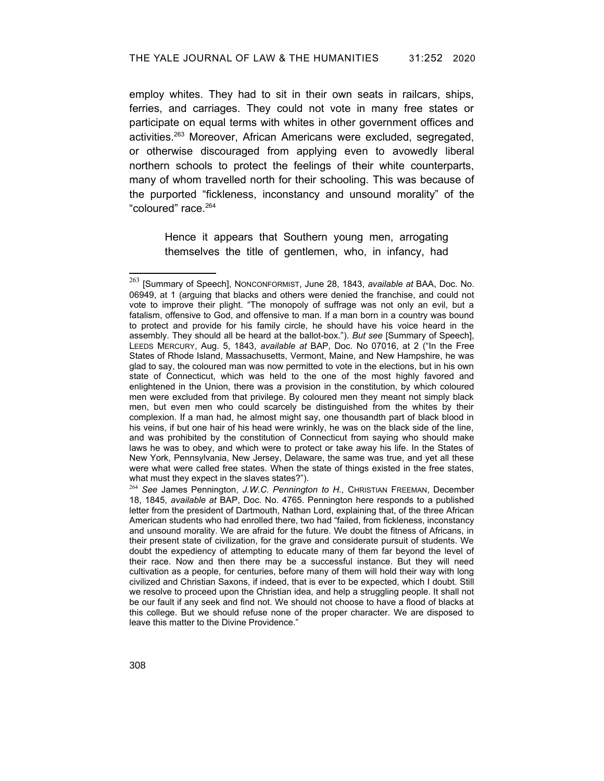employ whites. They had to sit in their own seats in railcars, ships, ferries, and carriages. They could not vote in many free states or participate on equal terms with whites in other government offices and activities.<sup>[263](#page-55-0)</sup> Moreover, African Americans were excluded, segregated, or otherwise discouraged from applying even to avowedly liberal northern schools to protect the feelings of their white counterparts, many of whom travelled north for their schooling. This was because of the purported "fickleness, inconstancy and unsound morality" of the "coloured" race.[264](#page-55-1)

> Hence it appears that Southern young men, arrogating themselves the title of gentlemen, who, in infancy, had

<span id="page-55-0"></span><sup>263</sup> [Summary of Speech], NONCONFORMIST, June 28, 1843, *available at* BAA, Doc. No. 06949, at 1 (arguing that blacks and others were denied the franchise, and could not vote to improve their plight. "The monopoly of suffrage was not only an evil, but a fatalism, offensive to God, and offensive to man. If a man born in a country was bound to protect and provide for his family circle, he should have his voice heard in the assembly. They should all be heard at the ballot-box."). *But see* [Summary of Speech], LEEDS MERCURY, Aug. 5, 1843, *available at* BAP, Doc. No 07016, at 2 ("In the Free States of Rhode Island, Massachusetts, Vermont, Maine, and New Hampshire, he was glad to say, the coloured man was now permitted to vote in the elections, but in his own state of Connecticut, which was held to the one of the most highly favored and enlightened in the Union, there was a provision in the constitution, by which coloured men were excluded from that privilege. By coloured men they meant not simply black men, but even men who could scarcely be distinguished from the whites by their complexion. If a man had, he almost might say, one thousandth part of black blood in his veins, if but one hair of his head were wrinkly, he was on the black side of the line, and was prohibited by the constitution of Connecticut from saying who should make laws he was to obey, and which were to protect or take away his life. In the States of New York, Pennsylvania, New Jersey, Delaware, the same was true, and yet all these were what were called free states. When the state of things existed in the free states, what must they expect in the slaves states?").

<span id="page-55-1"></span><sup>264</sup> *See* James Pennington, *J.W.C. Pennington to H.,* CHRISTIAN FREEMAN, December 18, 1845, *available at* BAP, Doc. No. 4765. Pennington here responds to a published letter from the president of Dartmouth, Nathan Lord, explaining that, of the three African American students who had enrolled there, two had "failed, from fickleness, inconstancy and unsound morality. We are afraid for the future. We doubt the fitness of Africans, in their present state of civilization, for the grave and considerate pursuit of students. We doubt the expediency of attempting to educate many of them far beyond the level of their race. Now and then there may be a successful instance. But they will need cultivation as a people, for centuries, before many of them will hold their way with long civilized and Christian Saxons, if indeed, that is ever to be expected, which I doubt. Still we resolve to proceed upon the Christian idea, and help a struggling people. It shall not be our fault if any seek and find not. We should not choose to have a flood of blacks at this college. But we should refuse none of the proper character. We are disposed to leave this matter to the Divine Providence."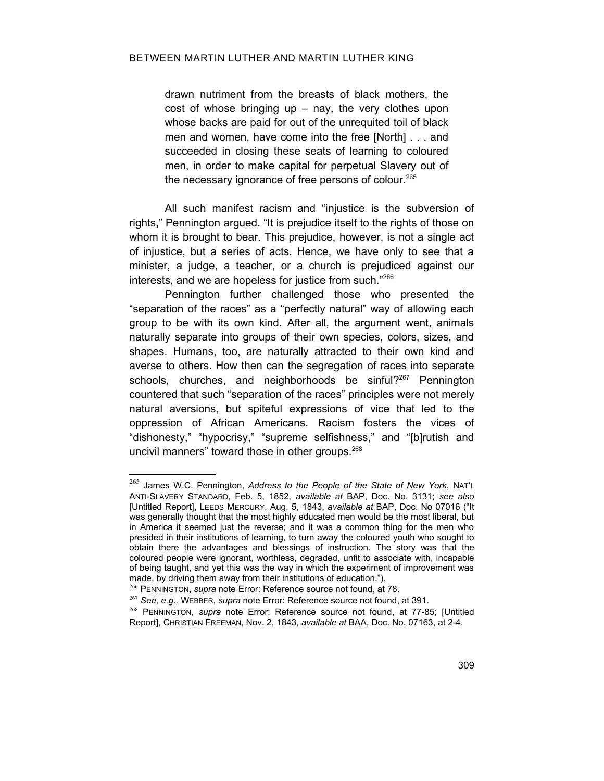drawn nutriment from the breasts of black mothers, the  $cost$  of whose bringing up  $-$  nay, the very clothes upon whose backs are paid for out of the unrequited toil of black men and women, have come into the free [North] . . . and succeeded in closing these seats of learning to coloured men, in order to make capital for perpetual Slavery out of the necessary ignorance of free persons of colour.<sup>[265](#page-56-3)</sup>

All such manifest racism and "injustice is the subversion of rights," Pennington argued. "It is prejudice itself to the rights of those on whom it is brought to bear. This prejudice, however, is not a single act of injustice, but a series of acts. Hence, we have only to see that a minister, a judge, a teacher, or a church is prejudiced against our interests, and we are hopeless for justice from such."<sup>[266](#page-56-4)</sup>

Pennington further challenged those who presented the "separation of the races" as a "perfectly natural" way of allowing each group to be with its own kind. After all, the argument went, animals naturally separate into groups of their own species, colors, sizes, and shapes. Humans, too, are naturally attracted to their own kind and averse to others. How then can the segregation of races into separate schools, churches, and neighborhoods be sinful?<sup>[267](#page-56-5)</sup> Pennington countered that such "separation of the races" principles were not merely natural aversions, but spiteful expressions of vice that led to the oppression of African Americans. Racism fosters the vices of "dishonesty," "hypocrisy," "supreme selfishness," and "[b]rutish and uncivil manners" toward those in other groups.<sup>[268](#page-56-6)</sup>

<span id="page-56-3"></span><sup>265</sup> James W.C. Pennington, *Address to the People of the State of New York*, NAT'<sup>L</sup> ANTI-SLAVERY STANDARD, Feb. 5, 1852, *available at* BAP, Doc. No. 3131; *see also* [Untitled Report], LEEDS MERCURY, Aug. 5, 1843, *available at* BAP, Doc. No 07016 ("It was generally thought that the most highly educated men would be the most liberal, but in America it seemed just the reverse; and it was a common thing for the men who presided in their institutions of learning, to turn away the coloured youth who sought to obtain there the advantages and blessings of instruction. The story was that the coloured people were ignorant, worthless, degraded, unfit to associate with, incapable of being taught, and yet this was the way in which the experiment of improvement was made, by driving them away from their institutions of education.").

<span id="page-56-4"></span><span id="page-56-2"></span><sup>266</sup> PENNINGTON, *supra* note [Error: Reference source not found,](#page-56-2) at 78.

<span id="page-56-5"></span><span id="page-56-1"></span><sup>267</sup> *See, e.g.,* WEBBER, *supra* note [Error: Reference source not found,](#page-56-1) at 391.

<span id="page-56-6"></span><span id="page-56-0"></span><sup>268</sup> PENNINGTON, *supra* note [Error: Reference source not found,](#page-56-0) at 77-85; [Untitled Report], CHRISTIAN FREEMAN, Nov. 2, 1843, *available at* BAA, Doc. No. 07163, at 2-4.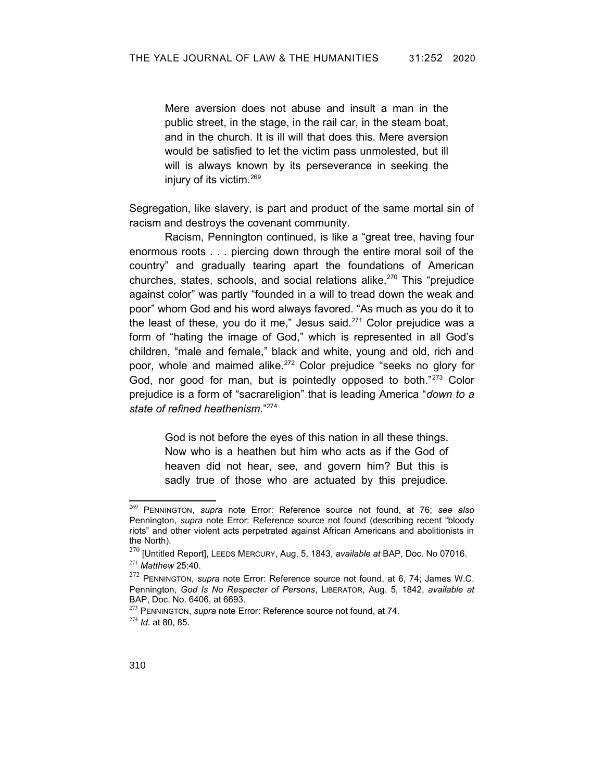Mere aversion does not abuse and insult a man in the public street, in the stage, in the rail car, in the steam boat, and in the church. It is ill will that does this. Mere aversion would be satisfied to let the victim pass unmolested, but ill will is always known by its perseverance in seeking the injury of its victim.<sup>[269](#page-57-4)</sup>

Segregation, like slavery, is part and product of the same mortal sin of racism and destroys the covenant community.

Racism, Pennington continued, is like a "great tree, having four enormous roots . . . piercing down through the entire moral soil of the country" and gradually tearing apart the foundations of American churches, states, schools, and social relations alike.[270](#page-57-5) This "prejudice against color" was partly "founded in a will to tread down the weak and poor" whom God and his word always favored. "As much as you do it to the least of these, you do it me," Jesus said. $271$  Color prejudice was a form of "hating the image of God," which is represented in all God's children, "male and female," black and white, young and old, rich and poor, whole and maimed alike. [272](#page-57-7) Color prejudice "seeks no glory for God, nor good for man, but is pointedly opposed to both."[273](#page-57-8) Color prejudice is a form of "sacrareligion" that is leading America "*down to a state of refined heathenism.*" [274](#page-57-9)

> <span id="page-57-3"></span><span id="page-57-2"></span>God is not before the eyes of this nation in all these things. Now who is a heathen but him who acts as if the God of heaven did not hear, see, and govern him? But this is sadly true of those who are actuated by this prejudice.

<span id="page-57-4"></span><sup>269</sup> PENNINGTON, *supra* note [Error: Reference source not found](#page-57-3), at 76; *see also* Pennington, *supra* note [Error: Reference source not found](#page-57-2) (describing recent "bloody riots" and other violent acts perpetrated against African Americans and abolitionists in the North).

<span id="page-57-6"></span><span id="page-57-5"></span><sup>270</sup> [Untitled Report], LEEDS MERCURY, Aug. 5, 1843, *available at* BAP, Doc. No 07016. <sup>271</sup> *Matthew* 25:40.

<span id="page-57-7"></span><span id="page-57-1"></span><sup>272</sup> PENNINGTON, *supra* note [Error: Reference source not found](#page-57-1), at 6, 74; James W.C. Pennington, *God Is No Respecter of Persons*, LIBERATOR, Aug. 5, 1842, *available at* BAP, Doc. No. 6406, at 6693.

<span id="page-57-9"></span><span id="page-57-8"></span><span id="page-57-0"></span><sup>&</sup>lt;sup>273</sup> PENNINGTON, *supra* note [Error: Reference source not found,](#page-57-0) at 74. <sup>274</sup> *Id.* at 80, 85.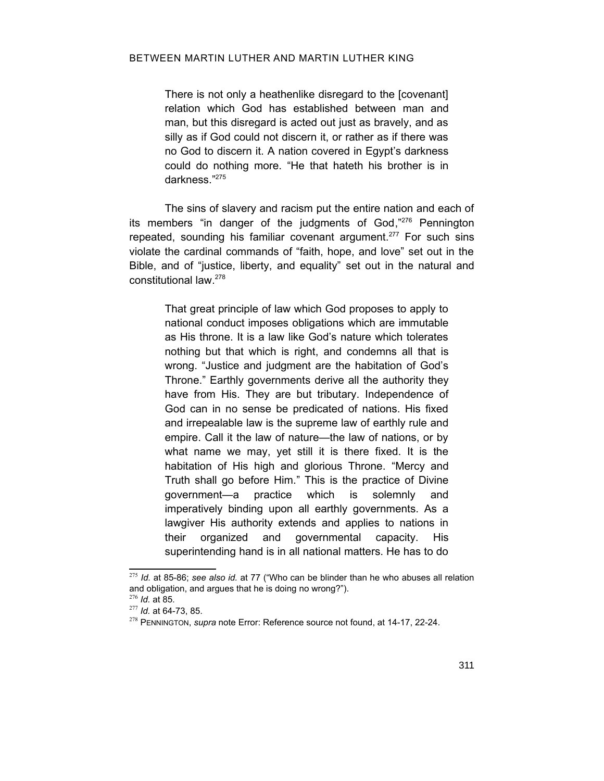There is not only a heathenlike disregard to the [covenant] relation which God has established between man and man, but this disregard is acted out just as bravely, and as silly as if God could not discern it, or rather as if there was no God to discern it. A nation covered in Egypt's darkness could do nothing more. "He that hateth his brother is in darkness." [275](#page-58-1)

The sins of slavery and racism put the entire nation and each of its members "in danger of the judgments of God,"[276](#page-58-2) Pennington repeated, sounding his familiar covenant argument.<sup>[277](#page-58-3)</sup> For such sins violate the cardinal commands of "faith, hope, and love" set out in the Bible, and of "justice, liberty, and equality" set out in the natural and constitutional law. [278](#page-58-4)

> That great principle of law which God proposes to apply to national conduct imposes obligations which are immutable as His throne. It is a law like God's nature which tolerates nothing but that which is right, and condemns all that is wrong. "Justice and judgment are the habitation of God's Throne." Earthly governments derive all the authority they have from His. They are but tributary. Independence of God can in no sense be predicated of nations. His fixed and irrepealable law is the supreme law of earthly rule and empire. Call it the law of nature—the law of nations, or by what name we may, yet still it is there fixed. It is the habitation of His high and glorious Throne. "Mercy and Truth shall go before Him." This is the practice of Divine government—a practice which is solemnly and imperatively binding upon all earthly governments. As a lawgiver His authority extends and applies to nations in their organized and governmental capacity. His superintending hand is in all national matters. He has to do

<span id="page-58-1"></span><sup>275</sup> *Id.* at 85-86; *see also id.* at 77 ("Who can be blinder than he who abuses all relation and obligation, and argues that he is doing no wrong?").

<span id="page-58-2"></span><sup>276</sup> *Id.* at 85.

<span id="page-58-3"></span><sup>277</sup> *Id.* at 64-73, 85.

<span id="page-58-4"></span><span id="page-58-0"></span><sup>278</sup> PENNINGTON, *supra* note [Error: Reference source not found,](#page-58-0) at 14-17, 22-24.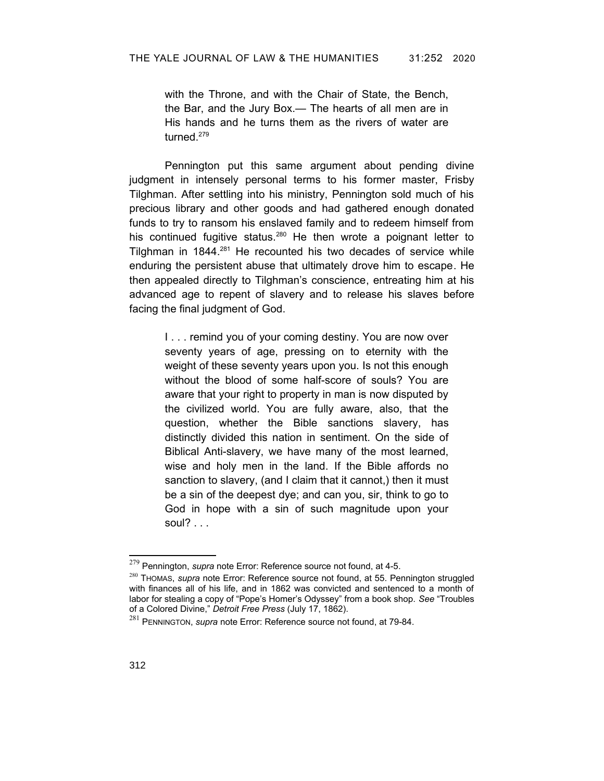with the Throne, and with the Chair of State, the Bench, the Bar, and the Jury Box.— The hearts of all men are in His hands and he turns them as the rivers of water are turned<sup>[279](#page-59-3)</sup>

Pennington put this same argument about pending divine judgment in intensely personal terms to his former master, Frisby Tilghman. After settling into his ministry, Pennington sold much of his precious library and other goods and had gathered enough donated funds to try to ransom his enslaved family and to redeem himself from his continued fugitive status.<sup>[280](#page-59-4)</sup> He then wrote a poignant letter to Tilghman in 1844.<sup>[281](#page-59-5)</sup> He recounted his two decades of service while enduring the persistent abuse that ultimately drove him to escape. He then appealed directly to Tilghman's conscience, entreating him at his advanced age to repent of slavery and to release his slaves before facing the final judgment of God.

I . . . remind you of your coming destiny. You are now over seventy years of age, pressing on to eternity with the weight of these seventy years upon you. Is not this enough without the blood of some half-score of souls? You are aware that your right to property in man is now disputed by the civilized world. You are fully aware, also, that the question, whether the Bible sanctions slavery, has distinctly divided this nation in sentiment. On the side of Biblical Anti-slavery, we have many of the most learned, wise and holy men in the land. If the Bible affords no sanction to slavery, (and I claim that it cannot,) then it must be a sin of the deepest dye; and can you, sir, think to go to God in hope with a sin of such magnitude upon your soul? $\ldots$ 

<span id="page-59-3"></span><span id="page-59-2"></span><sup>279</sup> Pennington, *supra* note [Error: Reference source not found,](#page-59-2) at 4-5.

<span id="page-59-4"></span><span id="page-59-1"></span><sup>280</sup> THOMAS, *supra* note [Error: Reference source not found](#page-59-1), at 55. Pennington struggled with finances all of his life, and in 1862 was convicted and sentenced to a month of labor for stealing a copy of "Pope's Homer's Odyssey" from a book shop. *See* "Troubles of a Colored Divine," *Detroit Free Press* (July 17, 1862).

<span id="page-59-5"></span><span id="page-59-0"></span><sup>281</sup> PENNINGTON, *supra* note [Error: Reference source not found,](#page-59-0) at 79-84.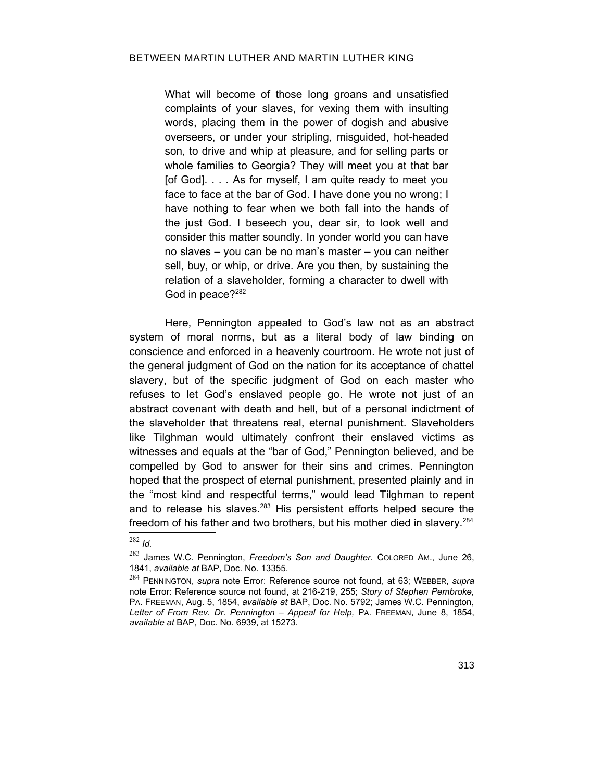What will become of those long groans and unsatisfied complaints of your slaves, for vexing them with insulting words, placing them in the power of dogish and abusive overseers, or under your stripling, misguided, hot-headed son, to drive and whip at pleasure, and for selling parts or whole families to Georgia? They will meet you at that bar [of God]. . . . As for myself, I am quite ready to meet you face to face at the bar of God. I have done you no wrong; I have nothing to fear when we both fall into the hands of the just God. I beseech you, dear sir, to look well and consider this matter soundly. In yonder world you can have no slaves – you can be no man's master – you can neither sell, buy, or whip, or drive. Are you then, by sustaining the relation of a slaveholder, forming a character to dwell with God in peace?<sup>[282](#page-60-2)</sup>

Here, Pennington appealed to God's law not as an abstract system of moral norms, but as a literal body of law binding on conscience and enforced in a heavenly courtroom. He wrote not just of the general judgment of God on the nation for its acceptance of chattel slavery, but of the specific judgment of God on each master who refuses to let God's enslaved people go. He wrote not just of an abstract covenant with death and hell, but of a personal indictment of the slaveholder that threatens real, eternal punishment. Slaveholders like Tilghman would ultimately confront their enslaved victims as witnesses and equals at the "bar of God," Pennington believed, and be compelled by God to answer for their sins and crimes. Pennington hoped that the prospect of eternal punishment, presented plainly and in the "most kind and respectful terms," would lead Tilghman to repent and to release his slaves.<sup>[283](#page-60-3)</sup> His persistent efforts helped secure the freedom of his father and two brothers, but his mother died in slavery.<sup>[284](#page-60-4)</sup>

<span id="page-60-2"></span><sup>282</sup> *Id.*

<span id="page-60-3"></span><sup>283</sup> James W.C. Pennington, *Freedom's Son and Daughter.* COLORED AM., June 26, 1841, *available at* BAP, Doc. No. 13355.

<span id="page-60-4"></span><span id="page-60-1"></span><span id="page-60-0"></span><sup>284</sup> PENNINGTON, *supra* note [Error: Reference source not found,](#page-60-1) at 63; WEBBER, *supra* note [Error: Reference source not found](#page-60-0), at 216-219, 255; *Story of Stephen Pembroke,* PA. FREEMAN, Aug. 5, 1854, *available at* BAP, Doc. No. 5792; James W.C. Pennington, *Letter of From Rev. Dr. Pennington – Appeal for Help,* PA. FREEMAN, June 8, 1854, *available at* BAP, Doc. No. 6939, at 15273.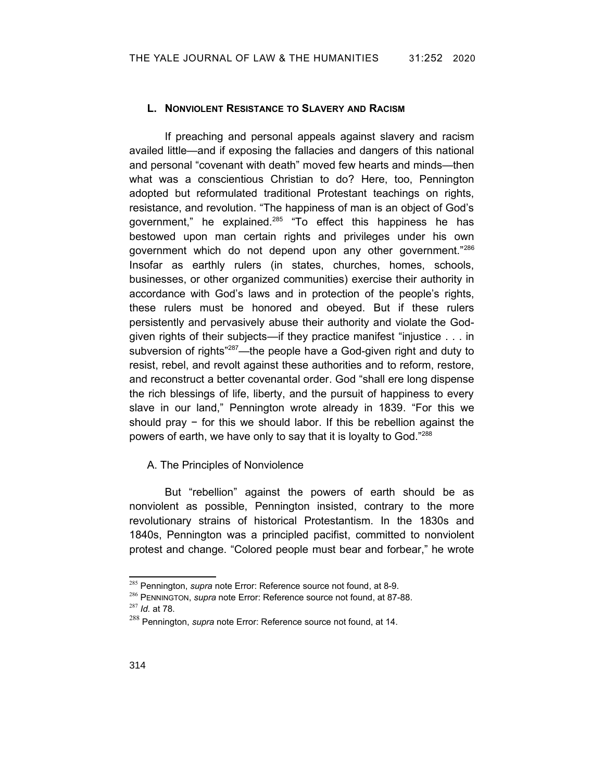#### **L. NONVIOLENT RESISTANCE TO SLAVERY AND RACISM**

If preaching and personal appeals against slavery and racism availed little—and if exposing the fallacies and dangers of this national and personal "covenant with death" moved few hearts and minds—then what was a conscientious Christian to do? Here, too, Pennington adopted but reformulated traditional Protestant teachings on rights, resistance, and revolution. "The happiness of man is an object of God's government," he explained. $285$  "To effect this happiness he has bestowed upon man certain rights and privileges under his own government which do not depend upon any other government."[286](#page-61-4) Insofar as earthly rulers (in states, churches, homes, schools, businesses, or other organized communities) exercise their authority in accordance with God's laws and in protection of the people's rights, these rulers must be honored and obeyed. But if these rulers persistently and pervasively abuse their authority and violate the Godgiven rights of their subjects—if they practice manifest "injustice . . . in subversion of rights"<sup>[287](#page-61-5)</sup>—the people have a God-given right and duty to resist, rebel, and revolt against these authorities and to reform, restore, and reconstruct a better covenantal order. God "shall ere long dispense the rich blessings of life, liberty, and the pursuit of happiness to every slave in our land," Pennington wrote already in 1839. "For this we should pray − for this we should labor. If this be rebellion against the powers of earth, we have only to say that it is loyalty to God."[288](#page-61-6)

### A. The Principles of Nonviolence

But "rebellion" against the powers of earth should be as nonviolent as possible, Pennington insisted, contrary to the more revolutionary strains of historical Protestantism. In the 1830s and 1840s, Pennington was a principled pacifist, committed to nonviolent protest and change. "Colored people must bear and forbear," he wrote

<span id="page-61-3"></span><span id="page-61-2"></span><sup>285</sup> Pennington, *supra* note [Error: Reference source not found](#page-61-2), at 8-9.

<span id="page-61-4"></span><span id="page-61-1"></span><sup>286</sup> PENNINGTON, *supra* note [Error: Reference source not found,](#page-61-1) at 87-88.

<span id="page-61-5"></span><sup>287</sup> *Id.* at 78.

<span id="page-61-6"></span><span id="page-61-0"></span><sup>288</sup> Pennington, *supra* note [Error: Reference source not found,](#page-61-0) at 14.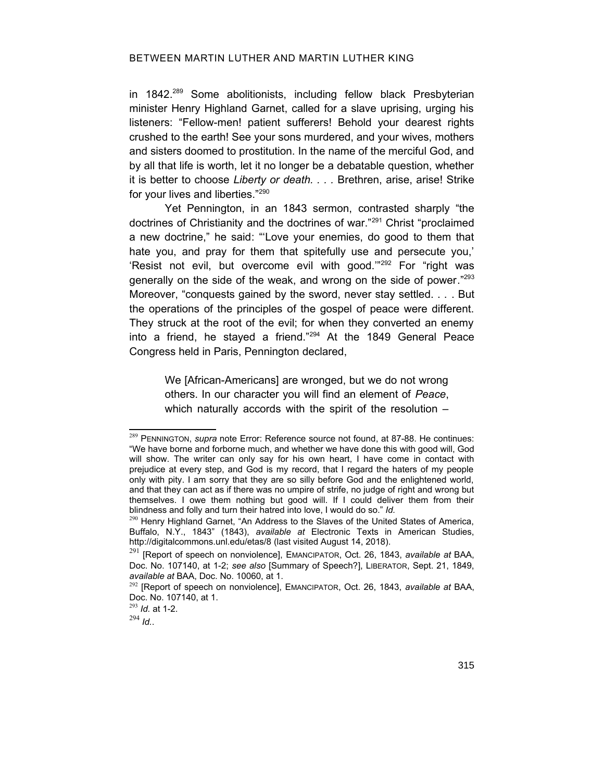in 1842.<sup>[289](#page-62-1)</sup> Some abolitionists, including fellow black Presbyterian minister Henry Highland Garnet, called for a slave uprising, urging his listeners: "Fellow-men! patient sufferers! Behold your dearest rights crushed to the earth! See your sons murdered, and your wives, mothers and sisters doomed to prostitution. In the name of the merciful God, and by all that life is worth, let it no longer be a debatable question, whether it is better to choose *Liberty or death. . . .* Brethren, arise, arise! Strike for your lives and liberties."[290](#page-62-2)

Yet Pennington, in an 1843 sermon, contrasted sharply "the doctrines of Christianity and the doctrines of war."[291](#page-62-3) Christ "proclaimed a new doctrine," he said: "'Love your enemies, do good to them that hate you, and pray for them that spitefully use and persecute you,' 'Resist not evil, but overcome evil with good."<sup>[292](#page-62-4)</sup> For "right was generally on the side of the weak, and wrong on the side of power."[293](#page-62-5) Moreover, "conquests gained by the sword, never stay settled. . . . But the operations of the principles of the gospel of peace were different. They struck at the root of the evil; for when they converted an enemy into a friend, he stayed a friend."[294](#page-62-6) At the 1849 General Peace Congress held in Paris, Pennington declared,

> <span id="page-62-0"></span>We [African-Americans] are wronged, but we do not wrong others. In our character you will find an element of *Peace*, which naturally accords with the spirit of the resolution –

<span id="page-62-6"></span><sup>294</sup> *Id.*.

<span id="page-62-1"></span><sup>289</sup> PENNINGTON, *supra* note [Error: Reference source not found](#page-62-0), at 87-88. He continues: "We have borne and forborne much, and whether we have done this with good will, God will show. The writer can only say for his own heart, I have come in contact with prejudice at every step, and God is my record, that I regard the haters of my people only with pity. I am sorry that they are so silly before God and the enlightened world, and that they can act as if there was no umpire of strife, no judge of right and wrong but themselves. I owe them nothing but good will. If I could deliver them from their blindness and folly and turn their hatred into love, I would do so." *Id.*

<span id="page-62-2"></span><sup>&</sup>lt;sup>290</sup> Henry Highland Garnet, "An Address to the Slaves of the United States of America, Buffalo, N.Y., 1843" (1843), *available at* Electronic Texts in American Studies, http://digitalcommons.unl.edu/etas/8 (last visited August 14, 2018).

<span id="page-62-3"></span><sup>291</sup> [Report of speech on nonviolence], EMANCIPATOR, Oct. 26, 1843, *available at* BAA, Doc. No. 107140, at 1-2; *see also* [Summary of Speech?], LIBERATOR, Sept. 21, 1849, *available at* BAA, Doc. No. 10060, at 1.

<span id="page-62-4"></span><sup>292</sup> [Report of speech on nonviolence], EMANCIPATOR, Oct. 26, 1843, *available at* BAA, Doc. No. 107140, at 1.

<span id="page-62-5"></span><sup>293</sup> *Id.* at 1-2.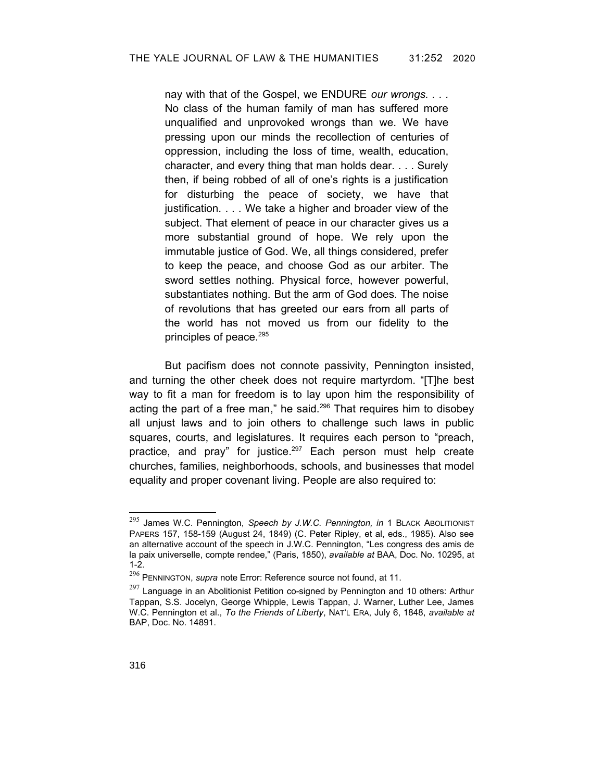nay with that of the Gospel, we ENDURE *our wrongs. . . .* No class of the human family of man has suffered more unqualified and unprovoked wrongs than we. We have pressing upon our minds the recollection of centuries of oppression, including the loss of time, wealth, education, character, and every thing that man holds dear. . . . Surely then, if being robbed of all of one's rights is a justification for disturbing the peace of society, we have that justification. . . . We take a higher and broader view of the subject. That element of peace in our character gives us a more substantial ground of hope. We rely upon the immutable justice of God. We, all things considered, prefer to keep the peace, and choose God as our arbiter. The sword settles nothing. Physical force, however powerful, substantiates nothing. But the arm of God does. The noise of revolutions that has greeted our ears from all parts of the world has not moved us from our fidelity to the principles of peace.<sup>[295](#page-63-1)</sup>

But pacifism does not connote passivity, Pennington insisted, and turning the other cheek does not require martyrdom. "[T]he best way to fit a man for freedom is to lay upon him the responsibility of acting the part of a free man," he said.<sup>[296](#page-63-2)</sup> That requires him to disobey all unjust laws and to join others to challenge such laws in public squares, courts, and legislatures. It requires each person to "preach, practice, and pray" for justice.<sup>[297](#page-63-3)</sup> Each person must help create churches, families, neighborhoods, schools, and businesses that model equality and proper covenant living. People are also required to:

<span id="page-63-1"></span><sup>295</sup> James W.C. Pennington, *Speech by J.W.C. Pennington, in* 1 BLACK ABOLITIONIST PAPERS 157, 158-159 (August 24, 1849) (C. Peter Ripley, et al, eds., 1985). Also see an alternative account of the speech in J.W.C. Pennington, "Les congress des amis de la paix universelle, compte rendee," (Paris, 1850), *available at* BAA, Doc. No. 10295, at 1-2.

<span id="page-63-2"></span><span id="page-63-0"></span><sup>296</sup> PENNINGTON, *supra* note [Error: Reference source not found,](#page-63-0) at 11.

<span id="page-63-3"></span> $297$  Language in an Abolitionist Petition co-signed by Pennington and 10 others: Arthur Tappan, S.S. Jocelyn, George Whipple, Lewis Tappan, J. Warner, Luther Lee, James W.C. Pennington et al., *To the Friends of Liberty*, NAT'L ERA, July 6, 1848, *available at* BAP, Doc. No. 14891.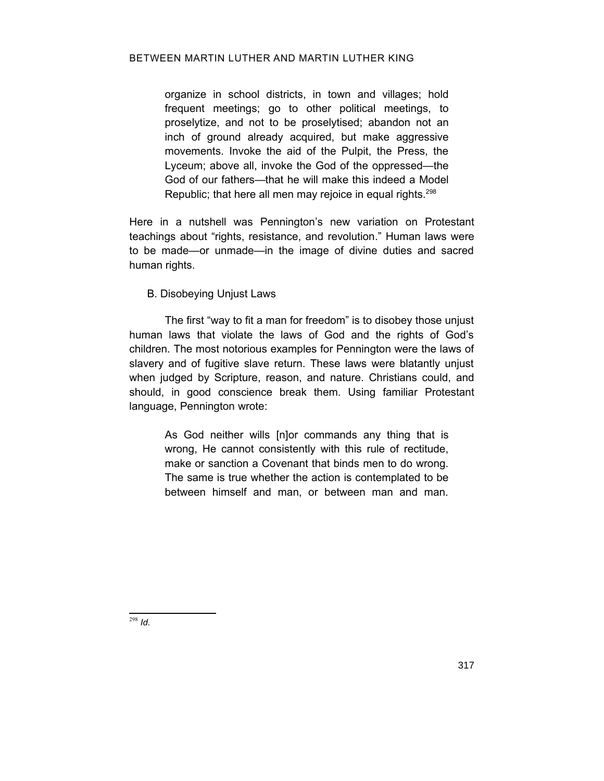### BETWEEN MARTIN LUTHER AND MARTIN LUTHER KING

organize in school districts, in town and villages; hold frequent meetings; go to other political meetings, to proselytize, and not to be proselytised; abandon not an inch of ground already acquired, but make aggressive movements. Invoke the aid of the Pulpit, the Press, the Lyceum; above all, invoke the God of the oppressed—the God of our fathers—that he will make this indeed a Model Republic; that here all men may rejoice in equal rights.<sup>[298](#page-64-0)</sup>

Here in a nutshell was Pennington's new variation on Protestant teachings about "rights, resistance, and revolution." Human laws were to be made—or unmade—in the image of divine duties and sacred human rights.

# B. Disobeying Unjust Laws

The first "way to fit a man for freedom" is to disobey those unjust human laws that violate the laws of God and the rights of God's children. The most notorious examples for Pennington were the laws of slavery and of fugitive slave return. These laws were blatantly unjust when judged by Scripture, reason, and nature. Christians could, and should, in good conscience break them. Using familiar Protestant language, Pennington wrote:

> As God neither wills [n]or commands any thing that is wrong, He cannot consistently with this rule of rectitude, make or sanction a Covenant that binds men to do wrong. The same is true whether the action is contemplated to be between himself and man, or between man and man.

<span id="page-64-0"></span><sup>298</sup> *Id.*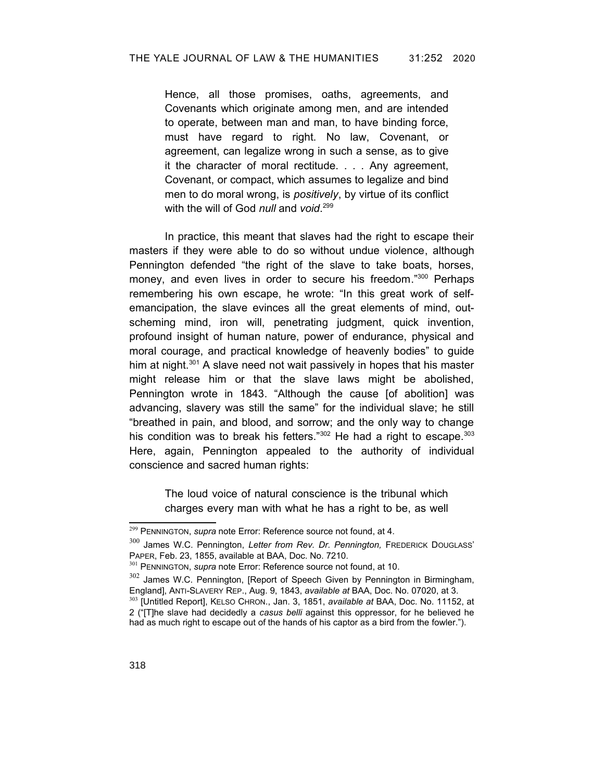Hence, all those promises, oaths, agreements, and Covenants which originate among men, and are intended to operate, between man and man, to have binding force, must have regard to right. No law, Covenant, or agreement, can legalize wrong in such a sense, as to give it the character of moral rectitude. . . . Any agreement, Covenant, or compact, which assumes to legalize and bind men to do moral wrong, is *positively*, by virtue of its conflict with the will of God *null* and *void*. [299](#page-65-2)

In practice, this meant that slaves had the right to escape their masters if they were able to do so without undue violence, although Pennington defended "the right of the slave to take boats, horses, money, and even lives in order to secure his freedom."[300](#page-65-3) Perhaps remembering his own escape, he wrote: "In this great work of selfemancipation, the slave evinces all the great elements of mind, outscheming mind, iron will, penetrating judgment, quick invention, profound insight of human nature, power of endurance, physical and moral courage, and practical knowledge of heavenly bodies" to guide him at night.<sup>[301](#page-65-4)</sup> A slave need not wait passively in hopes that his master might release him or that the slave laws might be abolished, Pennington wrote in 1843. "Although the cause [of abolition] was advancing, slavery was still the same" for the individual slave; he still "breathed in pain, and blood, and sorrow; and the only way to change his condition was to break his fetters."[302](#page-65-5) He had a right to escape. [303](#page-65-6) Here, again, Pennington appealed to the authority of individual conscience and sacred human rights:

> <span id="page-65-1"></span><span id="page-65-0"></span>The loud voice of natural conscience is the tribunal which charges every man with what he has a right to be, as well

<span id="page-65-2"></span><sup>299</sup> PENNINGTON, *supra* note [Error: Reference source not found,](#page-65-1) at 4.

<span id="page-65-3"></span><sup>300</sup> James W.C. Pennington, *Letter from Rev. Dr. Pennington,* FREDERICK DOUGLASS' PAPER, Feb. 23, 1855, available at BAA, Doc. No. 7210.

<span id="page-65-4"></span><sup>301</sup> PENNINGTON, *supra* note [Error: Reference source not found,](#page-65-0) at 10.

<span id="page-65-5"></span> $302$  James W.C. Pennington, [Report of Speech Given by Pennington in Birmingham, England], ANTI-SLAVERY REP., Aug. 9, 1843, *available at* BAA, Doc. No. 07020, at 3.

<span id="page-65-6"></span><sup>303</sup> [Untitled Report], KELSO CHRON., Jan. 3, 1851, *available at* BAA, Doc. No. 11152, at 2 ("[T]he slave had decidedly a *casus belli* against this oppressor, for he believed he had as much right to escape out of the hands of his captor as a bird from the fowler.").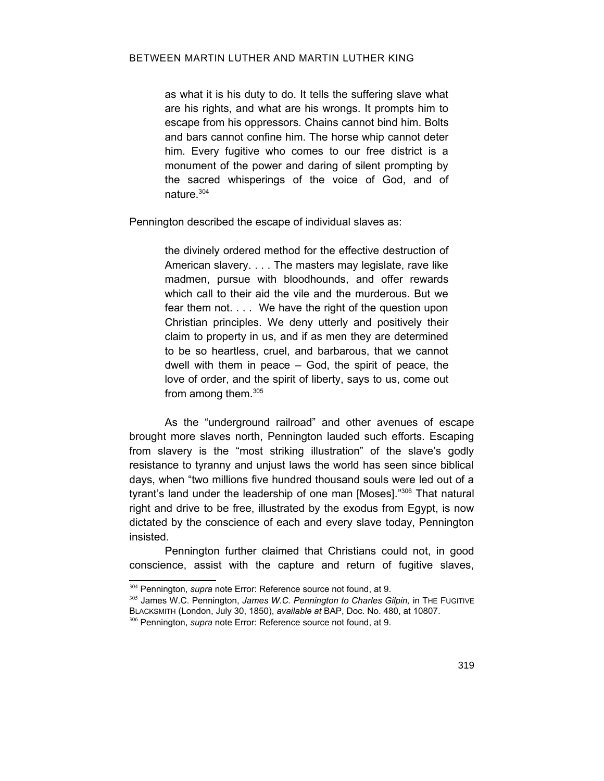as what it is his duty to do. It tells the suffering slave what are his rights, and what are his wrongs. It prompts him to escape from his oppressors. Chains cannot bind him. Bolts and bars cannot confine him. The horse whip cannot deter him. Every fugitive who comes to our free district is a monument of the power and daring of silent prompting by the sacred whisperings of the voice of God, and of nature.[304](#page-66-2)

Pennington described the escape of individual slaves as:

the divinely ordered method for the effective destruction of American slavery. . . . The masters may legislate, rave like madmen, pursue with bloodhounds, and offer rewards which call to their aid the vile and the murderous. But we fear them not. . . . We have the right of the question upon Christian principles. We deny utterly and positively their claim to property in us, and if as men they are determined to be so heartless, cruel, and barbarous, that we cannot dwell with them in peace – God, the spirit of peace, the love of order, and the spirit of liberty, says to us, come out from among them.[305](#page-66-3)

As the "underground railroad" and other avenues of escape brought more slaves north, Pennington lauded such efforts. Escaping from slavery is the "most striking illustration" of the slave's godly resistance to tyranny and unjust laws the world has seen since biblical days, when "two millions five hundred thousand souls were led out of a tyrant's land under the leadership of one man [Moses]." [306](#page-66-4) That natural right and drive to be free, illustrated by the exodus from Egypt, is now dictated by the conscience of each and every slave today, Pennington insisted.

Pennington further claimed that Christians could not, in good conscience, assist with the capture and return of fugitive slaves,

<span id="page-66-2"></span><span id="page-66-1"></span><sup>304</sup> Pennington, *supra* note [Error: Reference source not found](#page-66-1), at 9.

<span id="page-66-3"></span><sup>305</sup> James W.C. Pennington, *James W.C. Pennington to Charles Gilpin,* in THE FUGITIVE BLACKSMITH (London, July 30, 1850), *available at* BAP, Doc. No. 480, at 10807.

<span id="page-66-4"></span><span id="page-66-0"></span><sup>306</sup> Pennington, *supra* note [Error: Reference source not found](#page-66-0), at 9.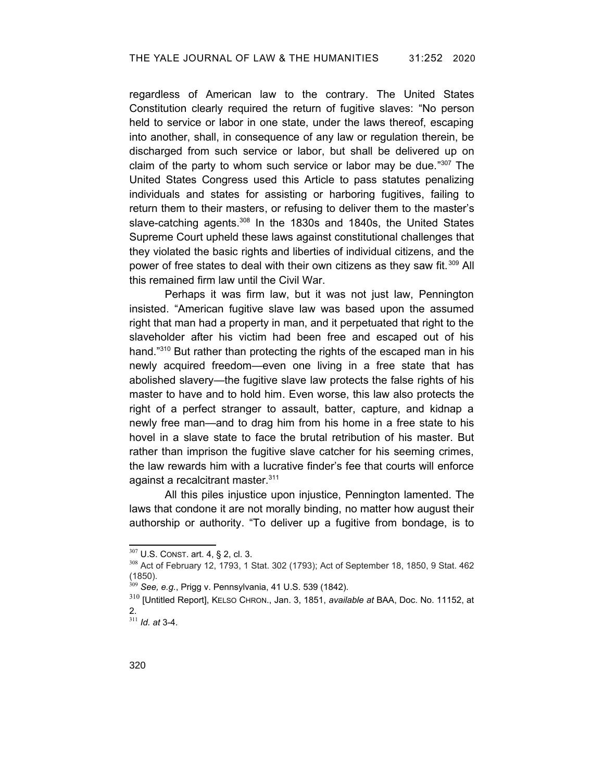regardless of American law to the contrary. The United States Constitution clearly required the return of fugitive slaves: "No person held to service or labor in one state, under the laws thereof, escaping into another, shall, in consequence of any law or regulation therein, be discharged from such service or labor, but shall be delivered up on claim of the party to whom such service or labor may be due."[307](#page-67-0) The United States Congress used this Article to pass statutes penalizing individuals and states for assisting or harboring fugitives, failing to return them to their masters, or refusing to deliver them to the master's slave-catching agents.<sup>[308](#page-67-1)</sup> In the 1830s and 1840s, the United States Supreme Court upheld these laws against constitutional challenges that they violated the basic rights and liberties of individual citizens, and the power of free states to deal with their own citizens as they saw fit.<sup>[309](#page-67-2)</sup> All this remained firm law until the Civil War.

Perhaps it was firm law, but it was not just law, Pennington insisted. "American fugitive slave law was based upon the assumed right that man had a property in man, and it perpetuated that right to the slaveholder after his victim had been free and escaped out of his hand."<sup>[310](#page-67-3)</sup> But rather than protecting the rights of the escaped man in his newly acquired freedom—even one living in a free state that has abolished slavery—the fugitive slave law protects the false rights of his master to have and to hold him. Even worse, this law also protects the right of a perfect stranger to assault, batter, capture, and kidnap a newly free man—and to drag him from his home in a free state to his hovel in a slave state to face the brutal retribution of his master. But rather than imprison the fugitive slave catcher for his seeming crimes, the law rewards him with a lucrative finder's fee that courts will enforce against a recalcitrant master.<sup>[311](#page-67-4)</sup>

All this piles injustice upon injustice, Pennington lamented. The laws that condone it are not morally binding, no matter how august their authorship or authority. "To deliver up a fugitive from bondage, is to

<span id="page-67-0"></span><sup>307</sup> U.S. CONST. art. 4, § 2, cl. 3.

<span id="page-67-1"></span><sup>308</sup> Act of February 12, 1793, 1 Stat. 302 (1793); Act of September 18, 1850, 9 Stat. 462 (1850).

<span id="page-67-2"></span><sup>309</sup> *See, e.g.*, Prigg v. Pennsylvania, 41 U.S. 539 (1842).

<span id="page-67-3"></span><sup>310</sup> [Untitled Report], KELSO CHRON., Jan. 3, 1851, *available at* BAA, Doc. No. 11152, at 2.

<span id="page-67-4"></span><sup>311</sup> *Id. at* 3-4.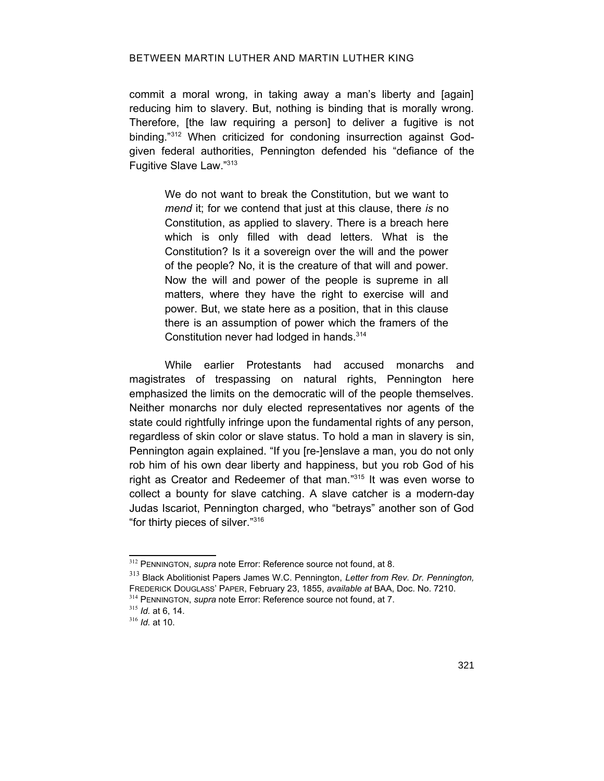commit a moral wrong, in taking away a man's liberty and [again] reducing him to slavery. But, nothing is binding that is morally wrong. Therefore, [the law requiring a person] to deliver a fugitive is not binding."[312](#page-68-2) When criticized for condoning insurrection against Godgiven federal authorities, Pennington defended his "defiance of the Fugitive Slave Law."[313](#page-68-3)

We do not want to break the Constitution, but we want to *mend* it; for we contend that just at this clause, there *is* no Constitution, as applied to slavery. There is a breach here which is only filled with dead letters. What is the Constitution? Is it a sovereign over the will and the power of the people? No, it is the creature of that will and power. Now the will and power of the people is supreme in all matters, where they have the right to exercise will and power. But, we state here as a position, that in this clause there is an assumption of power which the framers of the Constitution never had lodged in hands.[314](#page-68-4)

While earlier Protestants had accused monarchs and magistrates of trespassing on natural rights, Pennington here emphasized the limits on the democratic will of the people themselves. Neither monarchs nor duly elected representatives nor agents of the state could rightfully infringe upon the fundamental rights of any person, regardless of skin color or slave status. To hold a man in slavery is sin, Pennington again explained. "If you [re-]enslave a man, you do not only rob him of his own dear liberty and happiness, but you rob God of his right as Creator and Redeemer of that man."<sup>[315](#page-68-5)</sup> It was even worse to collect a bounty for slave catching. A slave catcher is a modern-day Judas Iscariot, Pennington charged, who "betrays" another son of God "for thirty pieces of silver."[316](#page-68-6)

<span id="page-68-2"></span><span id="page-68-1"></span><sup>312</sup> PENNINGTON, *supra* note [Error: Reference source not found,](#page-68-1) at 8.

<span id="page-68-3"></span><sup>313</sup> Black Abolitionist Papers James W.C. Pennington, *Letter from Rev. Dr. Pennington,* FREDERICK DOUGLASS' PAPER, February 23, 1855, *available at* BAA, Doc. No. 7210.

<span id="page-68-4"></span><span id="page-68-0"></span><sup>314</sup> PENNINGTON, *supra* note [Error: Reference source not found,](#page-68-0) at 7.

<span id="page-68-5"></span><sup>315</sup> *Id.* at 6, 14.

<span id="page-68-6"></span><sup>316</sup> *Id.* at 10.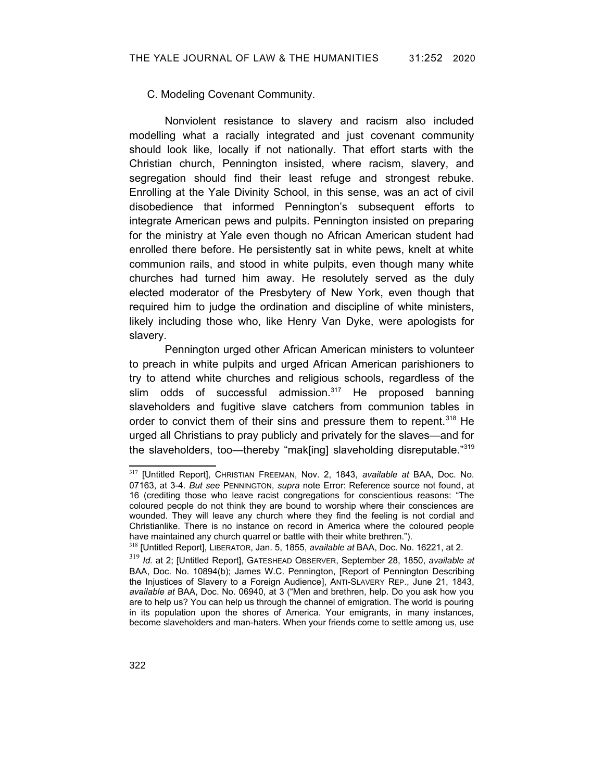## C. Modeling Covenant Community.

Nonviolent resistance to slavery and racism also included modelling what a racially integrated and just covenant community should look like, locally if not nationally. That effort starts with the Christian church, Pennington insisted, where racism, slavery, and segregation should find their least refuge and strongest rebuke. Enrolling at the Yale Divinity School, in this sense, was an act of civil disobedience that informed Pennington's subsequent efforts to integrate American pews and pulpits. Pennington insisted on preparing for the ministry at Yale even though no African American student had enrolled there before. He persistently sat in white pews, knelt at white communion rails, and stood in white pulpits, even though many white churches had turned him away. He resolutely served as the duly elected moderator of the Presbytery of New York, even though that required him to judge the ordination and discipline of white ministers, likely including those who, like Henry Van Dyke, were apologists for slavery.

Pennington urged other African American ministers to volunteer to preach in white pulpits and urged African American parishioners to try to attend white churches and religious schools, regardless of the slim odds of successful admission.<sup>[317](#page-69-1)</sup> He proposed banning slaveholders and fugitive slave catchers from communion tables in order to convict them of their sins and pressure them to repent.<sup>[318](#page-69-2)</sup> He urged all Christians to pray publicly and privately for the slaves—and for the slaveholders, too—thereby "mak[ing] slaveholding disreputable."[319](#page-69-3)

<span id="page-69-1"></span><span id="page-69-0"></span><sup>317</sup> [Untitled Report], CHRISTIAN FREEMAN, Nov. 2, 1843, *available at* BAA, Doc. No. 07163, at 3-4. *But see* PENNINGTON, *supra* note [Error: Reference source not found,](#page-69-0) at 16 (crediting those who leave racist congregations for conscientious reasons: "The coloured people do not think they are bound to worship where their consciences are wounded. They will leave any church where they find the feeling is not cordial and Christianlike. There is no instance on record in America where the coloured people have maintained any church quarrel or battle with their white brethren.").

<span id="page-69-2"></span><sup>318</sup> [Untitled Report], LIBERATOR, Jan. 5, 1855, *available at* BAA, Doc. No. 16221, at 2.

<span id="page-69-3"></span><sup>319</sup> *Id.* at 2; [Untitled Report], GATESHEAD OBSERVER, September 28, 1850, *available at* BAA, Doc. No. 10894(b); James W.C. Pennington, [Report of Pennington Describing the Injustices of Slavery to a Foreign Audience], ANTI-SLAVERY REP., June 21, 1843, *available at* BAA, Doc. No. 06940, at 3 ("Men and brethren, help. Do you ask how you are to help us? You can help us through the channel of emigration. The world is pouring in its population upon the shores of America. Your emigrants, in many instances, become slaveholders and man-haters. When your friends come to settle among us, use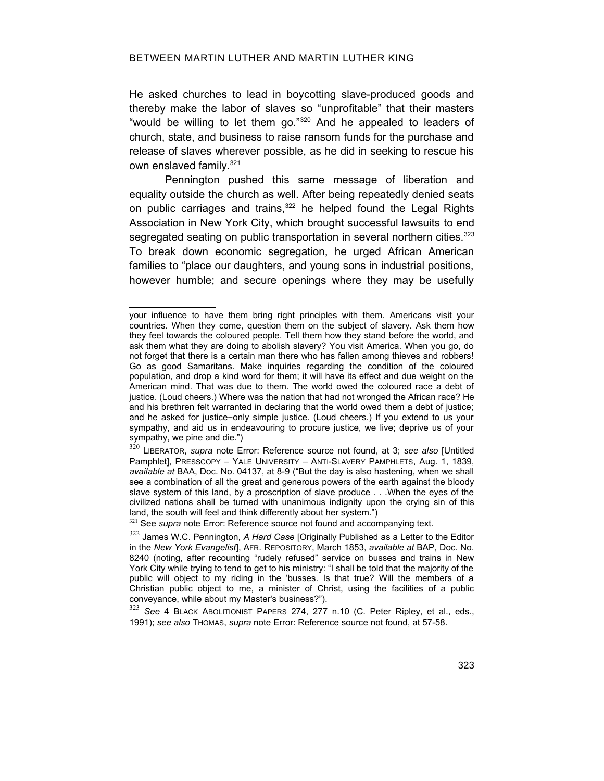He asked churches to lead in boycotting slave-produced goods and thereby make the labor of slaves so "unprofitable" that their masters "would be willing to let them go."[320](#page-70-3) And he appealed to leaders of church, state, and business to raise ransom funds for the purchase and release of slaves wherever possible, as he did in seeking to rescue his own enslaved family.<sup>[321](#page-70-4)</sup>

Pennington pushed this same message of liberation and equality outside the church as well. After being repeatedly denied seats on public carriages and trains,<sup>[322](#page-70-5)</sup> he helped found the Legal Rights Association in New York City, which brought successful lawsuits to end segregated seating on public transportation in several northern cities.<sup>[323](#page-70-6)</sup> To break down economic segregation, he urged African American families to "place our daughters, and young sons in industrial positions, however humble; and secure openings where they may be usefully

<span id="page-70-4"></span><span id="page-70-1"></span><sup>321</sup> See *supra* note [Error: Reference source not found](#page-70-1) and accompanying text.

your influence to have them bring right principles with them. Americans visit your countries. When they come, question them on the subject of slavery. Ask them how they feel towards the coloured people. Tell them how they stand before the world, and ask them what they are doing to abolish slavery? You visit America. When you go, do not forget that there is a certain man there who has fallen among thieves and robbers! Go as good Samaritans. Make inquiries regarding the condition of the coloured population, and drop a kind word for them; it will have its effect and due weight on the American mind. That was due to them. The world owed the coloured race a debt of justice. (Loud cheers.) Where was the nation that had not wronged the African race? He and his brethren felt warranted in declaring that the world owed them a debt of justice; and he asked for justice−only simple justice. (Loud cheers.) If you extend to us your sympathy, and aid us in endeavouring to procure justice, we live; deprive us of your sympathy, we pine and die.")

<span id="page-70-3"></span><span id="page-70-2"></span><sup>320</sup> LIBERATOR, *supra* note [Error: Reference source not found](#page-70-2), at 3; *see also* [Untitled Pamphlet], PRESSCOPY – YALE UNIVERSITY – ANTI-SLAVERY PAMPHLETS, Aug. 1, 1839, *available at* BAA, Doc. No. 04137, at 8-9 ("But the day is also hastening, when we shall see a combination of all the great and generous powers of the earth against the bloody slave system of this land, by a proscription of slave produce . . .When the eyes of the civilized nations shall be turned with unanimous indignity upon the crying sin of this land, the south will feel and think differently about her system.")

<span id="page-70-5"></span><sup>322</sup> James W.C. Pennington, *A Hard Case* [Originally Published as a Letter to the Editor in the *New York Evangelist*], AFR. REPOSITORY, March 1853, *available at* BAP, Doc. No. 8240 (noting, after recounting "rudely refused" service on busses and trains in New York City while trying to tend to get to his ministry: "I shall be told that the majority of the public will object to my riding in the 'busses. Is that true? Will the members of a Christian public object to me, a minister of Christ, using the facilities of a public conveyance, while about my Master's business?").

<span id="page-70-6"></span><span id="page-70-0"></span><sup>323</sup> *See* 4 BLACK ABOLITIONIST PAPERS 274, 277 n.10 (C. Peter Ripley, et al., eds., 1991); *see also* THOMAS, *supra* note [Error: Reference source not found](#page-70-0), at 57-58.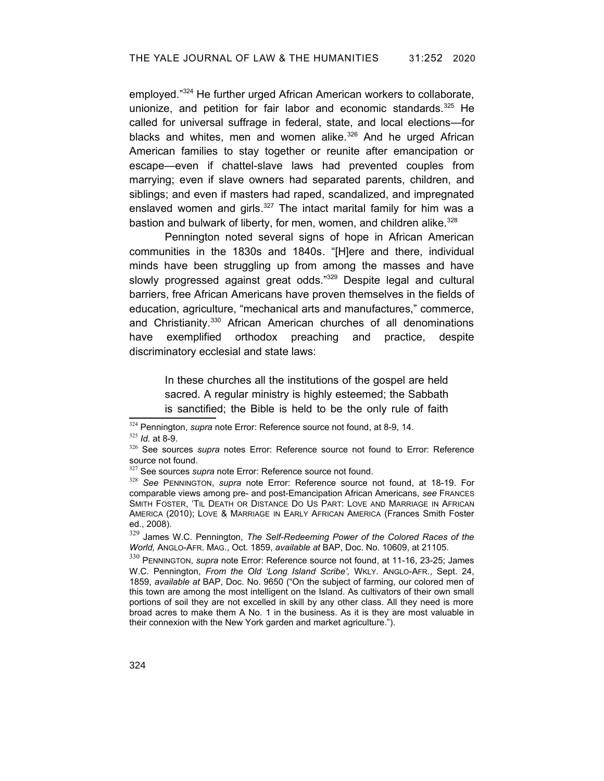employed."[324](#page-71-6) He further urged African American workers to collaborate, unionize, and petition for fair labor and economic standards.<sup>[325](#page-71-7)</sup> He called for universal suffrage in federal, state, and local elections—for blacks and whites, men and women alike. $326$  And he urged African American families to stay together or reunite after emancipation or escape—even if chattel-slave laws had prevented couples from marrying; even if slave owners had separated parents, children, and siblings; and even if masters had raped, scandalized, and impregnated enslaved women and girls.<sup>[327](#page-71-9)</sup> The intact marital family for him was a bastion and bulwark of liberty, for men, women, and children alike.<sup>[328](#page-71-10)</sup>

Pennington noted several signs of hope in African American communities in the 1830s and 1840s. "[H]ere and there, individual minds have been struggling up from among the masses and have slowly progressed against great odds."<sup>[329](#page-71-11)</sup> Despite legal and cultural barriers, free African Americans have proven themselves in the fields of education, agriculture, "mechanical arts and manufactures," commerce, and Christianity.<sup>[330](#page-71-12)</sup> African American churches of all denominations have exemplified orthodox preaching and practice, despite discriminatory ecclesial and state laws:

> <span id="page-71-5"></span><span id="page-71-4"></span><span id="page-71-2"></span><span id="page-71-1"></span>In these churches all the institutions of the gospel are held sacred. A regular ministry is highly esteemed; the Sabbath is sanctified; the Bible is held to be the only rule of faith

<span id="page-71-6"></span><sup>324</sup> Pennington, *supra* note [Error: Reference source not found](#page-71-5), at 8-9, 14.

<span id="page-71-7"></span><sup>325</sup> *Id.* at 8-9.

<span id="page-71-8"></span><sup>326</sup> See sources *supra* notes [Error: Reference source not found](#page-71-4) to [Error: Reference](#page-71-3) [source not found](#page-71-3).

<span id="page-71-9"></span><span id="page-71-3"></span><sup>327</sup> See sources *supra* note [Error: Reference source not found](#page-71-2).

<span id="page-71-10"></span><sup>328</sup> *See* PENNINGTON, *supra* note [Error: Reference source not found](#page-71-1), at 18-19. For comparable views among pre- and post-Emancipation African Americans, *see* FRANCES SMITH FOSTER, 'TIL DEATH OR DISTANCE DO US PART: LOVE AND MARRIAGE IN AFRICAN AMERICA (2010); LOVE & MARRIAGE IN EARLY AFRICAN AMERICA (Frances Smith Foster ed., 2008).

<span id="page-71-11"></span><sup>329</sup> James W.C. Pennington, *The Self-Redeeming Power of the Colored Races of the World,* ANGLO-AFR. MAG., Oct. 1859, *available at* BAP, Doc. No. 10609, at 21105.

<span id="page-71-12"></span><span id="page-71-0"></span><sup>330</sup> PENNINGTON, *supra* note [Error: Reference source not found](#page-71-0), at 11-16, 23-25; James W.C. Pennington, From the Old 'Long Island Scribe', WKLY. ANGLO-AFR., Sept. 24, 1859, *available at* BAP, Doc. No. 9650 ("On the subject of farming, our colored men of this town are among the most intelligent on the Island. As cultivators of their own small portions of soil they are not excelled in skill by any other class. All they need is more broad acres to make them A No. 1 in the business. As it is they are most valuable in their connexion with the New York garden and market agriculture.").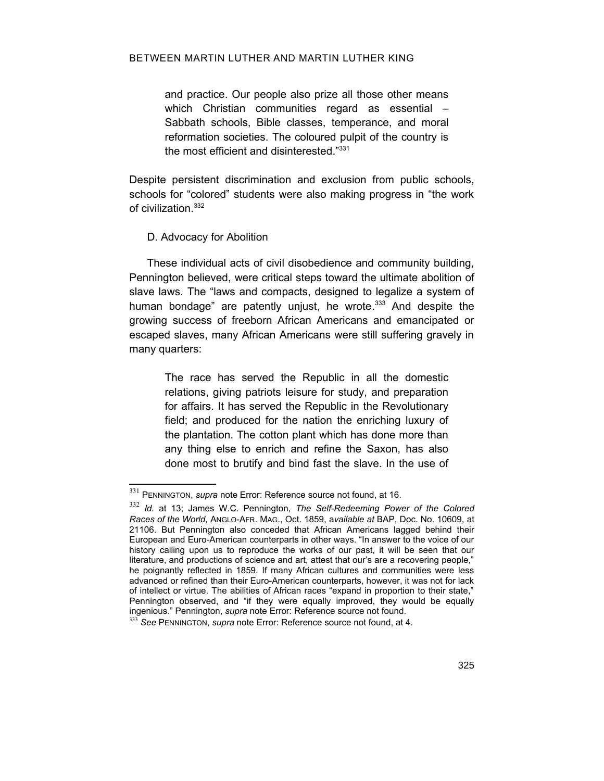and practice. Our people also prize all those other means which Christian communities regard as essential -Sabbath schools, Bible classes, temperance, and moral reformation societies. The coloured pulpit of the country is the most efficient and disinterested."[331](#page-72-3)

Despite persistent discrimination and exclusion from public schools, schools for "colored" students were also making progress in "the work of civilization. [332](#page-72-4)

## D. Advocacy for Abolition

These individual acts of civil disobedience and community building, Pennington believed, were critical steps toward the ultimate abolition of slave laws. The "laws and compacts, designed to legalize a system of human bondage" are patently unjust, he wrote.<sup>[333](#page-72-5)</sup> And despite the growing success of freeborn African Americans and emancipated or escaped slaves, many African Americans were still suffering gravely in many quarters:

> <span id="page-72-2"></span>The race has served the Republic in all the domestic relations, giving patriots leisure for study, and preparation for affairs. It has served the Republic in the Revolutionary field; and produced for the nation the enriching luxury of the plantation. The cotton plant which has done more than any thing else to enrich and refine the Saxon, has also done most to brutify and bind fast the slave. In the use of

<span id="page-72-3"></span><sup>331</sup> PENNINGTON, *supra* note [Error: Reference source not found,](#page-72-2) at 16.

<span id="page-72-4"></span><sup>332</sup> *Id.* at 13; James W.C. Pennington, *The Self-Redeeming Power of the Colored Races of the World,* ANGLO-AFR. MAG., Oct. 1859, a*vailable at* BAP, Doc. No. 10609, at 21106. But Pennington also conceded that African Americans lagged behind their European and Euro-American counterparts in other ways. "In answer to the voice of our history calling upon us to reproduce the works of our past, it will be seen that our literature, and productions of science and art, attest that our's are a recovering people," he poignantly reflected in 1859. If many African cultures and communities were less advanced or refined than their Euro-American counterparts, however, it was not for lack of intellect or virtue. The abilities of African races "expand in proportion to their state," Pennington observed, and "if they were equally improved, they would be equally ingenious." Pennington, *supra* note [Error: Reference source not found](#page-72-1).

<span id="page-72-5"></span><span id="page-72-1"></span><span id="page-72-0"></span><sup>333</sup> *See* PENNINGTON, *supra* note [Error: Reference source not found](#page-72-0), at 4.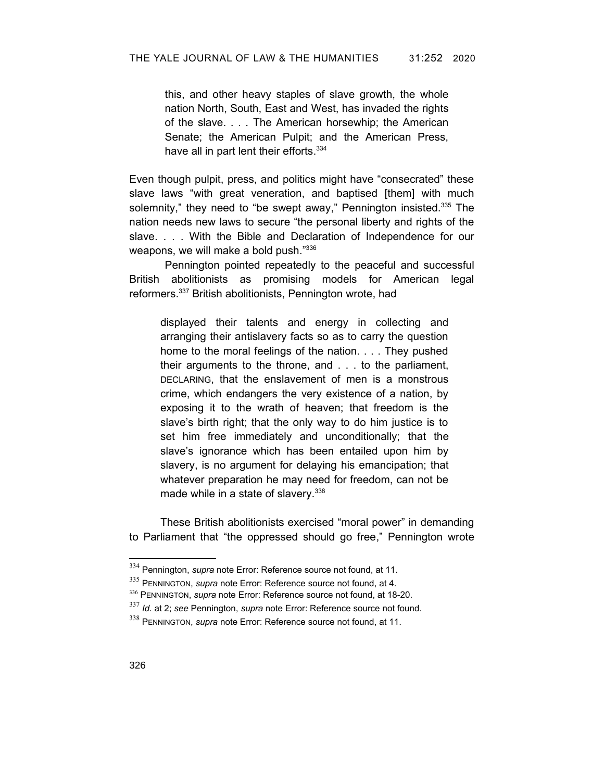this, and other heavy staples of slave growth, the whole nation North, South, East and West, has invaded the rights of the slave. . . . The American horsewhip; the American Senate; the American Pulpit; and the American Press, have all in part lent their efforts.<sup>[334](#page-73-5)</sup>

Even though pulpit, press, and politics might have "consecrated" these slave laws "with great veneration, and baptised [them] with much solemnity," they need to "be swept away," Pennington insisted.<sup>[335](#page-73-6)</sup> The nation needs new laws to secure "the personal liberty and rights of the slave. . . . With the Bible and Declaration of Independence for our weapons, we will make a bold push."[336](#page-73-7)

Pennington pointed repeatedly to the peaceful and successful British abolitionists as promising models for American legal reformers.<sup>[337](#page-73-8)</sup> British abolitionists, Pennington wrote, had

displayed their talents and energy in collecting and arranging their antislavery facts so as to carry the question home to the moral feelings of the nation. . . . They pushed their arguments to the throne, and . . . to the parliament, DECLARING, that the enslavement of men is a monstrous crime, which endangers the very existence of a nation, by exposing it to the wrath of heaven; that freedom is the slave's birth right; that the only way to do him justice is to set him free immediately and unconditionally; that the slave's ignorance which has been entailed upon him by slavery, is no argument for delaying his emancipation; that whatever preparation he may need for freedom, can not be made while in a state of slavery.<sup>[338](#page-73-9)</sup>

These British abolitionists exercised "moral power" in demanding to Parliament that "the oppressed should go free," Pennington wrote

<span id="page-73-5"></span><sup>334</sup> Pennington, *supra* note [Error: Reference source not found,](#page-73-4) at 11.

<span id="page-73-6"></span><span id="page-73-4"></span><span id="page-73-3"></span><sup>335</sup> PENNINGTON, *supra* note [Error: Reference source not found,](#page-73-3) at 4.

<span id="page-73-7"></span><span id="page-73-2"></span><sup>336</sup> PENNINGTON, *supra* note [Error: Reference source not found,](#page-73-2) at 18-20.

<span id="page-73-8"></span><span id="page-73-1"></span><sup>337</sup> *Id.* at 2; *see* Pennington, *supra* note [Error: Reference source not found](#page-73-1).

<span id="page-73-9"></span><span id="page-73-0"></span><sup>338</sup> PENNINGTON, *supra* note [Error: Reference source not found,](#page-73-0) at 11.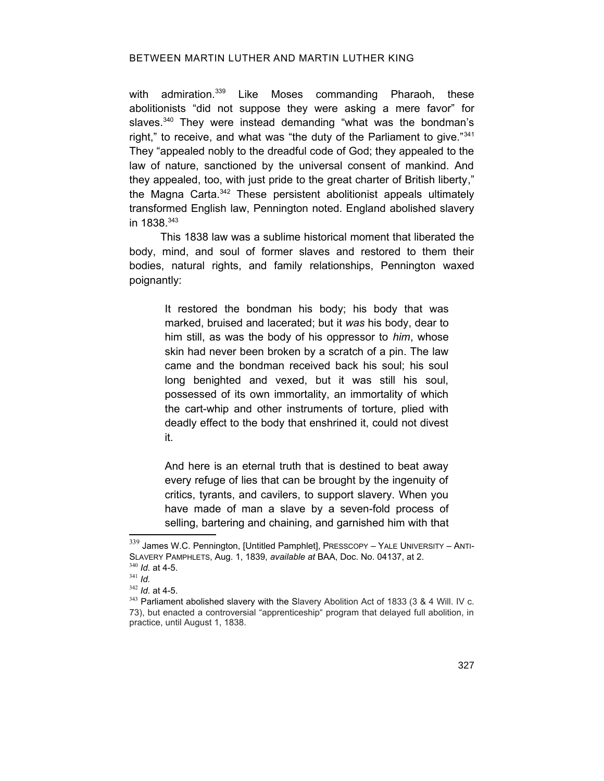### BETWEEN MARTIN LUTHER AND MARTIN LUTHER KING

with admiration.<sup>[339](#page-74-0)</sup> Like Moses commanding Pharaoh, these abolitionists "did not suppose they were asking a mere favor" for slaves.<sup>[340](#page-74-1)</sup> They were instead demanding "what was the bondman's right," to receive, and what was "the duty of the Parliament to give."<sup>[341](#page-74-2)</sup> They "appealed nobly to the dreadful code of God; they appealed to the law of nature, sanctioned by the universal consent of mankind. And they appealed, too, with just pride to the great charter of British liberty," the Magna Carta.[342](#page-74-3) These persistent abolitionist appeals ultimately transformed English law, Pennington noted. England abolished slavery in 1838. [343](#page-74-4)

This 1838 law was a sublime historical moment that liberated the body, mind, and soul of former slaves and restored to them their bodies, natural rights, and family relationships, Pennington waxed poignantly:

> It restored the bondman his body; his body that was marked, bruised and lacerated; but it *was* his body, dear to him still, as was the body of his oppressor to *him*, whose skin had never been broken by a scratch of a pin. The law came and the bondman received back his soul; his soul long benighted and vexed, but it was still his soul, possessed of its own immortality, an immortality of which the cart-whip and other instruments of torture, plied with deadly effect to the body that enshrined it, could not divest it.

> And here is an eternal truth that is destined to beat away every refuge of lies that can be brought by the ingenuity of critics, tyrants, and cavilers, to support slavery. When you have made of man a slave by a seven-fold process of selling, bartering and chaining, and garnished him with that

<span id="page-74-0"></span> $339$  James W.C. Pennington, [Untitled Pamphlet], PRESSCOPY - YALE UNIVERSITY - ANTI-SLAVERY PAMPHLETS, Aug. 1, 1839, *available at* BAA, Doc. No. 04137, at 2. <sup>340</sup> *Id.* at 4-5.

<span id="page-74-2"></span><span id="page-74-1"></span><sup>341</sup> *Id.*

<span id="page-74-3"></span><sup>342</sup> *Id.* at 4-5.

<span id="page-74-4"></span><sup>&</sup>lt;sup>343</sup> Parliament abolished slavery with the Slavery Abolition Act of 1833 (3 & 4 Will. IV c. 73), but enacted a controversial "apprenticeship" program that delayed full abolition, in practice, until August 1, 1838.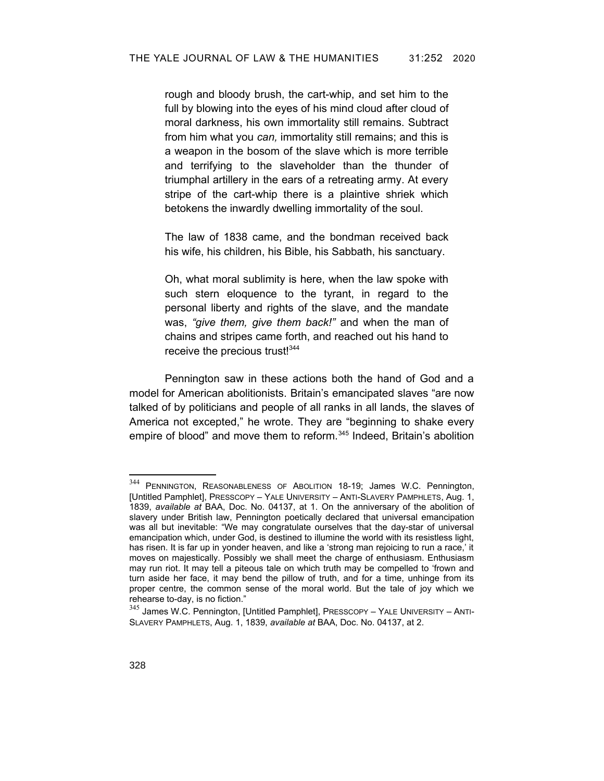rough and bloody brush, the cart-whip, and set him to the full by blowing into the eyes of his mind cloud after cloud of moral darkness, his own immortality still remains. Subtract from him what you *can,* immortality still remains; and this is a weapon in the bosom of the slave which is more terrible and terrifying to the slaveholder than the thunder of triumphal artillery in the ears of a retreating army. At every stripe of the cart-whip there is a plaintive shriek which betokens the inwardly dwelling immortality of the soul.

The law of 1838 came, and the bondman received back his wife, his children, his Bible, his Sabbath, his sanctuary.

Oh, what moral sublimity is here, when the law spoke with such stern eloquence to the tyrant, in regard to the personal liberty and rights of the slave, and the mandate was, *"give them, give them back!"* and when the man of chains and stripes came forth, and reached out his hand to receive the precious trust!<sup>[344](#page-75-0)</sup>

Pennington saw in these actions both the hand of God and a model for American abolitionists. Britain's emancipated slaves "are now talked of by politicians and people of all ranks in all lands, the slaves of America not excepted," he wrote. They are "beginning to shake every empire of blood" and move them to reform.<sup>[345](#page-75-1)</sup> Indeed, Britain's abolition

<span id="page-75-0"></span><sup>344</sup> PENNINGTON, REASONABLENESS OF ABOLITION 18-19; James W.C. Pennington, [Untitled Pamphlet], PRESSCOPY – YALE UNIVERSITY – ANTI-SLAVERY PAMPHLETS, Aug. 1, 1839, *available at* BAA, Doc. No. 04137, at 1. On the anniversary of the abolition of slavery under British law, Pennington poetically declared that universal emancipation was all but inevitable: "We may congratulate ourselves that the day-star of universal emancipation which, under God, is destined to illumine the world with its resistless light, has risen. It is far up in yonder heaven, and like a 'strong man rejoicing to run a race,' it moves on majestically. Possibly we shall meet the charge of enthusiasm. Enthusiasm may run riot. It may tell a piteous tale on which truth may be compelled to 'frown and turn aside her face, it may bend the pillow of truth, and for a time, unhinge from its proper centre, the common sense of the moral world. But the tale of joy which we rehearse to-day, is no fiction."

<span id="page-75-1"></span> $345$  James W.C. Pennington, [Untitled Pamphlet], PRESSCOPY - YALE UNIVERSITY - ANTI-SLAVERY PAMPHLETS, Aug. 1, 1839, *available at* BAA, Doc. No. 04137, at 2.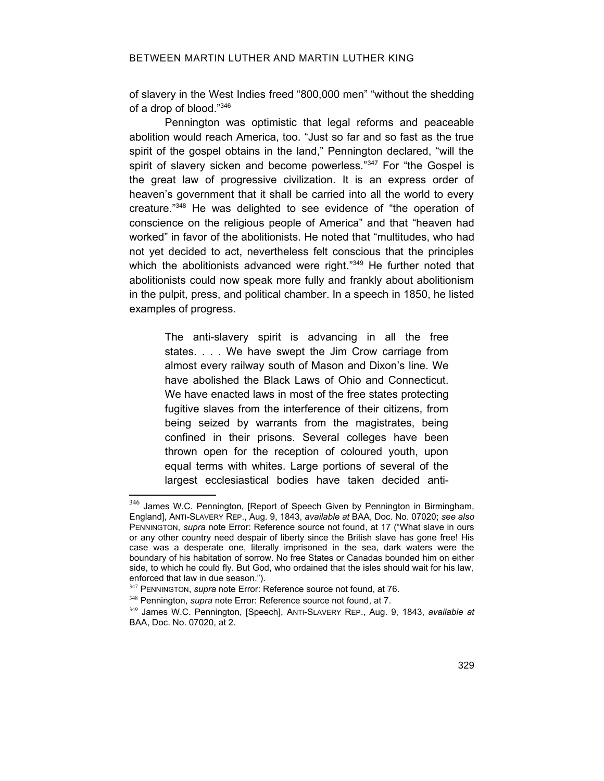of slavery in the West Indies freed "800,000 men" "without the shedding of a drop of blood."[346](#page-76-3)

Pennington was optimistic that legal reforms and peaceable abolition would reach America, too. "Just so far and so fast as the true spirit of the gospel obtains in the land," Pennington declared, "will the spirit of slavery sicken and become powerless."<sup>[347](#page-76-4)</sup> For "the Gospel is the great law of progressive civilization. It is an express order of heaven's government that it shall be carried into all the world to every creature." [348](#page-76-5) He was delighted to see evidence of "the operation of conscience on the religious people of America" and that "heaven had worked" in favor of the abolitionists. He noted that "multitudes, who had not yet decided to act, nevertheless felt conscious that the principles which the abolitionists advanced were right."<sup>[349](#page-76-6)</sup> He further noted that abolitionists could now speak more fully and frankly about abolitionism in the pulpit, press, and political chamber. In a speech in 1850, he listed examples of progress.

The anti-slavery spirit is advancing in all the free states. . . . We have swept the Jim Crow carriage from almost every railway south of Mason and Dixon's line. We have abolished the Black Laws of Ohio and Connecticut. We have enacted laws in most of the free states protecting fugitive slaves from the interference of their citizens, from being seized by warrants from the magistrates, being confined in their prisons. Several colleges have been thrown open for the reception of coloured youth, upon equal terms with whites. Large portions of several of the largest ecclesiastical bodies have taken decided anti-

<span id="page-76-3"></span><span id="page-76-2"></span><sup>346</sup> James W.C. Pennington, [Report of Speech Given by Pennington in Birmingham, England], ANTI-SLAVERY REP., Aug. 9, 1843, *available at* BAA, Doc. No. 07020; *see also* PENNINGTON, *supra* note [Error: Reference source not found](#page-76-2), at 17 ("What slave in ours or any other country need despair of liberty since the British slave has gone free! His case was a desperate one, literally imprisoned in the sea, dark waters were the boundary of his habitation of sorrow. No free States or Canadas bounded him on either side, to which he could fly. But God, who ordained that the isles should wait for his law, enforced that law in due season.").

<span id="page-76-4"></span><span id="page-76-1"></span><sup>347</sup> PENNINGTON, *supra* note [Error: Reference source not found,](#page-76-1) at 76.

<span id="page-76-5"></span><span id="page-76-0"></span><sup>348</sup> Pennington, *supra* note [Error: Reference source not found](#page-76-0), at 7.

<span id="page-76-6"></span><sup>349</sup> James W.C. Pennington, [Speech], ANTI-SLAVERY REP., Aug. 9, 1843, *available at* BAA, Doc. No. 07020, at 2.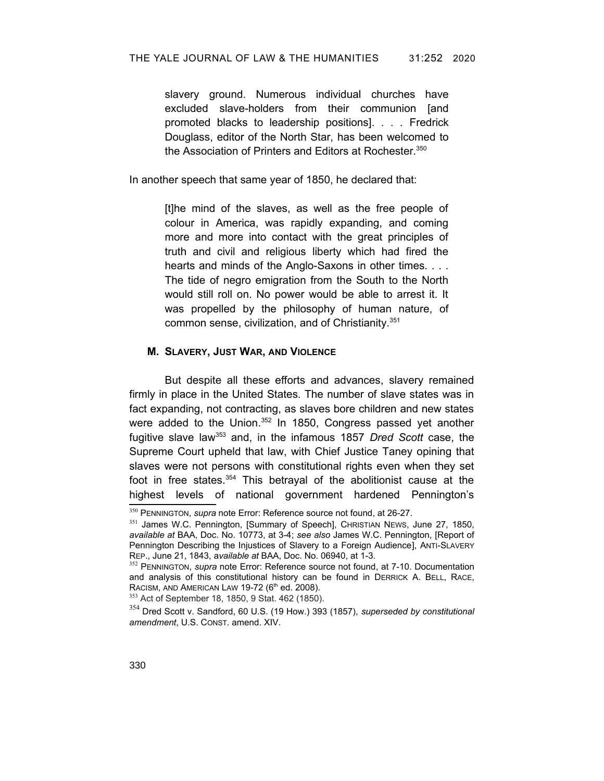slavery ground. Numerous individual churches have excluded slave-holders from their communion [and promoted blacks to leadership positions]. . . . Fredrick Douglass, editor of the North Star, has been welcomed to the Association of Printers and Editors at Rochester.<sup>[350](#page-77-2)</sup>

In another speech that same year of 1850, he declared that:

[t]he mind of the slaves, as well as the free people of colour in America, was rapidly expanding, and coming more and more into contact with the great principles of truth and civil and religious liberty which had fired the hearts and minds of the Anglo-Saxons in other times. . . . The tide of negro emigration from the South to the North would still roll on. No power would be able to arrest it. It was propelled by the philosophy of human nature, of common sense, civilization, and of Christianity.<sup>[351](#page-77-3)</sup>

### **M. SLAVERY, JUST WAR, AND VIOLENCE**

But despite all these efforts and advances, slavery remained firmly in place in the United States. The number of slave states was in fact expanding, not contracting, as slaves bore children and new states were added to the Union.<sup>[352](#page-77-4)</sup> In 1850, Congress passed yet another fugitive slave law[353](#page-77-5) and, in the infamous 1857 *Dred Scott* case, the Supreme Court upheld that law, with Chief Justice Taney opining that slaves were not persons with constitutional rights even when they set foot in free states.<sup>[354](#page-77-6)</sup> This betrayal of the abolitionist cause at the highest levels of national government hardened Pennington's

<span id="page-77-2"></span><span id="page-77-1"></span><sup>350</sup> PENNINGTON, *supra* note [Error: Reference source not found,](#page-77-1) at 26-27.

<span id="page-77-3"></span><sup>351</sup> James W.C. Pennington, [Summary of Speech], CHRISTIAN NEWS, June 27, 1850, *available at* BAA, Doc. No. 10773, at 3-4; *see also* James W.C. Pennington, [Report of Pennington Describing the Injustices of Slavery to a Foreign Audience], ANTI-SLAVERY REP., June 21, 1843, a*vailable at* BAA, Doc. No. 06940, at 1-3.

<span id="page-77-4"></span><span id="page-77-0"></span><sup>352</sup> PENNINGTON, *supra* note [Error: Reference source not found](#page-77-0), at 7-10. Documentation and analysis of this constitutional history can be found in DERRICK A. BELL, RACE, RACISM, AND AMERICAN LAW 19-72 (6<sup>th</sup> ed. 2008).

<span id="page-77-5"></span><sup>353</sup> Act of September 18, 1850, 9 Stat. 462 (1850).

<span id="page-77-6"></span><sup>354</sup> Dred Scott v. Sandford, 60 U.S. (19 How.) 393 (1857), *superseded by constitutional amendment*, U.S. CONST. amend. XIV.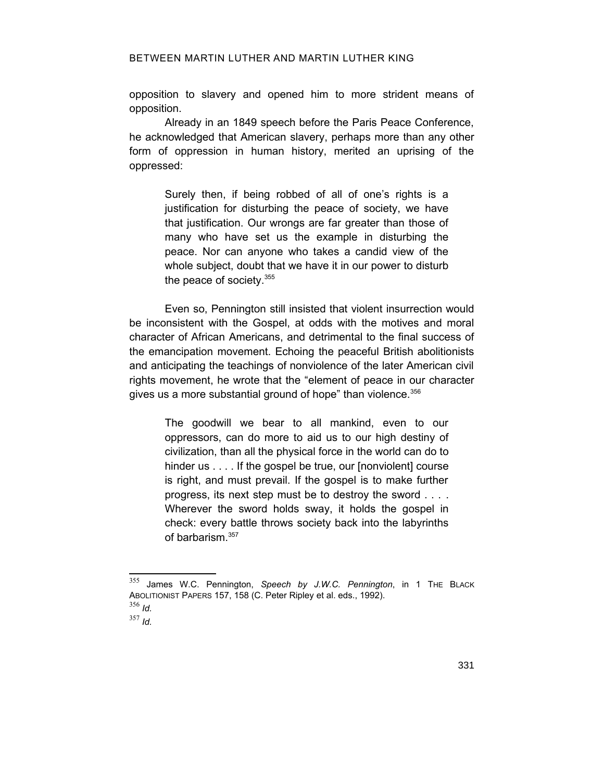opposition to slavery and opened him to more strident means of opposition.

Already in an 1849 speech before the Paris Peace Conference, he acknowledged that American slavery, perhaps more than any other form of oppression in human history, merited an uprising of the oppressed:

Surely then, if being robbed of all of one's rights is a justification for disturbing the peace of society, we have that justification. Our wrongs are far greater than those of many who have set us the example in disturbing the peace. Nor can anyone who takes a candid view of the whole subject, doubt that we have it in our power to disturb the peace of society.[355](#page-78-0)

Even so, Pennington still insisted that violent insurrection would be inconsistent with the Gospel, at odds with the motives and moral character of African Americans, and detrimental to the final success of the emancipation movement. Echoing the peaceful British abolitionists and anticipating the teachings of nonviolence of the later American civil rights movement, he wrote that the "element of peace in our character gives us a more substantial ground of hope" than violence.<sup>[356](#page-78-1)</sup>

The goodwill we bear to all mankind, even to our oppressors, can do more to aid us to our high destiny of civilization, than all the physical force in the world can do to hinder us . . . . If the gospel be true, our [nonviolent] course is right, and must prevail. If the gospel is to make further progress, its next step must be to destroy the sword . . . . Wherever the sword holds sway, it holds the gospel in check: every battle throws society back into the labyrinths of barbarism.[357](#page-78-2)

<span id="page-78-2"></span><sup>357</sup> *Id.*

<span id="page-78-0"></span><sup>355</sup> James W.C. Pennington, *Speech by J.W.C. Pennington*, in 1 THE BLACK ABOLITIONIST PAPERS 157, 158 (C. Peter Ripley et al. eds., 1992). <sup>356</sup> *Id.*

<span id="page-78-1"></span>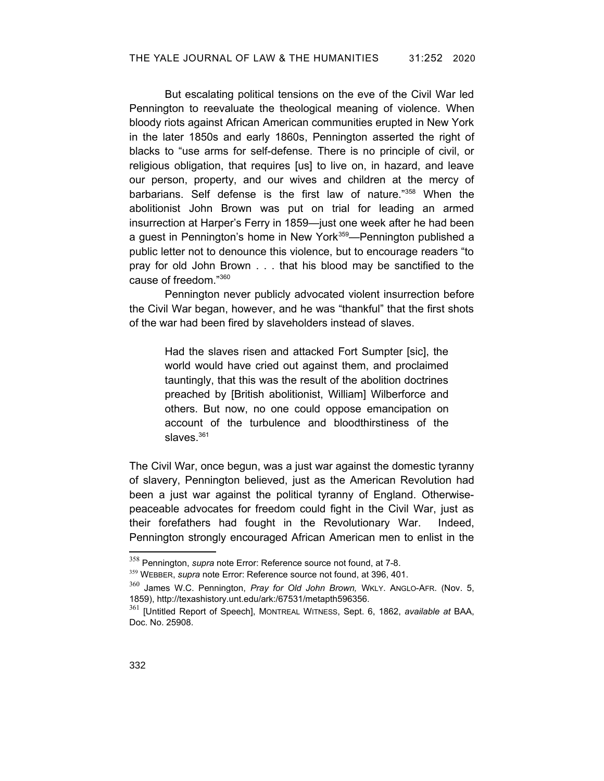But escalating political tensions on the eve of the Civil War led Pennington to reevaluate the theological meaning of violence. When bloody riots against African American communities erupted in New York in the later 1850s and early 1860s, Pennington asserted the right of blacks to "use arms for self-defense. There is no principle of civil, or religious obligation, that requires [us] to live on, in hazard, and leave our person, property, and our wives and children at the mercy of barbarians. Self defense is the first law of nature."[358](#page-79-2) When the abolitionist John Brown was put on trial for leading an armed insurrection at Harper's Ferry in 1859—just one week after he had been a guest in Pennington's home in New York<sup>[359](#page-79-3)</sup>-Pennington published a public letter not to denounce this violence, but to encourage readers "to pray for old John Brown . . . that his blood may be sanctified to the cause of freedom."[360](#page-79-4)

Pennington never publicly advocated violent insurrection before the Civil War began, however, and he was "thankful" that the first shots of the war had been fired by slaveholders instead of slaves.

> Had the slaves risen and attacked Fort Sumpter [sic], the world would have cried out against them, and proclaimed tauntingly, that this was the result of the abolition doctrines preached by [British abolitionist, William] Wilberforce and others. But now, no one could oppose emancipation on account of the turbulence and bloodthirstiness of the slaves. $361$

The Civil War, once begun, was a just war against the domestic tyranny of slavery, Pennington believed, just as the American Revolution had been a just war against the political tyranny of England. Otherwisepeaceable advocates for freedom could fight in the Civil War, just as their forefathers had fought in the Revolutionary War. Indeed, Pennington strongly encouraged African American men to enlist in the

<span id="page-79-2"></span><span id="page-79-1"></span><sup>358</sup> Pennington, *supra* note [Error: Reference source not found,](#page-79-1) at 7-8.

<span id="page-79-3"></span><span id="page-79-0"></span><sup>359</sup> WEBBER, *supra* note [Error: Reference source not found](#page-79-0), at 396, 401.

<span id="page-79-4"></span><sup>360</sup> James W.C. Pennington, *Pray for Old John Brown,* WKLY. ANGLO-AFR. (Nov. 5, 1859), http://texashistory.unt.edu/ark:/67531/metapth596356.

<span id="page-79-5"></span><sup>361</sup> [Untitled Report of Speech], MONTREAL WITNESS, Sept. 6, 1862, *available at* BAA, Doc. No. 25908.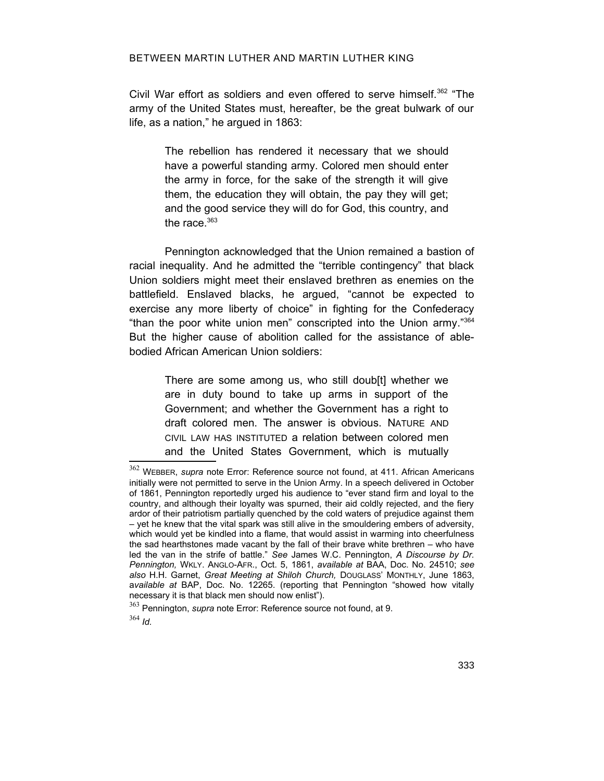Civil War effort as soldiers and even offered to serve himself.<sup>[362](#page-80-2)</sup> "The army of the United States must, hereafter, be the great bulwark of our life, as a nation," he argued in 1863:

> The rebellion has rendered it necessary that we should have a powerful standing army. Colored men should enter the army in force, for the sake of the strength it will give them, the education they will obtain, the pay they will get; and the good service they will do for God, this country, and the race. $363$

Pennington acknowledged that the Union remained a bastion of racial inequality. And he admitted the "terrible contingency" that black Union soldiers might meet their enslaved brethren as enemies on the battlefield. Enslaved blacks, he argued, "cannot be expected to exercise any more liberty of choice" in fighting for the Confederacy "than the poor white union men" conscripted into the Union army."[364](#page-80-4) But the higher cause of abolition called for the assistance of ablebodied African American Union soldiers:

> <span id="page-80-1"></span>There are some among us, who still doub[t] whether we are in duty bound to take up arms in support of the Government; and whether the Government has a right to draft colored men. The answer is obvious. NATURE AND CIVIL LAW HAS INSTITUTED a relation between colored men and the United States Government, which is mutually

<span id="page-80-4"></span><span id="page-80-0"></span> $364$  *Id.* 

<span id="page-80-2"></span><sup>362</sup> WEBBER, *supra* note [Error: Reference source not found,](#page-80-1) at 411. African Americans initially were not permitted to serve in the Union Army. In a speech delivered in October of 1861, Pennington reportedly urged his audience to "ever stand firm and loyal to the country, and although their loyalty was spurned, their aid coldly rejected, and the fiery ardor of their patriotism partially quenched by the cold waters of prejudice against them – yet he knew that the vital spark was still alive in the smouldering embers of adversity, which would yet be kindled into a flame, that would assist in warming into cheerfulness the sad hearthstones made vacant by the fall of their brave white brethren – who have led the van in the strife of battle." *See* James W.C. Pennington, *A Discourse by Dr. Pennington,* WKLY. ANGLO-AFR., Oct. 5, 1861, *available at* BAA, Doc. No. 24510; *see also* H.H. Garnet, *Great Meeting at Shiloh Church,* DOUGLASS' MONTHLY, June 1863, a*vailable at* BAP, Doc. No. 12265. (reporting that Pennington "showed how vitally necessary it is that black men should now enlist").

<span id="page-80-3"></span><sup>363</sup> Pennington, *supra* note [Error: Reference source not found,](#page-80-0) at 9.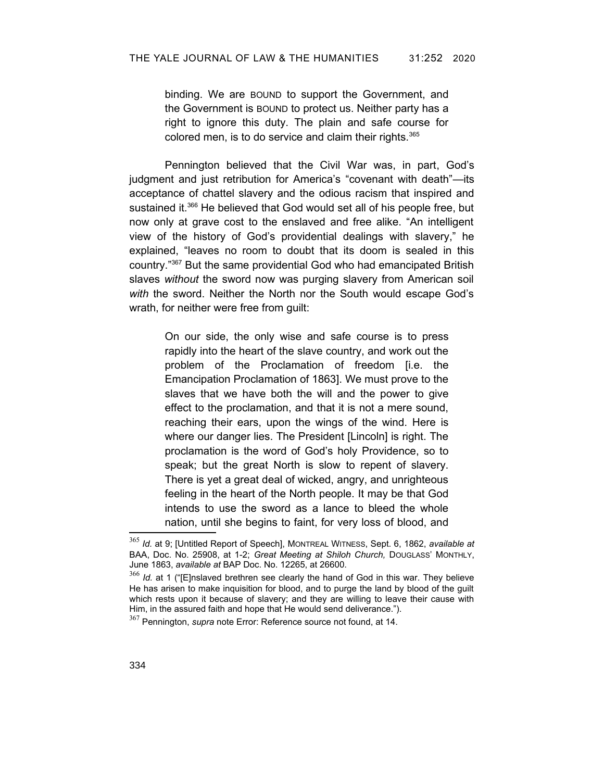binding. We are BOUND to support the Government, and the Government is BOUND to protect us. Neither party has a right to ignore this duty. The plain and safe course for colored men, is to do service and claim their rights.<sup>[365](#page-81-1)</sup>

Pennington believed that the Civil War was, in part, God's judgment and just retribution for America's "covenant with death"—its acceptance of chattel slavery and the odious racism that inspired and sustained it.<sup>[366](#page-81-2)</sup> He believed that God would set all of his people free, but now only at grave cost to the enslaved and free alike. "An intelligent view of the history of God's providential dealings with slavery," he explained, "leaves no room to doubt that its doom is sealed in this country."[367](#page-81-3) But the same providential God who had emancipated British slaves *without* the sword now was purging slavery from American soil *with* the sword. Neither the North nor the South would escape God's wrath, for neither were free from guilt:

> On our side, the only wise and safe course is to press rapidly into the heart of the slave country, and work out the problem of the Proclamation of freedom [i.e. the Emancipation Proclamation of 1863]. We must prove to the slaves that we have both the will and the power to give effect to the proclamation, and that it is not a mere sound, reaching their ears, upon the wings of the wind. Here is where our danger lies. The President [Lincoln] is right. The proclamation is the word of God's holy Providence, so to speak; but the great North is slow to repent of slavery. There is yet a great deal of wicked, angry, and unrighteous feeling in the heart of the North people. It may be that God intends to use the sword as a lance to bleed the whole nation, until she begins to faint, for very loss of blood, and

<span id="page-81-1"></span><sup>365</sup> *Id.* at 9; [Untitled Report of Speech], MONTREAL WITNESS, Sept. 6, 1862, *available at* BAA, Doc. No. 25908, at 1-2; *Great Meeting at Shiloh Church,* DOUGLASS' MONTHLY, June 1863, *available at* BAP Doc. No. 12265, at 26600.

<span id="page-81-2"></span><sup>&</sup>lt;sup>366</sup> *Id.* at 1 ("[E]nslaved brethren see clearly the hand of God in this war. They believe He has arisen to make inquisition for blood, and to purge the land by blood of the guilt which rests upon it because of slavery; and they are willing to leave their cause with Him, in the assured faith and hope that He would send deliverance.").

<span id="page-81-3"></span><span id="page-81-0"></span><sup>367</sup> Pennington, *supra* note [Error: Reference source not found,](#page-81-0) at 14.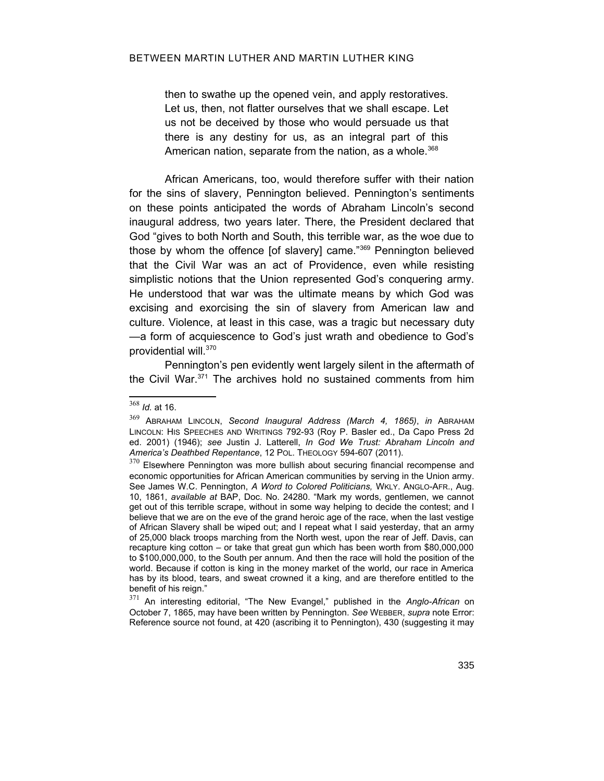then to swathe up the opened vein, and apply restoratives. Let us, then, not flatter ourselves that we shall escape. Let us not be deceived by those who would persuade us that there is any destiny for us, as an integral part of this American nation, separate from the nation, as a whole.<sup>[368](#page-82-1)</sup>

African Americans, too, would therefore suffer with their nation for the sins of slavery, Pennington believed. Pennington's sentiments on these points anticipated the words of Abraham Lincoln's second inaugural address*,* two years later. There, the President declared that God "gives to both North and South, this terrible war, as the woe due to those by whom the offence [of slavery] came."[369](#page-82-2) Pennington believed that the Civil War was an act of Providence, even while resisting simplistic notions that the Union represented God's conquering army. He understood that war was the ultimate means by which God was excising and exorcising the sin of slavery from American law and culture. Violence, at least in this case, was a tragic but necessary duty —a form of acquiescence to God's just wrath and obedience to God's providential will.<sup>[370](#page-82-3)</sup>

Pennington's pen evidently went largely silent in the aftermath of the Civil War.[371](#page-82-4) The archives hold no sustained comments from him

<span id="page-82-1"></span><sup>368</sup> *Id.* at 16.

<span id="page-82-2"></span><sup>369</sup> ABRAHAM LINCOLN, *Second Inaugural Address (March 4, 1865)*, *in* ABRAHAM LINCOLN: HIS SPEECHES AND WRITINGS 792-93 (Roy P. Basler ed., Da Capo Press 2d ed. 2001) (1946); *see* Justin J. Latterell, *In God We Trust: Abraham Lincoln and America's Deathbed Repentance*, 12 POL. THEOLOGY 594-607 (2011).

<span id="page-82-3"></span> $370$  Elsewhere Pennington was more bullish about securing financial recompense and economic opportunities for African American communities by serving in the Union army. See James W.C. Pennington, *A Word to Colored Politicians,* WKLY. ANGLO-AFR., Aug. 10, 1861, *available at* BAP, Doc. No. 24280. "Mark my words, gentlemen, we cannot get out of this terrible scrape, without in some way helping to decide the contest; and I believe that we are on the eve of the grand heroic age of the race, when the last vestige of African Slavery shall be wiped out; and I repeat what I said yesterday, that an army of 25,000 black troops marching from the North west, upon the rear of Jeff. Davis, can recapture king cotton – or take that great gun which has been worth from \$80,000,000 to \$100,000,000, to the South per annum. And then the race will hold the position of the world. Because if cotton is king in the money market of the world, our race in America has by its blood, tears, and sweat crowned it a king, and are therefore entitled to the benefit of his reign."

<span id="page-82-4"></span><span id="page-82-0"></span><sup>371</sup> An interesting editorial, "The New Evangel," published in the *Anglo-African* on October 7, 1865, may have been written by Pennington. *See* WEBBER, *supra* note [Error:](#page-82-0) [Reference source not found](#page-82-0), at 420 (ascribing it to Pennington), 430 (suggesting it may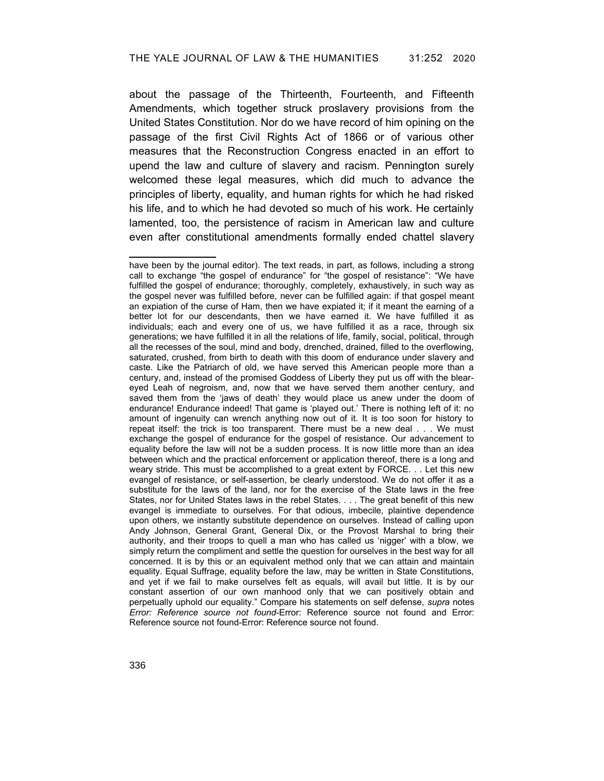about the passage of the Thirteenth, Fourteenth, and Fifteenth Amendments, which together struck proslavery provisions from the United States Constitution. Nor do we have record of him opining on the passage of the first Civil Rights Act of 1866 or of various other measures that the Reconstruction Congress enacted in an effort to upend the law and culture of slavery and racism. Pennington surely welcomed these legal measures, which did much to advance the principles of liberty, equality, and human rights for which he had risked his life, and to which he had devoted so much of his work. He certainly lamented, too, the persistence of racism in American law and culture even after constitutional amendments formally ended chattel slavery

<span id="page-83-3"></span><span id="page-83-2"></span><span id="page-83-1"></span><span id="page-83-0"></span>have been by the journal editor). The text reads, in part, as follows, including a strong call to exchange "the gospel of endurance" for "the gospel of resistance": "We have fulfilled the gospel of endurance; thoroughly, completely, exhaustively, in such way as the gospel never was fulfilled before, never can be fulfilled again: if that gospel meant an expiation of the curse of Ham, then we have expiated it; if it meant the earning of a better lot for our descendants, then we have earned it. We have fulfilled it as individuals; each and every one of us, we have fulfilled it as a race, through six generations; we have fulfilled it in all the relations of life, family, social, political, through all the recesses of the soul, mind and body, drenched, drained, filled to the overflowing, saturated, crushed, from birth to death with this doom of endurance under slavery and caste. Like the Patriarch of old, we have served this American people more than a century, and, instead of the promised Goddess of Liberty they put us off with the bleareyed Leah of negroism, and, now that we have served them another century, and saved them from the 'jaws of death' they would place us anew under the doom of endurance! Endurance indeed! That game is 'played out.' There is nothing left of it: no amount of ingenuity can wrench anything now out of it. It is too soon for history to repeat itself: the trick is too transparent. There must be a new deal . . . We must exchange the gospel of endurance for the gospel of resistance. Our advancement to equality before the law will not be a sudden process. It is now little more than an idea between which and the practical enforcement or application thereof, there is a long and weary stride. This must be accomplished to a great extent by FORCE. . . Let this new evangel of resistance, or self-assertion, be clearly understood. We do not offer it as a substitute for the laws of the land, nor for the exercise of the State laws in the free States, nor for United States laws in the rebel States. . . . The great benefit of this new evangel is immediate to ourselves. For that odious, imbecile, plaintive dependence upon others, we instantly substitute dependence on ourselves. Instead of calling upon Andy Johnson, General Grant, General Dix, or the Provost Marshal to bring their authority, and their troops to quell a man who has called us 'nigger' with a blow, we simply return the compliment and settle the question for ourselves in the best way for all concerned. It is by this or an equivalent method only that we can attain and maintain equality. Equal Suffrage, equality before the law, may be written in State Constitutions, and yet if we fail to make ourselves felt as equals, will avail but little. It is by our constant assertion of our own manhood only that we can positively obtain and perpetually uphold our equality." Compare his statements on self defense, *supra* notes *[Error: Reference source not found](#page-83-3)*[-Error: Reference source not found](#page-83-2) and [Error:](#page-83-1) [Reference source not found](#page-83-1)[-Error: Reference source not found](#page-83-0).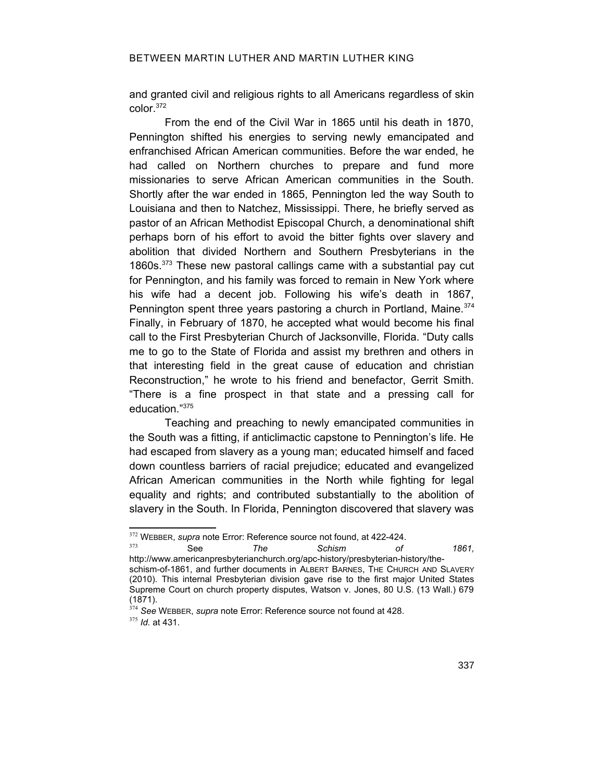and granted civil and religious rights to all Americans regardless of skin color.[372](#page-84-2)

From the end of the Civil War in 1865 until his death in 1870, Pennington shifted his energies to serving newly emancipated and enfranchised African American communities. Before the war ended, he had called on Northern churches to prepare and fund more missionaries to serve African American communities in the South. Shortly after the war ended in 1865, Pennington led the way South to Louisiana and then to Natchez, Mississippi. There, he briefly served as pastor of an African Methodist Episcopal Church, a denominational shift perhaps born of his effort to avoid the bitter fights over slavery and abolition that divided Northern and Southern Presbyterians in the 1860s.[373](#page-84-3) These new pastoral callings came with a substantial pay cut for Pennington, and his family was forced to remain in New York where his wife had a decent job. Following his wife's death in 1867, Pennington spent three years pastoring a church in Portland, Maine.<sup>[374](#page-84-4)</sup> Finally, in February of 1870, he accepted what would become his final call to the First Presbyterian Church of Jacksonville, Florida. "Duty calls me to go to the State of Florida and assist my brethren and others in that interesting field in the great cause of education and christian Reconstruction," he wrote to his friend and benefactor, Gerrit Smith. "There is a fine prospect in that state and a pressing call for education."[375](#page-84-5)

Teaching and preaching to newly emancipated communities in the South was a fitting, if anticlimactic capstone to Pennington's life. He had escaped from slavery as a young man; educated himself and faced down countless barriers of racial prejudice; educated and evangelized African American communities in the North while fighting for legal equality and rights; and contributed substantially to the abolition of slavery in the South. In Florida, Pennington discovered that slavery was

<span id="page-84-2"></span><sup>&</sup>lt;sup>372</sup> WEBBER, *supra* note [Error: Reference source not found](#page-84-1), at 422-424.

<span id="page-84-3"></span><span id="page-84-1"></span><sup>373</sup> See *The Schism of 1861,*

http://www.americanpresbyterianchurch.org/apc-history/presbyterian-history/theschism-of-1861, and further documents in ALBERT BARNES, THE CHURCH AND SLAVERY (2010). This internal Presbyterian division gave rise to the first major United States Supreme Court on church property disputes, Watson v. Jones, 80 U.S. (13 Wall.) 679 (1871).

<span id="page-84-4"></span><span id="page-84-0"></span><sup>374</sup> *See* WEBBER, *supra* note [Error: Reference source not found](#page-84-0) at 428.

<span id="page-84-5"></span><sup>375</sup> *Id.* at 431.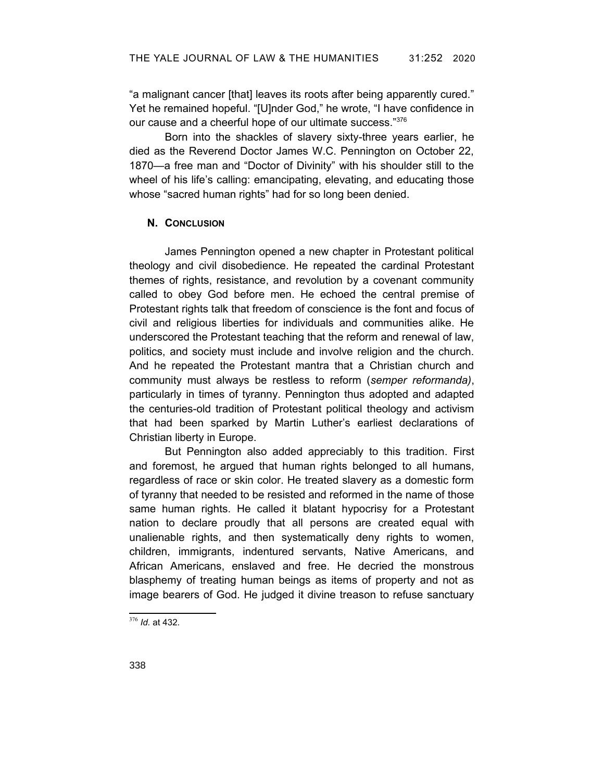"a malignant cancer [that] leaves its roots after being apparently cured." Yet he remained hopeful. "[U]nder God," he wrote, "I have confidence in our cause and a cheerful hope of our ultimate success."[376](#page-85-0)

Born into the shackles of slavery sixty-three years earlier, he died as the Reverend Doctor James W.C. Pennington on October 22, 1870—a free man and "Doctor of Divinity" with his shoulder still to the wheel of his life's calling: emancipating, elevating, and educating those whose "sacred human rights" had for so long been denied.

# **N. CONCLUSION**

James Pennington opened a new chapter in Protestant political theology and civil disobedience. He repeated the cardinal Protestant themes of rights, resistance, and revolution by a covenant community called to obey God before men. He echoed the central premise of Protestant rights talk that freedom of conscience is the font and focus of civil and religious liberties for individuals and communities alike. He underscored the Protestant teaching that the reform and renewal of law, politics, and society must include and involve religion and the church. And he repeated the Protestant mantra that a Christian church and community must always be restless to reform (*semper reformanda)*, particularly in times of tyranny. Pennington thus adopted and adapted the centuries-old tradition of Protestant political theology and activism that had been sparked by Martin Luther's earliest declarations of Christian liberty in Europe.

But Pennington also added appreciably to this tradition. First and foremost, he argued that human rights belonged to all humans, regardless of race or skin color. He treated slavery as a domestic form of tyranny that needed to be resisted and reformed in the name of those same human rights. He called it blatant hypocrisy for a Protestant nation to declare proudly that all persons are created equal with unalienable rights, and then systematically deny rights to women, children, immigrants, indentured servants, Native Americans, and African Americans, enslaved and free. He decried the monstrous blasphemy of treating human beings as items of property and not as image bearers of God. He judged it divine treason to refuse sanctuary

<span id="page-85-0"></span><sup>376</sup> *Id.* at 432.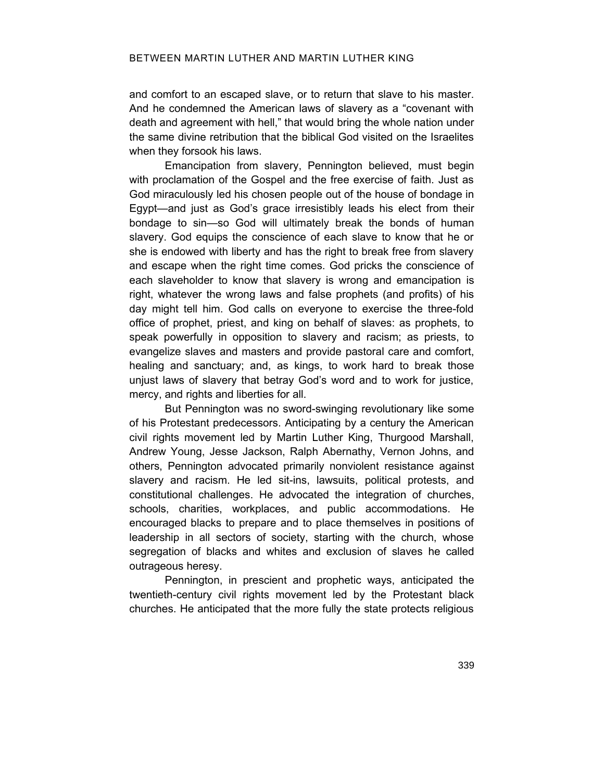and comfort to an escaped slave, or to return that slave to his master. And he condemned the American laws of slavery as a "covenant with death and agreement with hell," that would bring the whole nation under the same divine retribution that the biblical God visited on the Israelites when they forsook his laws.

Emancipation from slavery, Pennington believed, must begin with proclamation of the Gospel and the free exercise of faith. Just as God miraculously led his chosen people out of the house of bondage in Egypt—and just as God's grace irresistibly leads his elect from their bondage to sin—so God will ultimately break the bonds of human slavery. God equips the conscience of each slave to know that he or she is endowed with liberty and has the right to break free from slavery and escape when the right time comes. God pricks the conscience of each slaveholder to know that slavery is wrong and emancipation is right, whatever the wrong laws and false prophets (and profits) of his day might tell him. God calls on everyone to exercise the three-fold office of prophet, priest, and king on behalf of slaves: as prophets, to speak powerfully in opposition to slavery and racism; as priests, to evangelize slaves and masters and provide pastoral care and comfort, healing and sanctuary; and, as kings, to work hard to break those unjust laws of slavery that betray God's word and to work for justice, mercy, and rights and liberties for all.

But Pennington was no sword-swinging revolutionary like some of his Protestant predecessors. Anticipating by a century the American civil rights movement led by Martin Luther King, Thurgood Marshall, Andrew Young, Jesse Jackson, Ralph Abernathy, Vernon Johns, and others, Pennington advocated primarily nonviolent resistance against slavery and racism. He led sit-ins, lawsuits, political protests, and constitutional challenges. He advocated the integration of churches, schools, charities, workplaces, and public accommodations. He encouraged blacks to prepare and to place themselves in positions of leadership in all sectors of society, starting with the church, whose segregation of blacks and whites and exclusion of slaves he called outrageous heresy.

Pennington, in prescient and prophetic ways, anticipated the twentieth-century civil rights movement led by the Protestant black churches. He anticipated that the more fully the state protects religious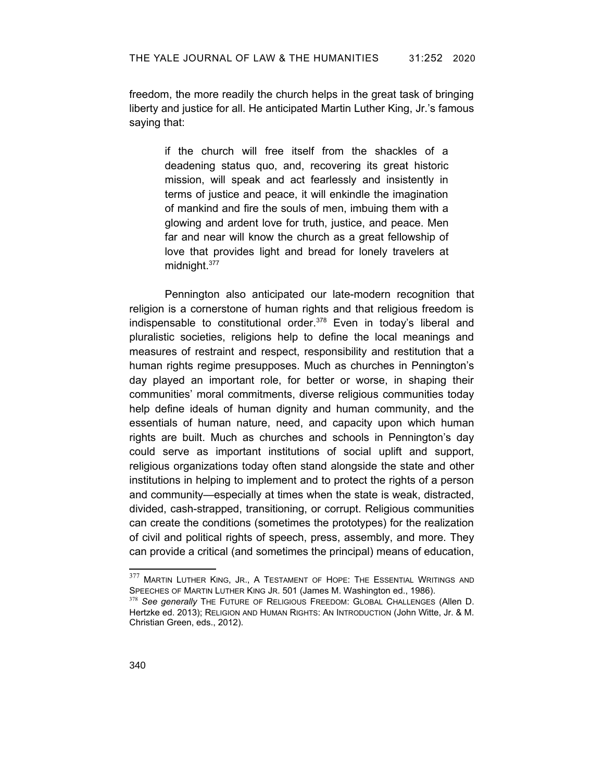freedom, the more readily the church helps in the great task of bringing liberty and justice for all. He anticipated Martin Luther King, Jr.'s famous saying that:

> if the church will free itself from the shackles of a deadening status quo, and, recovering its great historic mission, will speak and act fearlessly and insistently in terms of justice and peace, it will enkindle the imagination of mankind and fire the souls of men, imbuing them with a glowing and ardent love for truth, justice, and peace. Men far and near will know the church as a great fellowship of love that provides light and bread for lonely travelers at midnight.<sup>[377](#page-87-0)</sup>

Pennington also anticipated our late-modern recognition that religion is a cornerstone of human rights and that religious freedom is indispensable to constitutional order.<sup>[378](#page-87-1)</sup> Even in today's liberal and pluralistic societies, religions help to define the local meanings and measures of restraint and respect, responsibility and restitution that a human rights regime presupposes. Much as churches in Pennington's day played an important role, for better or worse, in shaping their communities' moral commitments, diverse religious communities today help define ideals of human dignity and human community, and the essentials of human nature, need, and capacity upon which human rights are built. Much as churches and schools in Pennington's day could serve as important institutions of social uplift and support, religious organizations today often stand alongside the state and other institutions in helping to implement and to protect the rights of a person and community—especially at times when the state is weak, distracted, divided, cash-strapped, transitioning, or corrupt. Religious communities can create the conditions (sometimes the prototypes) for the realization of civil and political rights of speech, press, assembly, and more. They can provide a critical (and sometimes the principal) means of education,

<span id="page-87-0"></span><sup>377</sup> MARTIN LUTHER KING, JR., A TESTAMENT OF HOPE: THE ESSENTIAL WRITINGS AND SPEECHES OF MARTIN LUTHER KING JR. 501 (James M. Washington ed., 1986).

<span id="page-87-1"></span><sup>&</sup>lt;sup>378</sup> See generally THE FUTURE OF RELIGIOUS FREEDOM: GLOBAL CHALLENGES (Allen D. Hertzke ed. 2013); RELIGION AND HUMAN RIGHTS: AN INTRODUCTION (John Witte, Jr. & M. Christian Green, eds., 2012).